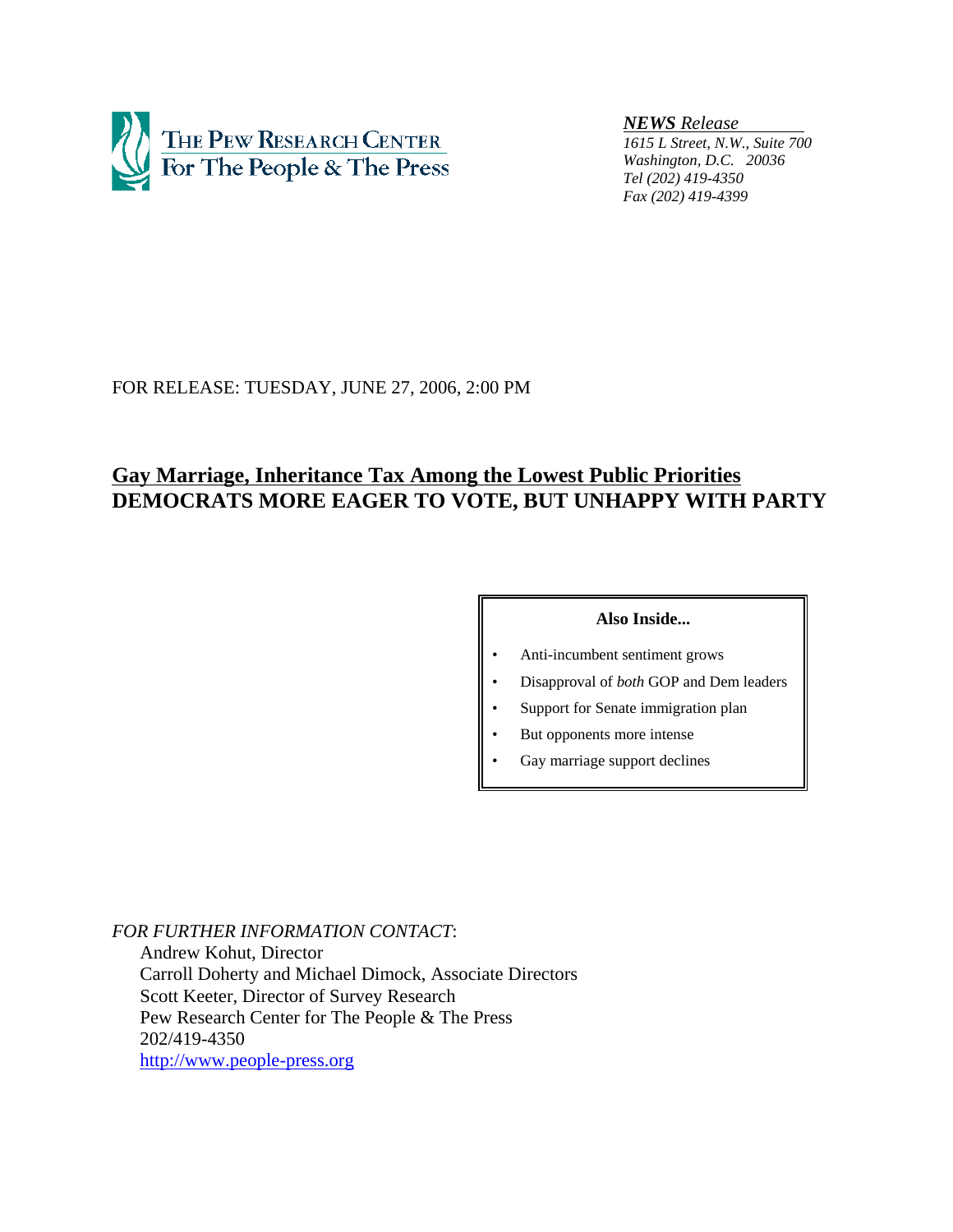

*NEWS Release* 

*1615 L Street, N.W., Suite 700 Washington, D.C. 20036 Tel (202) 419-4350 Fax (202) 419-4399*

# FOR RELEASE: TUESDAY, JUNE 27, 2006, 2:00 PM

# **Gay Marriage, Inheritance Tax Among the Lowest Public Priorities DEMOCRATS MORE EAGER TO VOTE, BUT UNHAPPY WITH PARTY**

# **Also Inside...**

- Anti-incumbent sentiment grows
- Disapproval of *both* GOP and Dem leaders
- Support for Senate immigration plan
- But opponents more intense
- Gay marriage support declines

*FOR FURTHER INFORMATION CONTACT*: Andrew Kohut, Director Carroll Doherty and Michael Dimock, Associate Directors Scott Keeter, Director of Survey Research Pew Research Center for The People & The Press 202/419-4350 http://www.people-press.org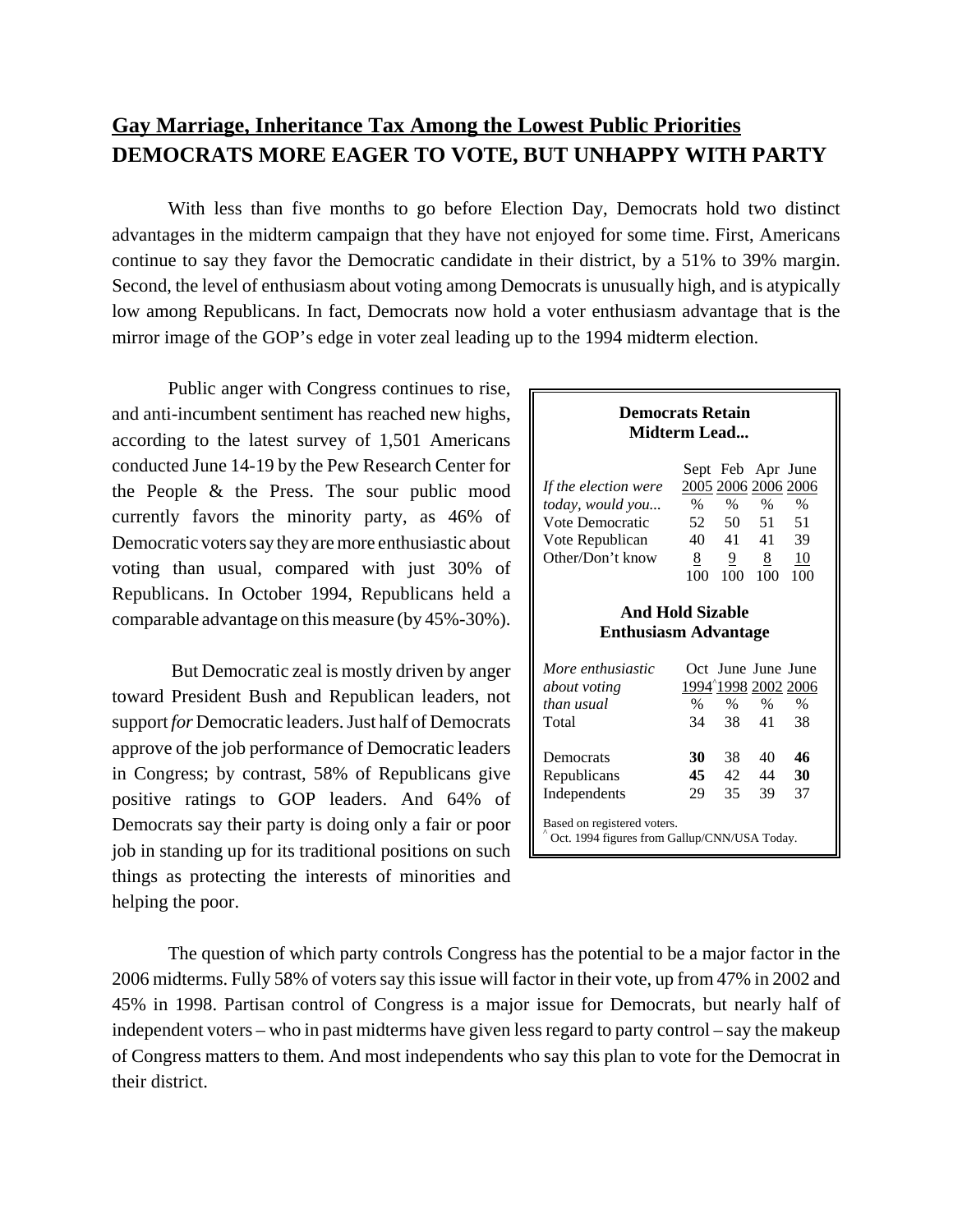# **Gay Marriage, Inheritance Tax Among the Lowest Public Priorities DEMOCRATS MORE EAGER TO VOTE, BUT UNHAPPY WITH PARTY**

With less than five months to go before Election Day, Democrats hold two distinct advantages in the midterm campaign that they have not enjoyed for some time. First, Americans continue to say they favor the Democratic candidate in their district, by a 51% to 39% margin. Second, the level of enthusiasm about voting among Democrats is unusually high, and is atypically low among Republicans. In fact, Democrats now hold a voter enthusiasm advantage that is the mirror image of the GOP's edge in voter zeal leading up to the 1994 midterm election.

Public anger with Congress continues to rise, and anti-incumbent sentiment has reached new highs, according to the latest survey of 1,501 Americans conducted June 14-19 by the Pew Research Center for the People & the Press. The sour public mood currently favors the minority party, as 46% of Democratic voters say they are more enthusiastic about voting than usual, compared with just 30% of Republicans. In October 1994, Republicans held a comparable advantage on this measure (by 45%-30%).

 But Democratic zeal is mostly driven by anger toward President Bush and Republican leaders, not support *for* Democratic leaders. Just half of Democrats approve of the job performance of Democratic leaders in Congress; by contrast, 58% of Republicans give positive ratings to GOP leaders. And 64% of Democrats say their party is doing only a fair or poor job in standing up for its traditional positions on such things as protecting the interests of minorities and helping the poor.

# **Democrats Retain Midterm Lead...**

|                      |      |     | Sept Feb Apr June   |      |
|----------------------|------|-----|---------------------|------|
| If the election were |      |     | 2005 2006 2006 2006 |      |
| today, would you     | $\%$ | %   | $\%$                | $\%$ |
| Vote Democratic      | 52   | 50  | -51                 | 51   |
| Vote Republican      | 40   | 41  | 41                  | 39   |
| Other/Don't know     | 8    | 9   | 8                   | 10   |
|                      | 100  | 100 | 100                 | 100  |
|                      |      |     |                     |      |

## **And Hold Sizable Enthusiasm Advantage**

| More enthusiastic<br>about voting                                           |    |      | Oct June June June | 1994 <sup>^</sup> 1998 2002 2006 |  |  |
|-----------------------------------------------------------------------------|----|------|--------------------|----------------------------------|--|--|
| than usual                                                                  | %  | $\%$ | $\%$               | $\%$                             |  |  |
| Total                                                                       | 34 | -38  | 41                 | 38                               |  |  |
|                                                                             |    |      |                    |                                  |  |  |
| Democrats                                                                   | 30 | 38   | 40                 | 46                               |  |  |
| Republicans                                                                 | 45 | 42   | 44                 | 30                               |  |  |
| Independents                                                                | 29 | 35   | 39                 | 37                               |  |  |
| Based on registered voters.<br>Oct. 1994 figures from Gallup/CNN/USA Today. |    |      |                    |                                  |  |  |

The question of which party controls Congress has the potential to be a major factor in the 2006 midterms. Fully 58% of voters say this issue will factor in their vote, up from 47% in 2002 and 45% in 1998. Partisan control of Congress is a major issue for Democrats, but nearly half of independent voters – who in past midterms have given less regard to party control – say the makeup of Congress matters to them. And most independents who say this plan to vote for the Democrat in their district.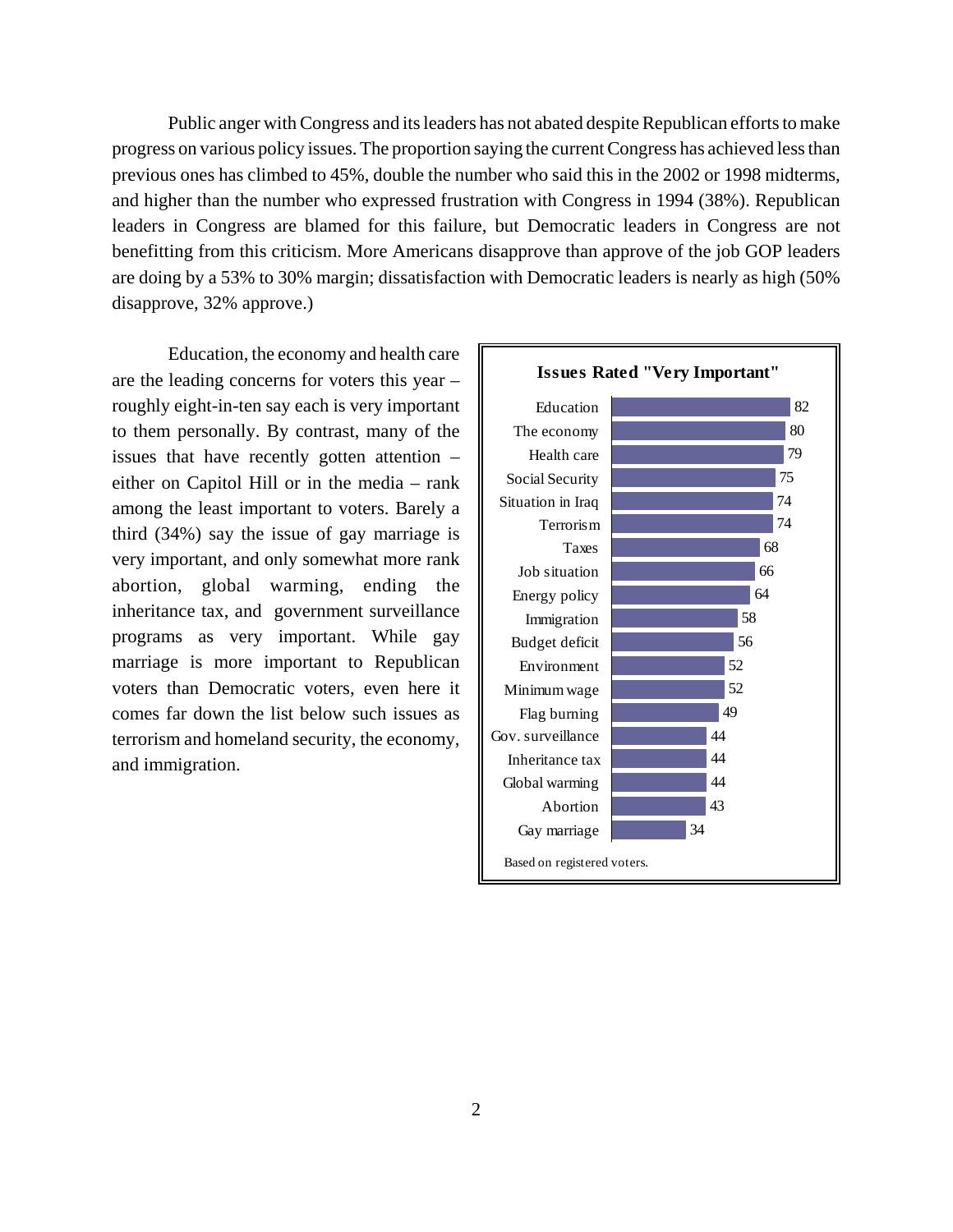Public anger with Congress and its leaders has not abated despite Republican efforts to make progress on various policy issues. The proportion saying the current Congress has achieved less than previous ones has climbed to 45%, double the number who said this in the 2002 or 1998 midterms, and higher than the number who expressed frustration with Congress in 1994 (38%). Republican leaders in Congress are blamed for this failure, but Democratic leaders in Congress are not benefitting from this criticism. More Americans disapprove than approve of the job GOP leaders are doing by a 53% to 30% margin; dissatisfaction with Democratic leaders is nearly as high (50% disapprove, 32% approve.)

Education, the economy and health care are the leading concerns for voters this year – roughly eight-in-ten say each is very important to them personally. By contrast, many of the issues that have recently gotten attention – either on Capitol Hill or in the media – rank among the least important to voters. Barely a third (34%) say the issue of gay marriage is very important, and only somewhat more rank abortion, global warming, ending the inheritance tax, and government surveillance programs as very important. While gay marriage is more important to Republican voters than Democratic voters, even here it comes far down the list below such issues as terrorism and homeland security, the economy, and immigration.

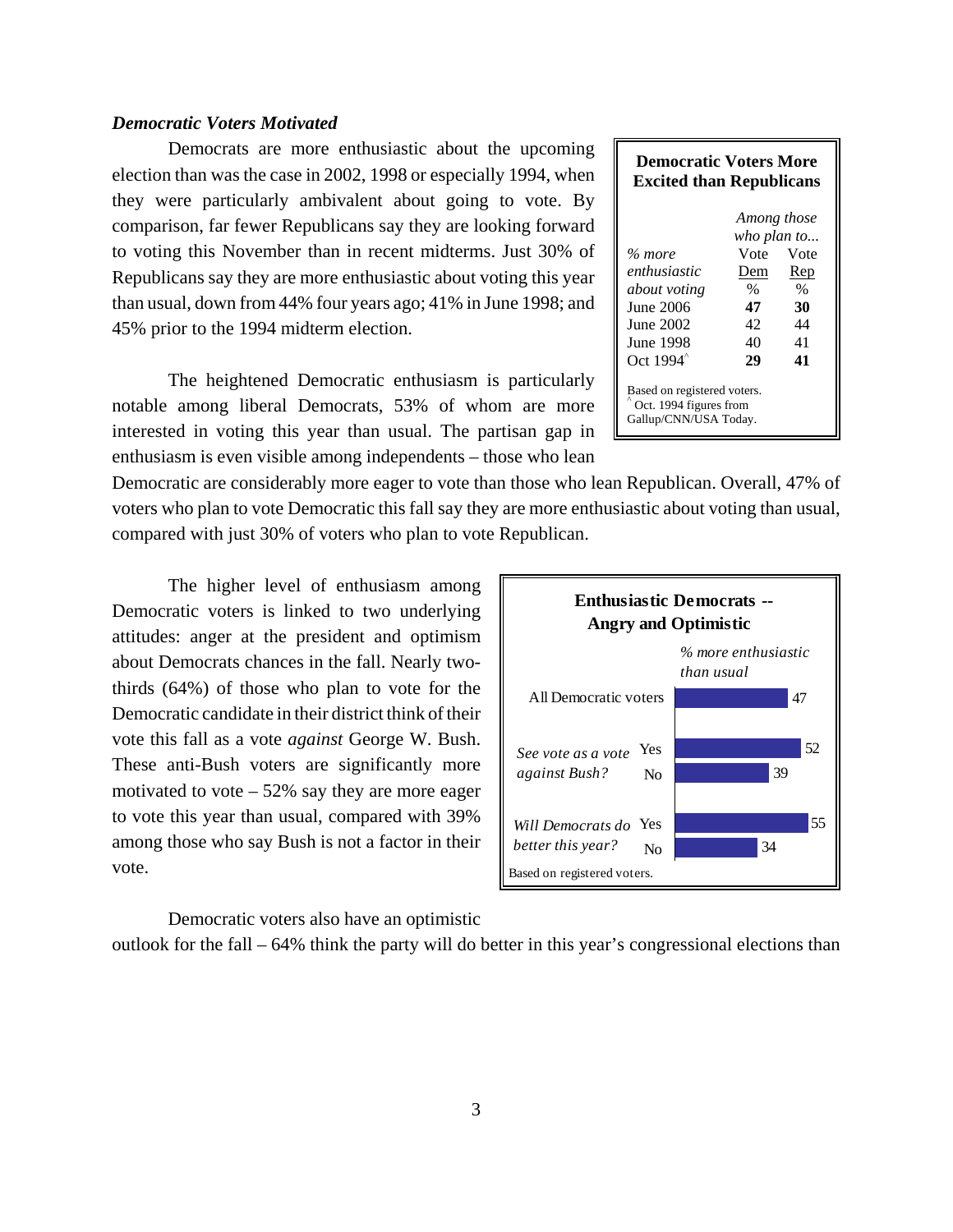# *Democratic Voters Motivated*

Democrats are more enthusiastic about the upcoming election than was the case in 2002, 1998 or especially 1994, when they were particularly ambivalent about going to vote. By comparison, far fewer Republicans say they are looking forward to voting this November than in recent midterms. Just 30% of Republicans say they are more enthusiastic about voting this year than usual, down from 44% four years ago; 41% in June 1998; and 45% prior to the 1994 midterm election.

The heightened Democratic enthusiasm is particularly notable among liberal Democrats, 53% of whom are more interested in voting this year than usual. The partisan gap in enthusiasm is even visible among independents – those who lean

Democratic are considerably more eager to vote than those who lean Republican. Overall, 47% of voters who plan to vote Democratic this fall say they are more enthusiastic about voting than usual, compared with just 30% of voters who plan to vote Republican.

The higher level of enthusiasm among Democratic voters is linked to two underlying attitudes: anger at the president and optimism about Democrats chances in the fall. Nearly twothirds (64%) of those who plan to vote for the Democratic candidate in their district think of their vote this fall as a vote *against* George W. Bush. These anti-Bush voters are significantly more motivated to vote  $-52\%$  say they are more eager to vote this year than usual, compared with 39% among those who say Bush is not a factor in their vote.

Democratic voters also have an optimistic

outlook for the fall – 64% think the party will do better in this year's congressional elections than

| <b>Enthusiastic Democrats --</b><br><b>Angry and Optimistic</b> |                |                                   |    |    |  |
|-----------------------------------------------------------------|----------------|-----------------------------------|----|----|--|
|                                                                 |                | % more enthusiastic<br>than usual |    |    |  |
| All Democratic voters                                           |                |                                   | 47 |    |  |
| See vote as a vote                                              | Yes            |                                   |    | 52 |  |
| against Bush?                                                   | N <sub>0</sub> |                                   | 39 |    |  |
| Will Democrats do Yes                                           |                |                                   |    | 55 |  |
| better this year?                                               | No             |                                   | 34 |    |  |
| Based on registered voters.                                     |                |                                   |    |    |  |

#### **Democratic Voters More Excited than Republicans**

| % more<br>enthusiastic<br>about voting<br>June 2006<br>June 2002<br>June 1998<br>Oct 1994 <sup>^</sup> | Among those<br>who plan to<br>Vote<br>Dem<br>$\%$<br>47<br>42<br>40<br>29 | Vote<br>Rep<br>$\%$<br>30<br>44<br>41<br>41 |  |  |  |  |
|--------------------------------------------------------------------------------------------------------|---------------------------------------------------------------------------|---------------------------------------------|--|--|--|--|
| Based on registered voters.<br>Oct. 1994 figures from<br>Gallup/CNN/USA Today.                         |                                                                           |                                             |  |  |  |  |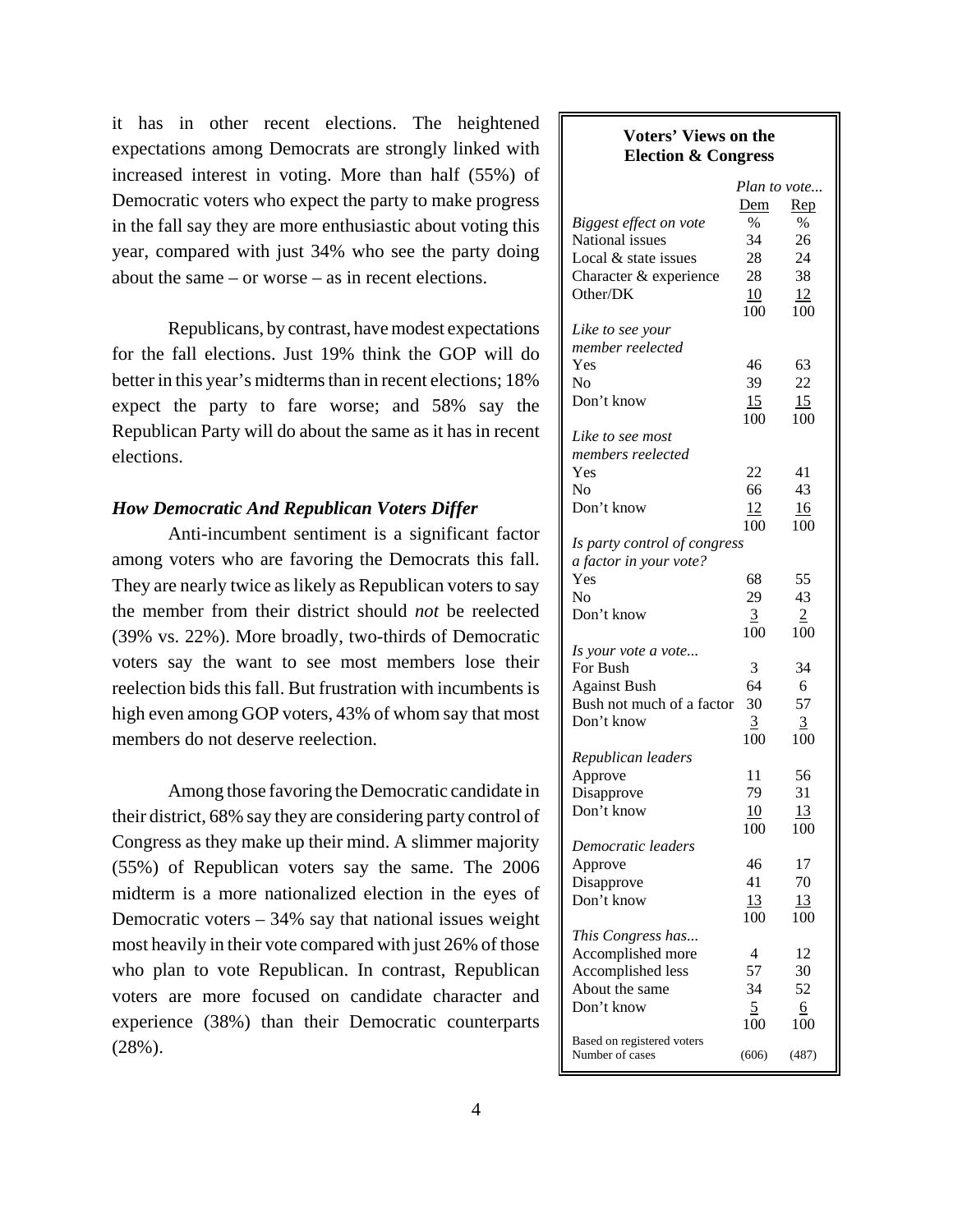it has in other recent elections. The heightened expectations among Democrats are strongly linked with increased interest in voting. More than half (55%) of Democratic voters who expect the party to make progress in the fall say they are more enthusiastic about voting this year, compared with just 34% who see the party doing about the same – or worse – as in recent elections.

Republicans, by contrast, have modest expectations for the fall elections. Just 19% think the GOP will do better in this year's midterms than in recent elections; 18% expect the party to fare worse; and 58% say the Republican Party will do about the same as it has in recent elections.

## *How Democratic And Republican Voters Differ*

Anti-incumbent sentiment is a significant factor among voters who are favoring the Democrats this fall. They are nearly twice as likely as Republican voters to say the member from their district should *not* be reelected (39% vs. 22%). More broadly, two-thirds of Democratic voters say the want to see most members lose their reelection bids this fall. But frustration with incumbents is high even among GOP voters, 43% of whom say that most members do not deserve reelection.

Among those favoring the Democratic candidate in their district, 68% say they are considering party control of Congress as they make up their mind. A slimmer majority (55%) of Republican voters say the same. The 2006 midterm is a more nationalized election in the eyes of Democratic voters  $-34\%$  say that national issues weight most heavily in their vote compared with just 26% of those who plan to vote Republican. In contrast, Republican voters are more focused on candidate character and experience (38%) than their Democratic counterparts (28%).

# **Voters' Views on the Election & Congress**

| Dem<br>Rep<br>Biggest effect on vote<br>$\%$<br>$\%$<br>National issues<br>34<br>26<br>Local & state issues<br>28<br>24<br>28<br>38<br>Character & experience<br>Other/DK<br>10<br>12<br>100<br>100<br>Like to see your<br>member reelected<br>Yes<br>63<br>46<br>No<br>39<br>22<br>Don't know<br>15<br>15<br>100<br>100<br>Like to see most<br>members reelected<br>Yes<br>22<br>41<br>66<br>43<br>Nο<br>Don't know<br>12<br><u>16</u><br>100<br>100<br>Is party control of congress<br>a factor in your vote?<br>Yes<br>68<br>55<br>29<br>43<br>Nο<br>Don't know<br>3<br>$\overline{2}$<br>100<br>100<br>Is your vote a vote<br>For Bush<br>3<br>34<br>64<br><b>Against Bush</b><br>6<br>57<br>Bush not much of a factor<br>30<br>Don't know<br>$\overline{3}$<br>$\overline{3}$<br>100<br>100<br>Republican leaders<br>Approve<br>11<br>56<br>79<br>31<br>Disapprove<br>Don't know<br>13<br>10<br>100<br>100<br>Democratic leaders<br>17<br>46<br>Approve<br>70<br>41<br>Disapprove<br>Don't know<br>13<br>13<br>100<br>100<br>This Congress has<br>Accomplished more<br>4<br>12<br>Accomplished less<br>57<br>30<br>About the same<br>52<br>34<br>Don't know<br>5<br>6<br>100<br>100<br>Based on registered voters<br>Number of cases<br>(606)<br>(487) |  | Plan to vote |
|-------------------------------------------------------------------------------------------------------------------------------------------------------------------------------------------------------------------------------------------------------------------------------------------------------------------------------------------------------------------------------------------------------------------------------------------------------------------------------------------------------------------------------------------------------------------------------------------------------------------------------------------------------------------------------------------------------------------------------------------------------------------------------------------------------------------------------------------------------------------------------------------------------------------------------------------------------------------------------------------------------------------------------------------------------------------------------------------------------------------------------------------------------------------------------------------------------------------------------------------------------------|--|--------------|
|                                                                                                                                                                                                                                                                                                                                                                                                                                                                                                                                                                                                                                                                                                                                                                                                                                                                                                                                                                                                                                                                                                                                                                                                                                                             |  |              |
|                                                                                                                                                                                                                                                                                                                                                                                                                                                                                                                                                                                                                                                                                                                                                                                                                                                                                                                                                                                                                                                                                                                                                                                                                                                             |  |              |
|                                                                                                                                                                                                                                                                                                                                                                                                                                                                                                                                                                                                                                                                                                                                                                                                                                                                                                                                                                                                                                                                                                                                                                                                                                                             |  |              |
|                                                                                                                                                                                                                                                                                                                                                                                                                                                                                                                                                                                                                                                                                                                                                                                                                                                                                                                                                                                                                                                                                                                                                                                                                                                             |  |              |
|                                                                                                                                                                                                                                                                                                                                                                                                                                                                                                                                                                                                                                                                                                                                                                                                                                                                                                                                                                                                                                                                                                                                                                                                                                                             |  |              |
|                                                                                                                                                                                                                                                                                                                                                                                                                                                                                                                                                                                                                                                                                                                                                                                                                                                                                                                                                                                                                                                                                                                                                                                                                                                             |  |              |
|                                                                                                                                                                                                                                                                                                                                                                                                                                                                                                                                                                                                                                                                                                                                                                                                                                                                                                                                                                                                                                                                                                                                                                                                                                                             |  |              |
|                                                                                                                                                                                                                                                                                                                                                                                                                                                                                                                                                                                                                                                                                                                                                                                                                                                                                                                                                                                                                                                                                                                                                                                                                                                             |  |              |
|                                                                                                                                                                                                                                                                                                                                                                                                                                                                                                                                                                                                                                                                                                                                                                                                                                                                                                                                                                                                                                                                                                                                                                                                                                                             |  |              |
|                                                                                                                                                                                                                                                                                                                                                                                                                                                                                                                                                                                                                                                                                                                                                                                                                                                                                                                                                                                                                                                                                                                                                                                                                                                             |  |              |
|                                                                                                                                                                                                                                                                                                                                                                                                                                                                                                                                                                                                                                                                                                                                                                                                                                                                                                                                                                                                                                                                                                                                                                                                                                                             |  |              |
|                                                                                                                                                                                                                                                                                                                                                                                                                                                                                                                                                                                                                                                                                                                                                                                                                                                                                                                                                                                                                                                                                                                                                                                                                                                             |  |              |
|                                                                                                                                                                                                                                                                                                                                                                                                                                                                                                                                                                                                                                                                                                                                                                                                                                                                                                                                                                                                                                                                                                                                                                                                                                                             |  |              |
|                                                                                                                                                                                                                                                                                                                                                                                                                                                                                                                                                                                                                                                                                                                                                                                                                                                                                                                                                                                                                                                                                                                                                                                                                                                             |  |              |
|                                                                                                                                                                                                                                                                                                                                                                                                                                                                                                                                                                                                                                                                                                                                                                                                                                                                                                                                                                                                                                                                                                                                                                                                                                                             |  |              |
|                                                                                                                                                                                                                                                                                                                                                                                                                                                                                                                                                                                                                                                                                                                                                                                                                                                                                                                                                                                                                                                                                                                                                                                                                                                             |  |              |
|                                                                                                                                                                                                                                                                                                                                                                                                                                                                                                                                                                                                                                                                                                                                                                                                                                                                                                                                                                                                                                                                                                                                                                                                                                                             |  |              |
|                                                                                                                                                                                                                                                                                                                                                                                                                                                                                                                                                                                                                                                                                                                                                                                                                                                                                                                                                                                                                                                                                                                                                                                                                                                             |  |              |
|                                                                                                                                                                                                                                                                                                                                                                                                                                                                                                                                                                                                                                                                                                                                                                                                                                                                                                                                                                                                                                                                                                                                                                                                                                                             |  |              |
|                                                                                                                                                                                                                                                                                                                                                                                                                                                                                                                                                                                                                                                                                                                                                                                                                                                                                                                                                                                                                                                                                                                                                                                                                                                             |  |              |
|                                                                                                                                                                                                                                                                                                                                                                                                                                                                                                                                                                                                                                                                                                                                                                                                                                                                                                                                                                                                                                                                                                                                                                                                                                                             |  |              |
|                                                                                                                                                                                                                                                                                                                                                                                                                                                                                                                                                                                                                                                                                                                                                                                                                                                                                                                                                                                                                                                                                                                                                                                                                                                             |  |              |
|                                                                                                                                                                                                                                                                                                                                                                                                                                                                                                                                                                                                                                                                                                                                                                                                                                                                                                                                                                                                                                                                                                                                                                                                                                                             |  |              |
|                                                                                                                                                                                                                                                                                                                                                                                                                                                                                                                                                                                                                                                                                                                                                                                                                                                                                                                                                                                                                                                                                                                                                                                                                                                             |  |              |
|                                                                                                                                                                                                                                                                                                                                                                                                                                                                                                                                                                                                                                                                                                                                                                                                                                                                                                                                                                                                                                                                                                                                                                                                                                                             |  |              |
|                                                                                                                                                                                                                                                                                                                                                                                                                                                                                                                                                                                                                                                                                                                                                                                                                                                                                                                                                                                                                                                                                                                                                                                                                                                             |  |              |
|                                                                                                                                                                                                                                                                                                                                                                                                                                                                                                                                                                                                                                                                                                                                                                                                                                                                                                                                                                                                                                                                                                                                                                                                                                                             |  |              |
|                                                                                                                                                                                                                                                                                                                                                                                                                                                                                                                                                                                                                                                                                                                                                                                                                                                                                                                                                                                                                                                                                                                                                                                                                                                             |  |              |
|                                                                                                                                                                                                                                                                                                                                                                                                                                                                                                                                                                                                                                                                                                                                                                                                                                                                                                                                                                                                                                                                                                                                                                                                                                                             |  |              |
|                                                                                                                                                                                                                                                                                                                                                                                                                                                                                                                                                                                                                                                                                                                                                                                                                                                                                                                                                                                                                                                                                                                                                                                                                                                             |  |              |
|                                                                                                                                                                                                                                                                                                                                                                                                                                                                                                                                                                                                                                                                                                                                                                                                                                                                                                                                                                                                                                                                                                                                                                                                                                                             |  |              |
|                                                                                                                                                                                                                                                                                                                                                                                                                                                                                                                                                                                                                                                                                                                                                                                                                                                                                                                                                                                                                                                                                                                                                                                                                                                             |  |              |
|                                                                                                                                                                                                                                                                                                                                                                                                                                                                                                                                                                                                                                                                                                                                                                                                                                                                                                                                                                                                                                                                                                                                                                                                                                                             |  |              |
|                                                                                                                                                                                                                                                                                                                                                                                                                                                                                                                                                                                                                                                                                                                                                                                                                                                                                                                                                                                                                                                                                                                                                                                                                                                             |  |              |
|                                                                                                                                                                                                                                                                                                                                                                                                                                                                                                                                                                                                                                                                                                                                                                                                                                                                                                                                                                                                                                                                                                                                                                                                                                                             |  |              |
|                                                                                                                                                                                                                                                                                                                                                                                                                                                                                                                                                                                                                                                                                                                                                                                                                                                                                                                                                                                                                                                                                                                                                                                                                                                             |  |              |
|                                                                                                                                                                                                                                                                                                                                                                                                                                                                                                                                                                                                                                                                                                                                                                                                                                                                                                                                                                                                                                                                                                                                                                                                                                                             |  |              |
|                                                                                                                                                                                                                                                                                                                                                                                                                                                                                                                                                                                                                                                                                                                                                                                                                                                                                                                                                                                                                                                                                                                                                                                                                                                             |  |              |
|                                                                                                                                                                                                                                                                                                                                                                                                                                                                                                                                                                                                                                                                                                                                                                                                                                                                                                                                                                                                                                                                                                                                                                                                                                                             |  |              |
|                                                                                                                                                                                                                                                                                                                                                                                                                                                                                                                                                                                                                                                                                                                                                                                                                                                                                                                                                                                                                                                                                                                                                                                                                                                             |  |              |
|                                                                                                                                                                                                                                                                                                                                                                                                                                                                                                                                                                                                                                                                                                                                                                                                                                                                                                                                                                                                                                                                                                                                                                                                                                                             |  |              |
|                                                                                                                                                                                                                                                                                                                                                                                                                                                                                                                                                                                                                                                                                                                                                                                                                                                                                                                                                                                                                                                                                                                                                                                                                                                             |  |              |
|                                                                                                                                                                                                                                                                                                                                                                                                                                                                                                                                                                                                                                                                                                                                                                                                                                                                                                                                                                                                                                                                                                                                                                                                                                                             |  |              |
|                                                                                                                                                                                                                                                                                                                                                                                                                                                                                                                                                                                                                                                                                                                                                                                                                                                                                                                                                                                                                                                                                                                                                                                                                                                             |  |              |
|                                                                                                                                                                                                                                                                                                                                                                                                                                                                                                                                                                                                                                                                                                                                                                                                                                                                                                                                                                                                                                                                                                                                                                                                                                                             |  |              |
|                                                                                                                                                                                                                                                                                                                                                                                                                                                                                                                                                                                                                                                                                                                                                                                                                                                                                                                                                                                                                                                                                                                                                                                                                                                             |  |              |
|                                                                                                                                                                                                                                                                                                                                                                                                                                                                                                                                                                                                                                                                                                                                                                                                                                                                                                                                                                                                                                                                                                                                                                                                                                                             |  |              |
|                                                                                                                                                                                                                                                                                                                                                                                                                                                                                                                                                                                                                                                                                                                                                                                                                                                                                                                                                                                                                                                                                                                                                                                                                                                             |  |              |
|                                                                                                                                                                                                                                                                                                                                                                                                                                                                                                                                                                                                                                                                                                                                                                                                                                                                                                                                                                                                                                                                                                                                                                                                                                                             |  |              |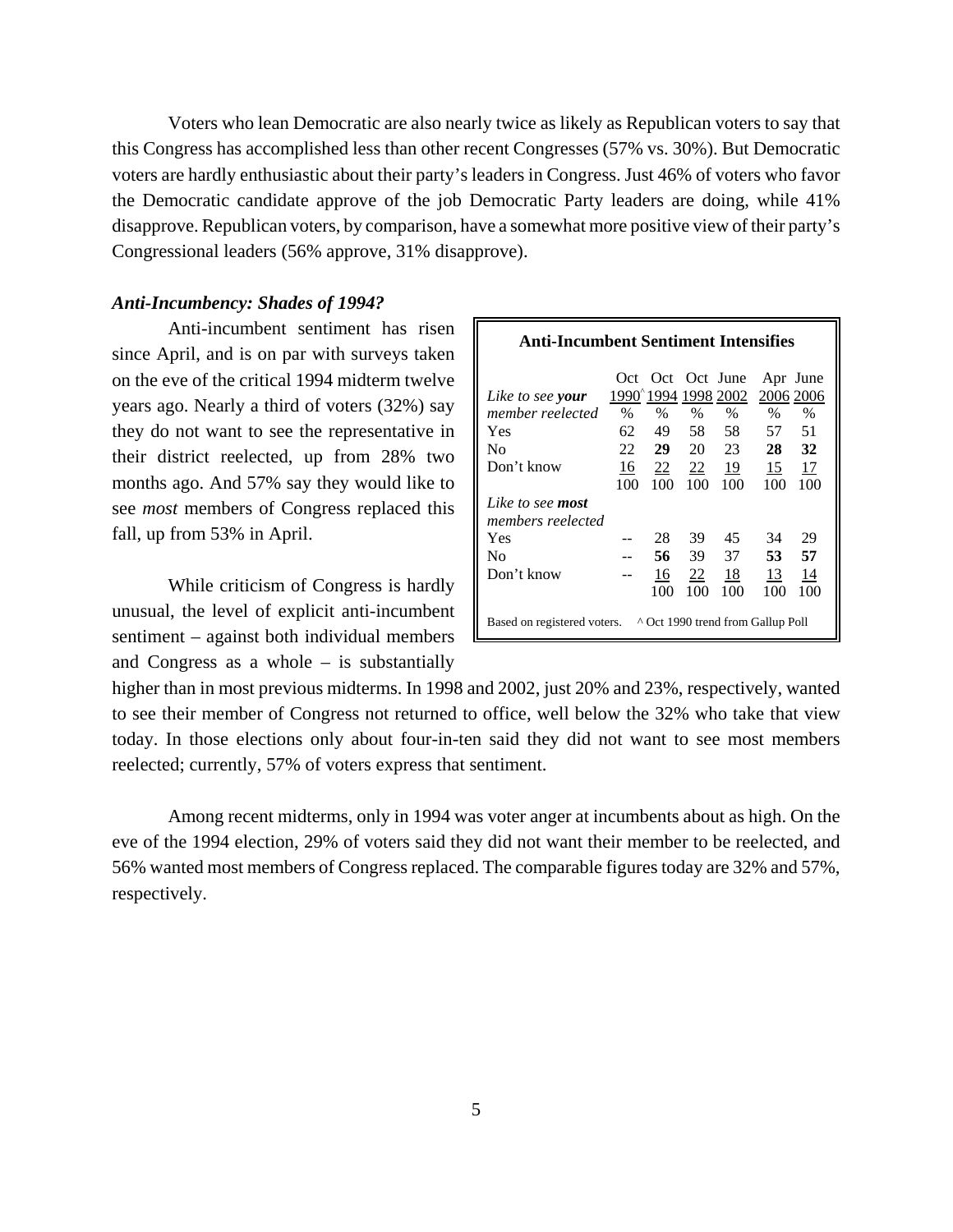Voters who lean Democratic are also nearly twice as likely as Republican voters to say that this Congress has accomplished less than other recent Congresses (57% vs. 30%). But Democratic voters are hardly enthusiastic about their party's leaders in Congress. Just 46% of voters who favor the Democratic candidate approve of the job Democratic Party leaders are doing, while 41% disapprove. Republican voters, by comparison, have a somewhat more positive view of their party's Congressional leaders (56% approve, 31% disapprove).

# *Anti-Incumbency: Shades of 1994?*

Anti-incumbent sentiment has risen since April, and is on par with surveys taken on the eve of the critical 1994 midterm twelve years ago. Nearly a third of voters (32%) say they do not want to see the representative in their district reelected, up from 28% two months ago. And 57% say they would like to see *most* members of Congress replaced this fall, up from 53% in April.

While criticism of Congress is hardly unusual, the level of explicit anti-incumbent sentiment – against both individual members and Congress as a whole – is substantially

| Anti-Incumbent Sentiment Intensifies                             |      |                               |                |                                |           |           |
|------------------------------------------------------------------|------|-------------------------------|----------------|--------------------------------|-----------|-----------|
|                                                                  |      | Oct Oct Oct June<br>1990^1994 |                | 1998 2002                      | 2006 2006 | Apr June  |
| Like to see your<br>member reelected                             | $\%$ | $\%$                          | $\%$           | $\%$                           | $\%$      | $\%$      |
| Yes                                                              | 62   | 49.                           | 58             | 58                             | 57        | 51        |
| No                                                               | 22   | 29 a                          | 20             | 23                             | 28        | 32        |
| Don't know                                                       | 16   |                               |                | $\frac{22}{2}$ $\frac{22}{19}$ | 15        | <u>17</u> |
|                                                                  | 100  | 100                           | 100            | 100                            | 100       | 100       |
| Like to see <b>most</b><br>members reelected                     |      |                               |                |                                |           |           |
| Yes                                                              |      | 28                            | 39             | 45                             | 34        | 29        |
| No.                                                              |      | 56                            | 39             | 37                             | 53        | 57        |
| Don't know                                                       |      | 16                            | $\frac{22}{2}$ | <u>18</u>                      | 13        | 14        |
|                                                                  |      | 100                           | 100            | 100                            | 100       | 100       |
| ^ Oct 1990 trend from Gallup Poll<br>Based on registered voters. |      |                               |                |                                |           |           |

higher than in most previous midterms. In 1998 and 2002, just 20% and 23%, respectively, wanted to see their member of Congress not returned to office, well below the 32% who take that view today. In those elections only about four-in-ten said they did not want to see most members reelected; currently, 57% of voters express that sentiment.

Among recent midterms, only in 1994 was voter anger at incumbents about as high. On the eve of the 1994 election, 29% of voters said they did not want their member to be reelected, and 56% wanted most members of Congress replaced. The comparable figures today are 32% and 57%, respectively.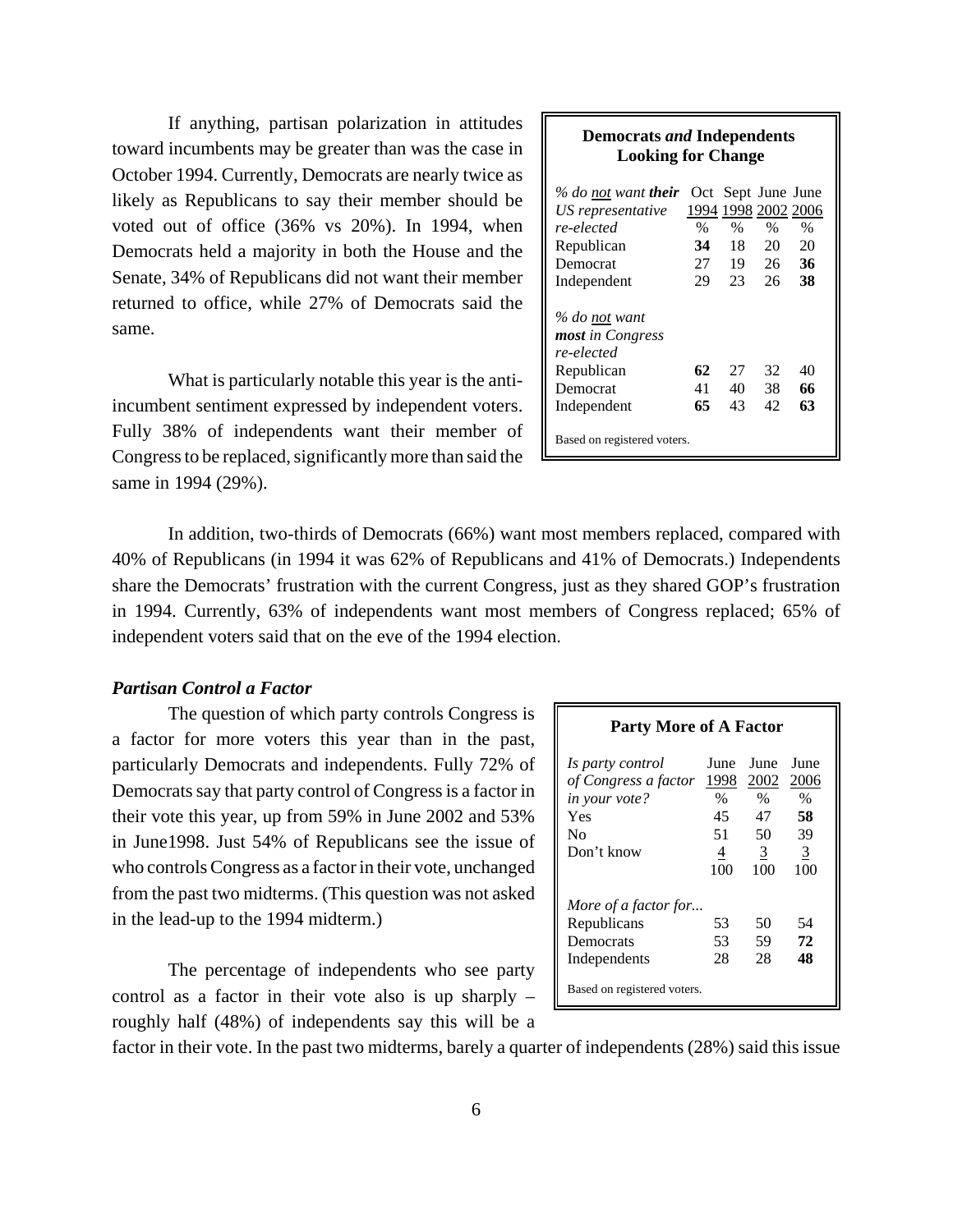If anything, partisan polarization in attitudes toward incumbents may be greater than was the case in October 1994. Currently, Democrats are nearly twice as likely as Republicans to say their member should be voted out of office (36% vs 20%). In 1994, when Democrats held a majority in both the House and the Senate, 34% of Republicans did not want their member returned to office, while 27% of Democrats said the same.

What is particularly notable this year is the antiincumbent sentiment expressed by independent voters. Fully 38% of independents want their member of Congress to be replaced, significantly more than said the same in 1994 (29%).

#### **Democrats** *and* **Independents Looking for Change**

| % do not want <b>their</b>  |               |      | Oct Sept June June  |      |
|-----------------------------|---------------|------|---------------------|------|
| US representative           |               |      | 1994 1998 2002 2006 |      |
| re-elected                  | $\frac{0}{0}$ | $\%$ | $\%$                | $\%$ |
| Republican                  | 34            | 18   | 20                  | 20   |
| Democrat                    | 27            | 19   | 26                  | 36   |
| Independent                 | 29            | 23   | 26                  | 38   |
|                             |               |      |                     |      |
| % do not want               |               |      |                     |      |
| <b>most</b> in Congress     |               |      |                     |      |
| re-elected                  |               |      |                     |      |
| Republican                  | 62            | 27   | 32                  | 40   |
| Democrat                    | 41            | 40   | 38                  | 66   |
| Independent                 | 65            | 43   | 42                  | 63   |
| Based on registered voters. |               |      |                     |      |

In addition, two-thirds of Democrats (66%) want most members replaced, compared with 40% of Republicans (in 1994 it was 62% of Republicans and 41% of Democrats.) Independents share the Democrats' frustration with the current Congress, just as they shared GOP's frustration in 1994. Currently, 63% of independents want most members of Congress replaced; 65% of independent voters said that on the eve of the 1994 election.

# *Partisan Control a Factor*

The question of which party controls Congress is a factor for more voters this year than in the past, particularly Democrats and independents. Fully 72% of Democrats say that party control of Congress is a factor in their vote this year, up from 59% in June 2002 and 53% in June1998. Just 54% of Republicans see the issue of who controls Congress as a factor in their vote, unchanged from the past two midterms. (This question was not asked in the lead-up to the 1994 midterm.)

The percentage of independents who see party control as a factor in their vote also is up sharply – roughly half (48%) of independents say this will be a

| <b>Party More of A Factor</b>            |              |                   |                |  |  |  |
|------------------------------------------|--------------|-------------------|----------------|--|--|--|
| Is party control<br>of Congress a factor | June<br>1998 | June<br>2002 2006 | June           |  |  |  |
| in your vote?                            | %            | $\%$              | $\%$           |  |  |  |
| Yes                                      | 45           | 47                | 58             |  |  |  |
| No                                       | 51           | 50                | 39             |  |  |  |
| Don't know                               | 4            | $\mathbf{3}$      | $\overline{3}$ |  |  |  |
|                                          | 100          | 100               | 100            |  |  |  |
| More of a factor for                     |              |                   |                |  |  |  |
| Republicans                              | 53           | 50                | 54             |  |  |  |
| Democrats                                | 53           | 59                | 72             |  |  |  |
| Independents                             | 28           | 28                | 48             |  |  |  |
| Based on registered voters.              |              |                   |                |  |  |  |

factor in their vote. In the past two midterms, barely a quarter of independents (28%) said this issue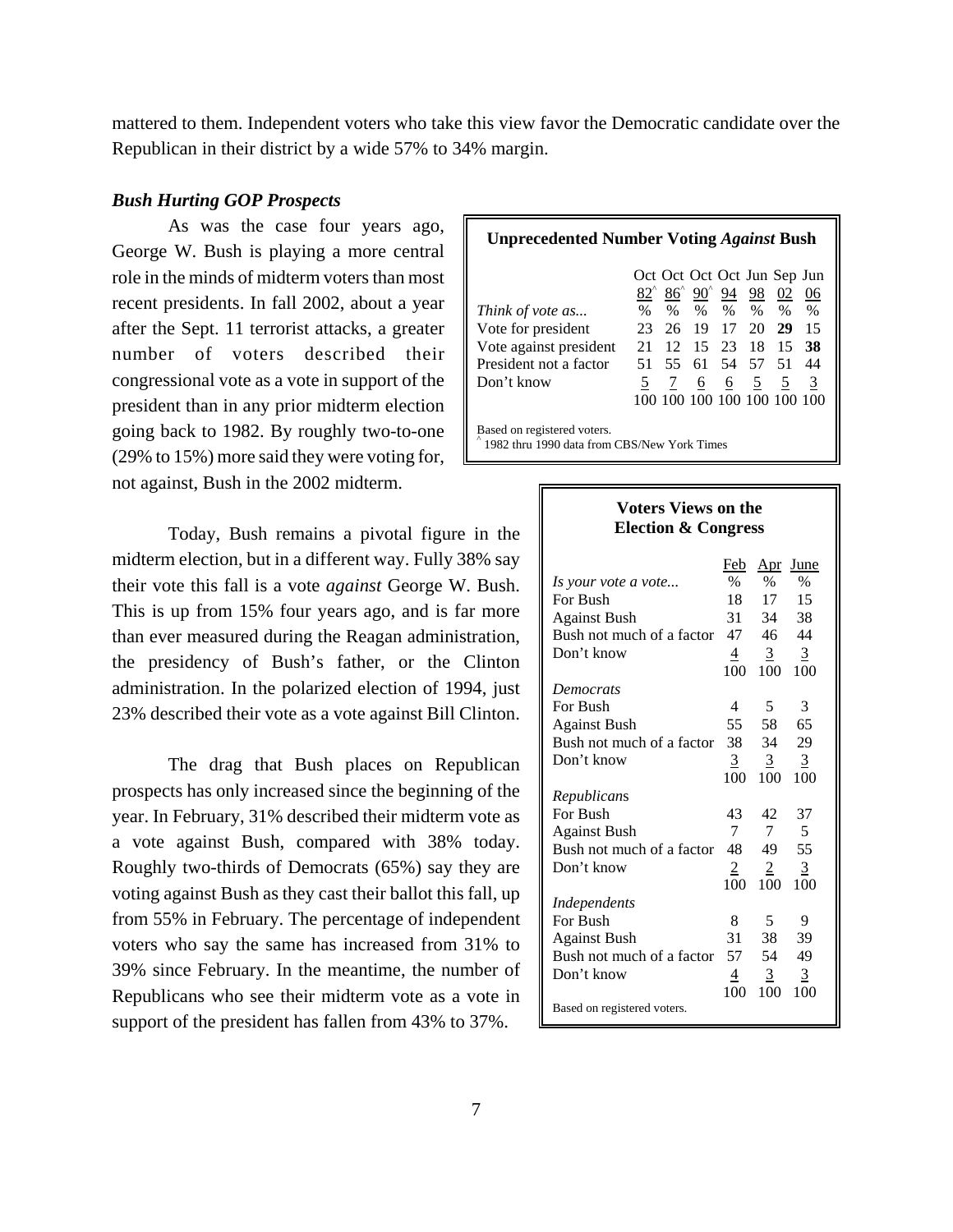mattered to them. Independent voters who take this view favor the Democratic candidate over the Republican in their district by a wide 57% to 34% margin.

# *Bush Hurting GOP Prospects*

As was the case four years ago, George W. Bush is playing a more central role in the minds of midterm voters than most recent presidents. In fall 2002, about a year after the Sept. 11 terrorist attacks, a greater number of voters described their congressional vote as a vote in support of the president than in any prior midterm election going back to 1982. By roughly two-to-one (29% to 15%) more said they were voting for, not against, Bush in the 2002 midterm.

Today, Bush remains a pivotal figure in the midterm election, but in a different way. Fully 38% say their vote this fall is a vote *against* George W. Bush. This is up from 15% four years ago, and is far more than ever measured during the Reagan administration, the presidency of Bush's father, or the Clinton administration. In the polarized election of 1994, just 23% described their vote as a vote against Bill Clinton.

The drag that Bush places on Republican prospects has only increased since the beginning of the year. In February, 31% described their midterm vote as a vote against Bush, compared with 38% today. Roughly two-thirds of Democrats (65%) say they are voting against Bush as they cast their ballot this fall, up from 55% in February. The percentage of independent voters who say the same has increased from 31% to 39% since February. In the meantime, the number of Republicans who see their midterm vote as a vote in support of the president has fallen from 43% to 37%.

| <b>Unprecedented Number Voting Against Bush</b>                            |      |                 |  |             |                                                                            |      |      |
|----------------------------------------------------------------------------|------|-----------------|--|-------------|----------------------------------------------------------------------------|------|------|
|                                                                            |      |                 |  |             | Oct Oct Oct Oct Jun Sep Jun                                                |      |      |
|                                                                            |      |                 |  |             | $\frac{82}{6}$ $\frac{86}{6}$ $\frac{90}{6}$ $\frac{94}{6}$ $\frac{98}{6}$ | 02   | 06   |
| Think of vote as                                                           | $\%$ |                 |  | $\%$ % %    | $\%$                                                                       | $\%$ | $\%$ |
| Vote for president                                                         | 23   |                 |  | 26 19 17 20 |                                                                            | 29   | 15   |
| Vote against president                                                     | 21   | $\overline{12}$ |  |             | 15 23 18                                                                   | 15   | -38  |
| President not a factor                                                     | 51   |                 |  |             | 55 61 54 57                                                                | -51  | 44   |
| Don't know                                                                 |      | 7               |  |             | $6\quad 6\quad 5$                                                          | 5    | 3    |
|                                                                            |      |                 |  |             | 100 100 100 100 100 100 100                                                |      |      |
| Based on registered voters.<br>1982 thru 1990 data from CBS/New York Times |      |                 |  |             |                                                                            |      |      |

| <b>Voters Views on the</b><br><b>Election &amp; Congress</b> |                |                |                |  |  |
|--------------------------------------------------------------|----------------|----------------|----------------|--|--|
|                                                              | Feb            | Apr            | June           |  |  |
| Is your vote a vote                                          | $\frac{0}{0}$  | $\frac{0}{0}$  | $\%$           |  |  |
| For Bush                                                     | 18             | 17             | 15             |  |  |
| <b>Against Bush</b>                                          | 31             | 34             | 38             |  |  |
| Bush not much of a factor                                    | 47             | 46             | 44             |  |  |
| Don't know                                                   | 4              | 3              | 3              |  |  |
|                                                              | 100            | 100            | 100            |  |  |
| <b>Democrats</b>                                             |                |                |                |  |  |
| For Bush                                                     | 4              | 5              | 3              |  |  |
| <b>Against Bush</b>                                          | 55             | 58             | 65             |  |  |
| Bush not much of a factor                                    | 38             | 34             | 29             |  |  |
| Don't know                                                   | $\overline{3}$ | $\overline{3}$ | $\overline{3}$ |  |  |
|                                                              | 100            | 100            | 100            |  |  |
| Republicans                                                  |                |                |                |  |  |
| For Bush                                                     | 43             | 42             | 37             |  |  |
| <b>Against Bush</b>                                          | 7              | 7              | 5              |  |  |
| Bush not much of a factor                                    | 48             | 49             | 55             |  |  |
| Don't know                                                   | 2              | 2              | 3              |  |  |
|                                                              | 100            | 100            | 100            |  |  |
| Independents                                                 |                |                |                |  |  |
| For Bush                                                     | 8              | 5              | 9              |  |  |
| <b>Against Bush</b>                                          | 31             | 38             | 39             |  |  |
| Bush not much of a factor                                    | 57             | 54             | 49             |  |  |
| Don't know                                                   | 4              | 3              | $\overline{3}$ |  |  |
|                                                              | 100            | 100            | 100            |  |  |
| Based on registered voters.                                  |                |                |                |  |  |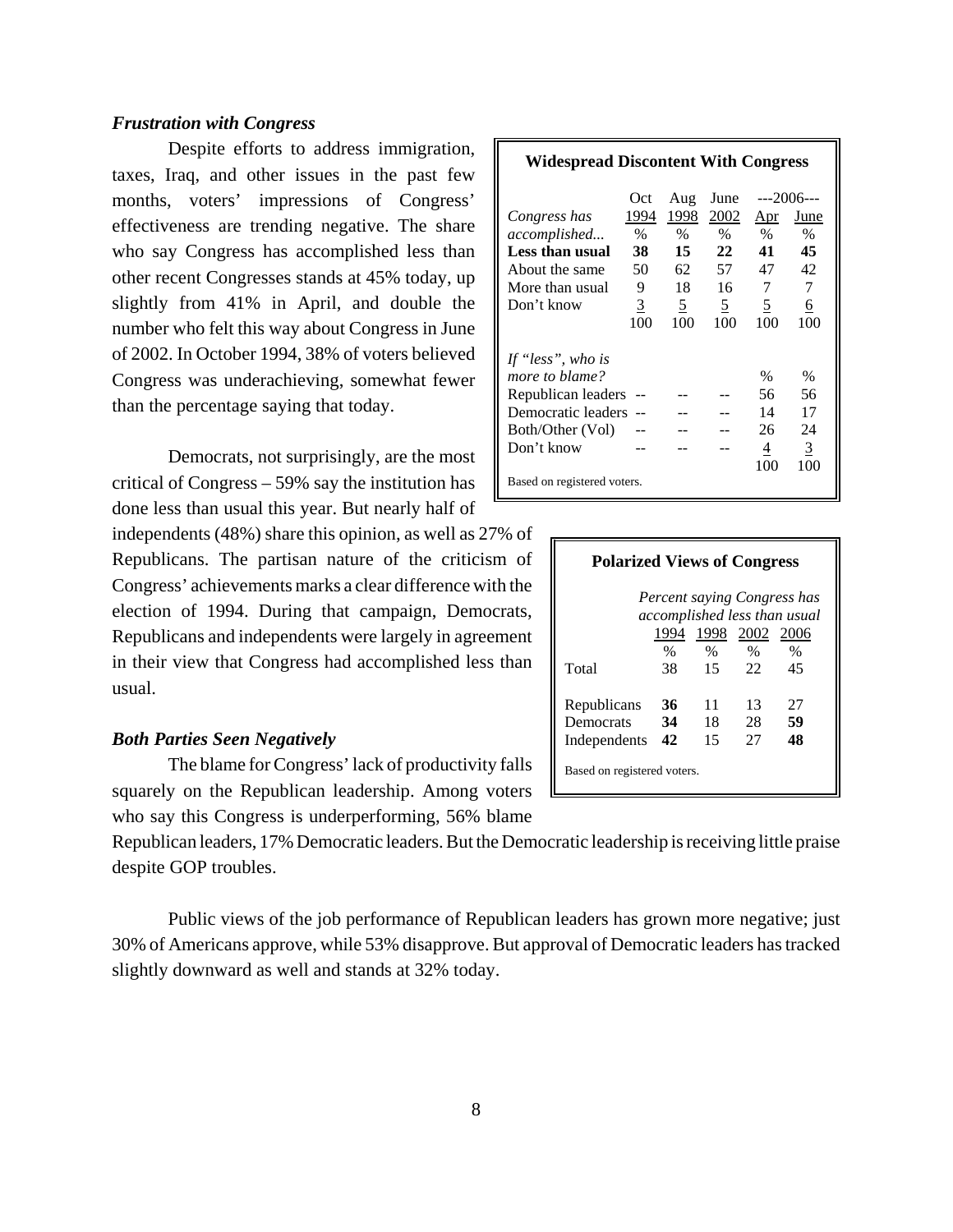# *Frustration with Congress*

Despite efforts to address immigration, taxes, Iraq, and other issues in the past few months, voters' impressions of Congress' effectiveness are trending negative. The share who say Congress has accomplished less than other recent Congresses stands at 45% today, up slightly from 41% in April, and double the number who felt this way about Congress in June of 2002. In October 1994, 38% of voters believed Congress was underachieving, somewhat fewer than the percentage saying that today.

Democrats, not surprisingly, are the most critical of Congress – 59% say the institution has done less than usual this year. But nearly half of

independents (48%) share this opinion, as well as 27% of Republicans. The partisan nature of the criticism of Congress' achievements marks a clear difference with the election of 1994. During that campaign, Democrats, Republicans and independents were largely in agreement in their view that Congress had accomplished less than usual.

# *Both Parties Seen Negatively*

The blame for Congress' lack of productivity falls squarely on the Republican leadership. Among voters who say this Congress is underperforming, 56% blame

Republican leaders, 17% Democratic leaders. But the Democratic leadership is receiving little praise despite GOP troubles.

Public views of the job performance of Republican leaders has grown more negative; just 30% of Americans approve, while 53% disapprove. But approval of Democratic leaders has tracked slightly downward as well and stands at 32% today.

|                             | Oct.          | Aug            | June     |      | ---2006--- |
|-----------------------------|---------------|----------------|----------|------|------------|
| Congress has                | 1994          | 1998           | 2002     | Apr  | June       |
| accomplished                | $\frac{0}{0}$ | $\%$           | $\%$     | $\%$ | $\%$       |
| Less than usual             | 38            | 15             | 22       | 41   | 45         |
| About the same              | 50            | 62             | 57       | 47   | 42         |
| More than usual             | 9             | 18             | 16       | 7    | 7          |
| Don't know                  | 3             | $\overline{5}$ | <u>5</u> | 5    | 6          |
|                             | 100           | 100            | 100      | 100  | 100        |
|                             |               |                |          |      |            |
| If "less", who is           |               |                |          |      |            |
| more to blame?              |               |                |          | $\%$ | %          |
| Republican leaders          |               |                |          | 56   | 56         |
| Democratic leaders          |               |                |          | 14   | 17         |
| Both/Other (Vol)            |               |                |          | 26   | 24         |
| Don't know                  |               |                |          | 4    | 3          |
|                             |               |                |          | 100  | 100        |
| Based on registered voters. |               |                |          |      |            |

| <b>Polarized Views of Congress</b>                          |      |                     |      |      |  |  |
|-------------------------------------------------------------|------|---------------------|------|------|--|--|
| Percent saying Congress has<br>accomplished less than usual |      |                     |      |      |  |  |
|                                                             |      | 1994 1998 2002 2006 |      |      |  |  |
|                                                             | $\%$ | $\%$                | $\%$ | $\%$ |  |  |
| Total                                                       | 38.  | 15                  | 22   | 45   |  |  |
| Republicans                                                 | 36   | 11                  | 13   | 27   |  |  |
| Democrats                                                   | 34   | 18                  | 28   | 59   |  |  |
| Independents                                                | 42   | 15                  | 27   | 48   |  |  |
| Based on registered voters.                                 |      |                     |      |      |  |  |

#### **Widespread Discontent With Congress**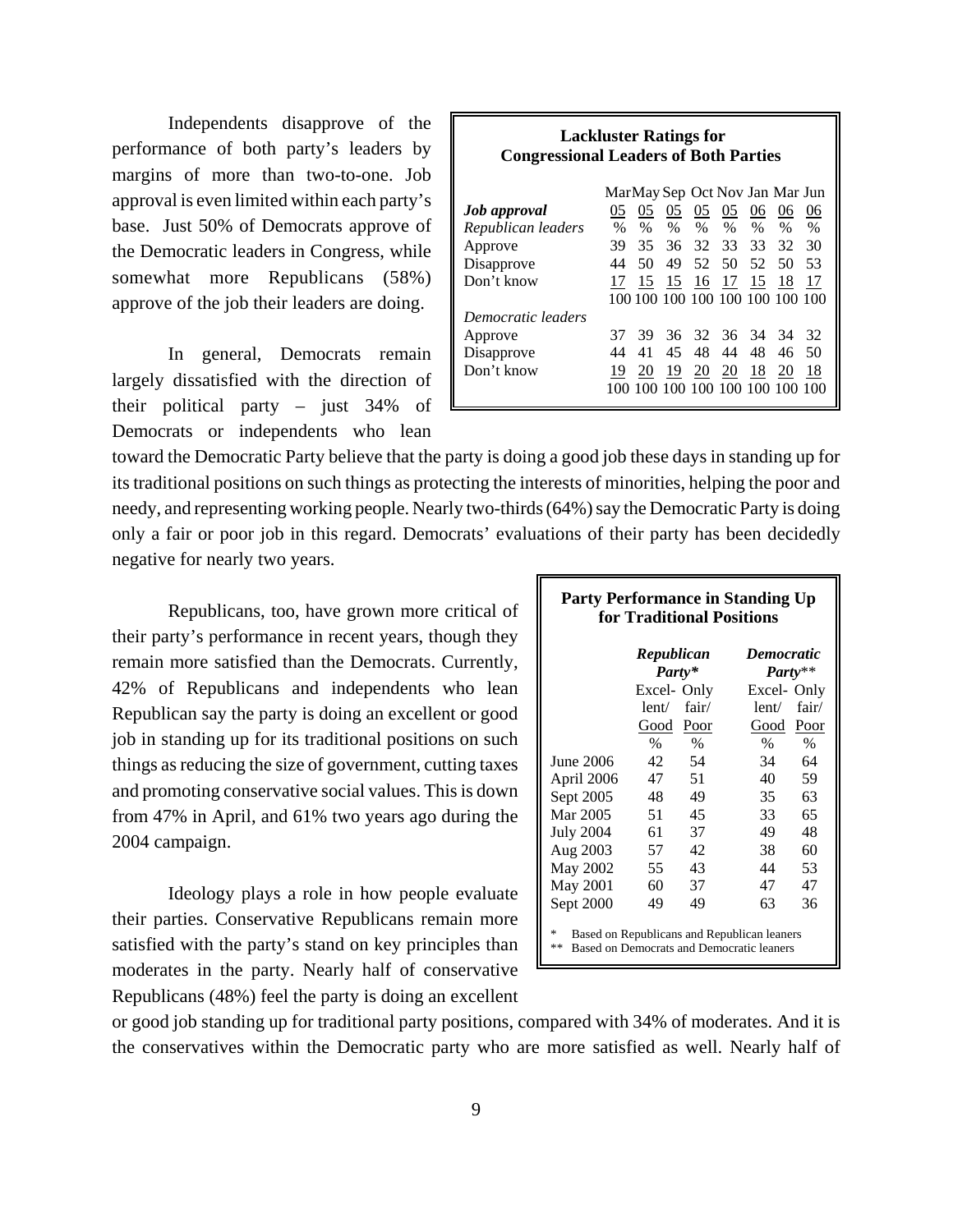Independents disapprove of the performance of both party's leaders by margins of more than two-to-one. Job approval is even limited within each party's base. Just 50% of Democrats approve of the Democratic leaders in Congress, while somewhat more Republicans (58%) approve of the job their leaders are doing.

In general, Democrats remain largely dissatisfied with the direction of their political party – just 34% of Democrats or independents who lean

| <b>Lackluster Ratings for</b>                |
|----------------------------------------------|
| <b>Congressional Leaders of Both Parties</b> |

|                     | MarMay Sep Oct Nov Jan Mar Jun |      |      |                |      |               |                                 |      |
|---------------------|--------------------------------|------|------|----------------|------|---------------|---------------------------------|------|
| <b>Job</b> approval | 05                             | 05   | 05   | 05             | 05   | 06            | 06                              | 06   |
| Republican leaders  | $\%$                           | $\%$ | $\%$ | $\%$           | $\%$ | $\frac{0}{0}$ | $\%$                            | $\%$ |
| Approve             | 39                             | 35   |      | 36 32 33       |      | 33            | 32                              | 30   |
| Disapprove          | 44                             | 50   | 49   | 52 50          |      | -52.          | 50                              | 53   |
| Don't know          | 17                             | 15   |      | 15 16 17       |      | 15            | 18                              | 17   |
|                     |                                |      |      |                |      |               | 100 100 100 100 100 100 100 100 |      |
| Democratic leaders  |                                |      |      |                |      |               |                                 |      |
| Approve             | 37                             |      |      | 39 36 32 36 34 |      |               | 34                              | 32   |
| Disapprove          | 44                             | 41   | 45   | 48             | 44   | 48            | 46                              | 50   |
| Don't know          | 19                             | 20   | 19   | 20             | 20   | 18            | 20                              | 18   |
|                     |                                |      |      |                |      |               | 100 100 100 100 100 100 100 100 |      |

toward the Democratic Party believe that the party is doing a good job these days in standing up for its traditional positions on such things as protecting the interests of minorities, helping the poor and needy, and representing working people. Nearly two-thirds (64%) say the Democratic Party is doing only a fair or poor job in this regard. Democrats' evaluations of their party has been decidedly negative for nearly two years.

Republicans, too, have grown more critical of their party's performance in recent years, though they remain more satisfied than the Democrats. Currently, 42% of Republicans and independents who lean Republican say the party is doing an excellent or good job in standing up for its traditional positions on such things as reducing the size of government, cutting taxes and promoting conservative social values. This is down from 47% in April, and 61% two years ago during the 2004 campaign.

Ideology plays a role in how people evaluate their parties. Conservative Republicans remain more satisfied with the party's stand on key principles than moderates in the party. Nearly half of conservative Republicans (48%) feel the party is doing an excellent

| <b>Party Performance in Standing Up</b><br>for Traditional Positions                                |                      |       |                   |             |  |  |  |
|-----------------------------------------------------------------------------------------------------|----------------------|-------|-------------------|-------------|--|--|--|
|                                                                                                     | Republican<br>Party* |       | <b>Democratic</b> | $Party**$   |  |  |  |
|                                                                                                     | Excel-Only           |       | Excel-Only        |             |  |  |  |
|                                                                                                     | lent/                | fair/ | lent/             | fair/       |  |  |  |
|                                                                                                     | Good Poor            |       | Good              | <u>Poor</u> |  |  |  |
|                                                                                                     | $\%$                 | $\%$  | $\%$              | $\%$        |  |  |  |
| June 2006                                                                                           | 42.                  | 54    | 34                | 64          |  |  |  |
| April 2006                                                                                          | 47                   | 51    | 40                | 59          |  |  |  |
| Sept 2005                                                                                           | 48                   | 49    | 35                | 63          |  |  |  |
| Mar 2005                                                                                            | 51                   | 45    | 33                | 65          |  |  |  |
| <b>July 2004</b>                                                                                    | 61                   | 37    | 49                | 48          |  |  |  |
| Aug 2003                                                                                            | 57                   | 42    | 38                | 60          |  |  |  |
| May 2002                                                                                            | 55                   | 43    | 44                | 53          |  |  |  |
| May 2001                                                                                            | 60                   | 37    | 47                | 47          |  |  |  |
| Sept 2000                                                                                           | 49                   | 49    | 63                | 36          |  |  |  |
| 冰<br>Based on Republicans and Republican leaners<br>**<br>Based on Democrats and Democratic leaners |                      |       |                   |             |  |  |  |

or good job standing up for traditional party positions, compared with 34% of moderates. And it is the conservatives within the Democratic party who are more satisfied as well. Nearly half of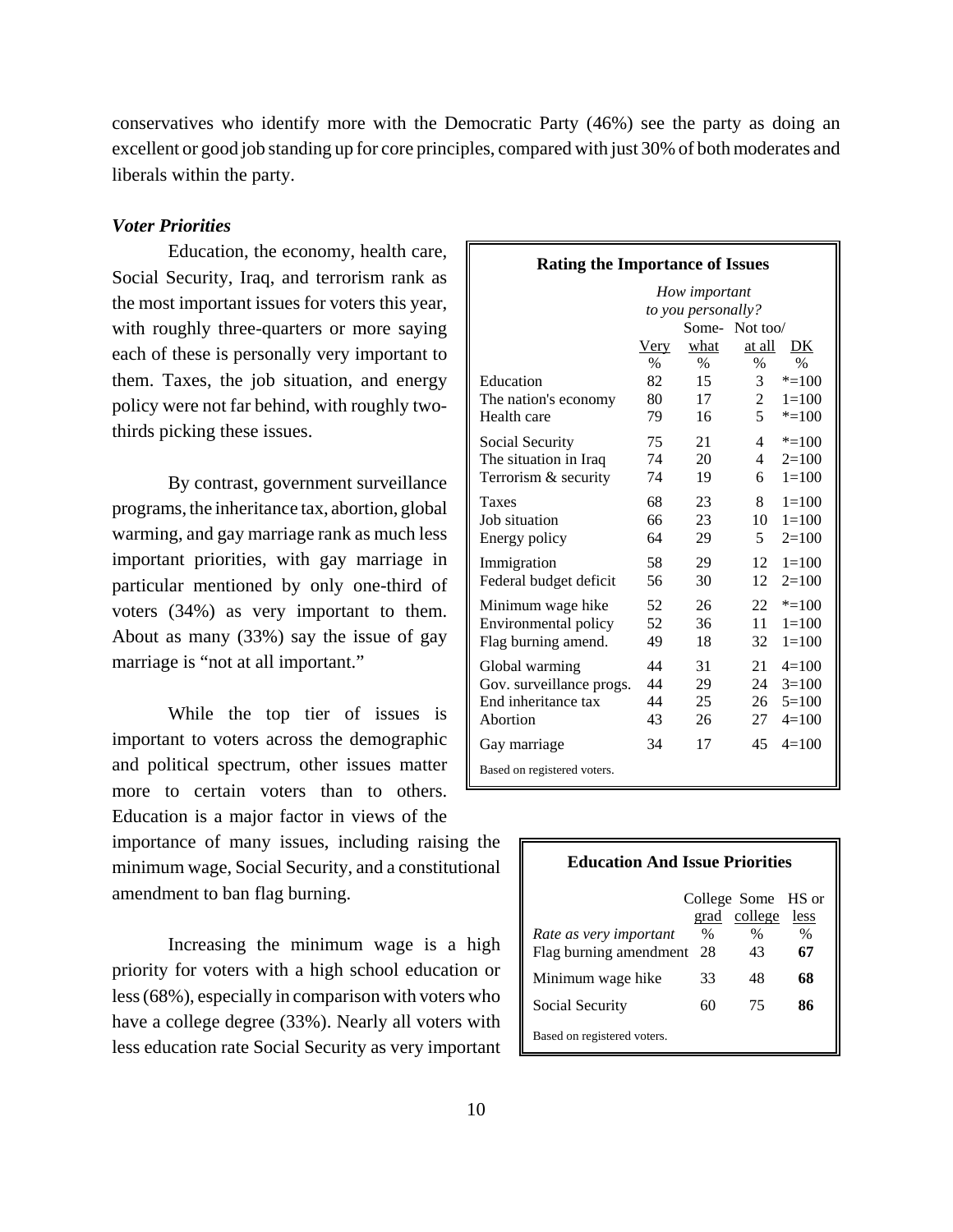conservatives who identify more with the Democratic Party (46%) see the party as doing an excellent or good job standing up for core principles, compared with just 30% of both moderates and liberals within the party.

## *Voter Priorities*

Education, the economy, health care, Social Security, Iraq, and terrorism rank as the most important issues for voters this year, with roughly three-quarters or more saying each of these is personally very important to them. Taxes, the job situation, and energy policy were not far behind, with roughly twothirds picking these issues.

By contrast, government surveillance programs, the inheritance tax, abortion, global warming, and gay marriage rank as much less important priorities, with gay marriage in particular mentioned by only one-third of voters (34%) as very important to them. About as many (33%) say the issue of gay marriage is "not at all important."

While the top tier of issues is important to voters across the demographic and political spectrum, other issues matter more to certain voters than to others. Education is a major factor in views of the

importance of many issues, including raising the minimum wage, Social Security, and a constitutional amendment to ban flag burning.

Increasing the minimum wage is a high priority for voters with a high school education or less (68%), especially in comparison with voters who have a college degree (33%). Nearly all voters with less education rate Social Security as very important

| <b>Rating the Importance of Issues</b> |                                     |      |                           |  |  |  |  |
|----------------------------------------|-------------------------------------|------|---------------------------|--|--|--|--|
|                                        | How important<br>to you personally? |      |                           |  |  |  |  |
|                                        |                                     |      | Some-Not too/             |  |  |  |  |
|                                        | Very                                | what | at all<br>DK              |  |  |  |  |
|                                        | $\frac{0}{0}$                       | $\%$ | $\%$<br>$\%$              |  |  |  |  |
| Education                              | 82                                  | 15   | 3<br>$* = 100$            |  |  |  |  |
| The nation's economy                   | 80                                  | 17   | 2<br>$1 = 100$            |  |  |  |  |
| Health care                            | 79                                  | 16   | 5<br>$* = 100$            |  |  |  |  |
| Social Security                        | 75                                  | 21   | 4<br>$* = 100$            |  |  |  |  |
| The situation in Iraq                  | 74                                  | 20   | $\overline{4}$<br>$2=100$ |  |  |  |  |
| Terrorism & security                   | 74                                  | 19   | $1 = 100$<br>6            |  |  |  |  |
| <b>Taxes</b>                           | 68                                  | 23   | $1 = 100$<br>8            |  |  |  |  |
| Job situation                          | 66                                  | 23   | $1 = 100$<br>10           |  |  |  |  |
| Energy policy                          | 64                                  | 29   | 5<br>$2=100$              |  |  |  |  |
| Immigration                            | 58                                  | 29   | 12<br>$1 = 100$           |  |  |  |  |
| Federal budget deficit                 | 56                                  | 30   | 12<br>$2=100$             |  |  |  |  |
| Minimum wage hike                      | 52                                  | 26   | $* = 100$<br>22           |  |  |  |  |
| Environmental policy                   | 52                                  | 36   | 11<br>$1 = 100$           |  |  |  |  |
| Flag burning amend.                    | 49                                  | 18   | $1 = 100$<br>32           |  |  |  |  |
| Global warming                         | 44                                  | 31   | 21<br>$4=100$             |  |  |  |  |
| Gov. surveillance progs.               | 44                                  | 29   | 24<br>$3=100$             |  |  |  |  |
| End inheritance tax                    | 44                                  | 25   | $5=100$<br>26             |  |  |  |  |
| Abortion                               | 43                                  | 26   | $4=100$<br>27             |  |  |  |  |
| Gay marriage                           | 34                                  | 17   | 45<br>$4=100$             |  |  |  |  |
| Based on registered voters.            |                                     |      |                           |  |  |  |  |

| <b>Education And Issue Priorities</b>               |      |                                         |            |  |  |  |
|-----------------------------------------------------|------|-----------------------------------------|------------|--|--|--|
|                                                     |      | College Some HS or<br>grad college less |            |  |  |  |
| Rate as very important<br>Flag burning amendment 28 | $\%$ | $\%$<br>43                              | $\%$<br>67 |  |  |  |
| Minimum wage hike                                   | 33   | 48                                      | 68         |  |  |  |
| Social Security                                     | 60   | 75                                      | 86         |  |  |  |
| Based on registered voters.                         |      |                                         |            |  |  |  |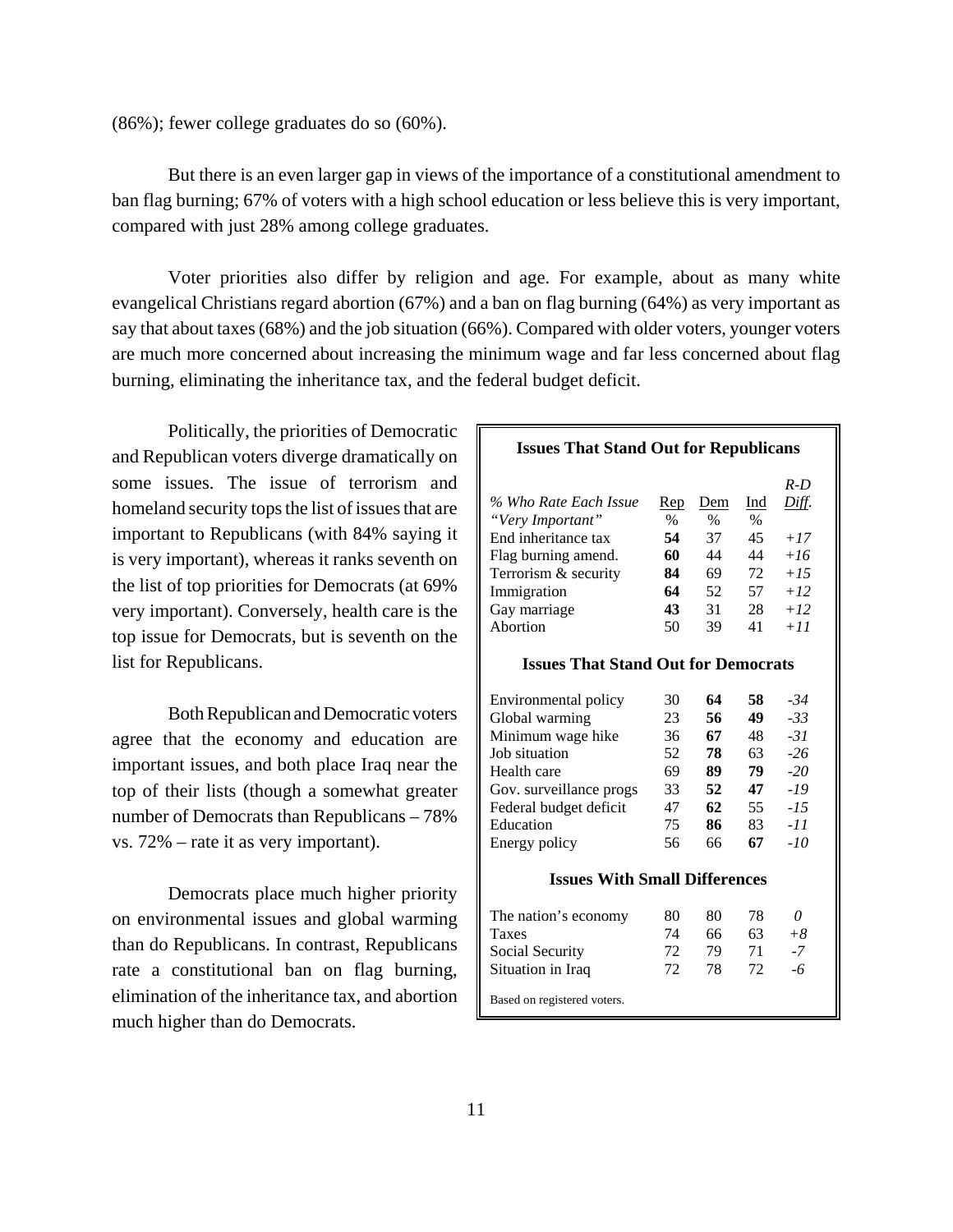(86%); fewer college graduates do so (60%).

But there is an even larger gap in views of the importance of a constitutional amendment to ban flag burning; 67% of voters with a high school education or less believe this is very important, compared with just 28% among college graduates.

Voter priorities also differ by religion and age. For example, about as many white evangelical Christians regard abortion (67%) and a ban on flag burning (64%) as very important as say that about taxes (68%) and the job situation (66%). Compared with older voters, younger voters are much more concerned about increasing the minimum wage and far less concerned about flag burning, eliminating the inheritance tax, and the federal budget deficit.

Politically, the priorities of Democratic and Republican voters diverge dramatically on some issues. The issue of terrorism and homeland security tops the list of issues that are important to Republicans (with 84% saying it is very important), whereas it ranks seventh on the list of top priorities for Democrats (at 69% very important). Conversely, health care is the top issue for Democrats, but is seventh on the list for Republicans.

Both Republican and Democratic voters agree that the economy and education are important issues, and both place Iraq near the top of their lists (though a somewhat greater number of Democrats than Republicans – 78% vs. 72% – rate it as very important).

Democrats place much higher priority on environmental issues and global warming than do Republicans. In contrast, Republicans rate a constitutional ban on flag burning, elimination of the inheritance tax, and abortion much higher than do Democrats.

#### **Issues That Stand Out for Republicans**

|                                            |      |      |      | $R-D$        |  |
|--------------------------------------------|------|------|------|--------------|--|
| % Who Rate Each Issue                      | Rep  | Dem  | Ind  | <u>Diff.</u> |  |
| "Very Important"                           | $\%$ | $\%$ | $\%$ |              |  |
| End inheritance tax                        | 54   | 37   | 45   | $+17$        |  |
| Flag burning amend.                        | 60   | 44   | 44   | $+16$        |  |
| Terrorism & security                       | 84   | 69   | 72   | $+1.5$       |  |
| Immigration                                | 64   | 52   | 57   | $+12$        |  |
| Gay marriage                               | 43   | 31   | 28   | $+12$        |  |
| Abortion                                   | 50   | 39   | 41   | $+11$        |  |
| <b>Issues That Stand Out for Democrats</b> |      |      |      |              |  |
|                                            |      |      |      |              |  |
| Environmental policy                       | 30   | 64   | 58.  | $-34$        |  |
| Global warming                             | 23   | 56   | 49   | $-33$        |  |
| Minimum wage hike                          | 36   | 67   | 48   | $-31$        |  |
| Job situation                              | 52   | 78   | 63   | $-26$        |  |
| Health care                                | 69   | 89   | 79   | $-20$        |  |
| Gov. surveillance progs                    | 33   | 52   | 47   | -19          |  |
| Federal budget deficit                     | 47   | 62   | 55   | $-15$        |  |
| Education                                  | 75   | 86   | 83   | -11          |  |
| Energy policy                              | 56   | 66   | 67   | $-10$        |  |
| <b>Issues With Small Differences</b>       |      |      |      |              |  |
|                                            |      |      |      |              |  |
| The nation's economy                       | 80   | 80   | 78   | 0            |  |
| Taxes                                      | 74   | 66   | 63   | $+8$         |  |
| Social Security                            | 72   | 79   | 71   | $-7$         |  |
| Situation in Iraq                          | 72   | 78   | 72   | -6           |  |
| Based on registered voters.                |      |      |      |              |  |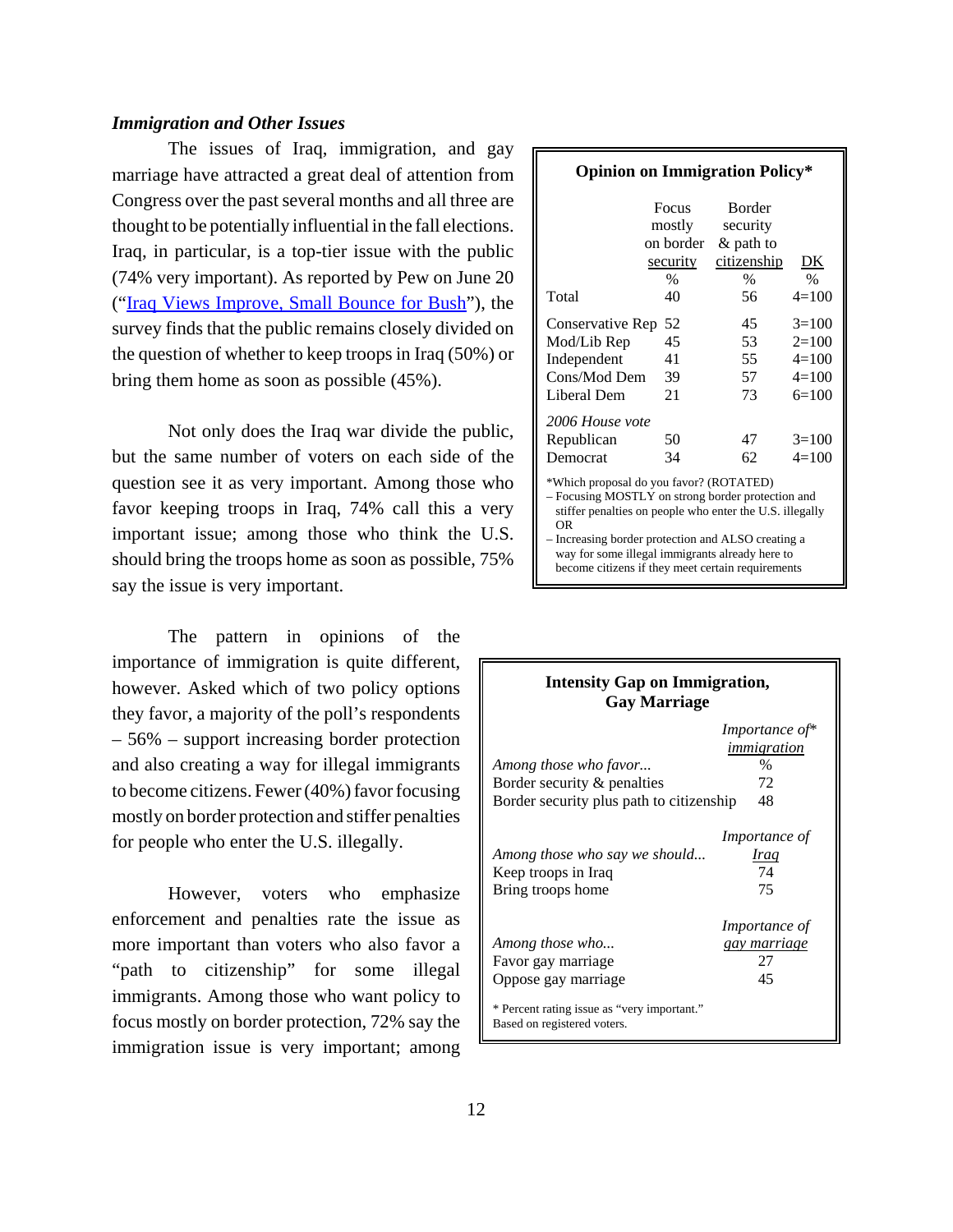#### *Immigration and Other Issues*

The issues of Iraq, immigration, and gay marriage have attracted a great deal of attention from Congress over the past several months and all three are thought to be potentially influential in the fall elections. Iraq, in particular, is a top-tier issue with the public (74% very important). As reported by Pew on June 20 ("Iraq Views Improve, Small Bounce for Bush"), the survey finds that the public remains closely divided on the question of whether to keep troops in Iraq (50%) or bring them home as soon as possible (45%).

Not only does the Iraq war divide the public, but the same number of voters on each side of the question see it as very important. Among those who favor keeping troops in Iraq, 74% call this a very important issue; among those who think the U.S. should bring the troops home as soon as possible, 75% say the issue is very important.

The pattern in opinions of the importance of immigration is quite different, however. Asked which of two policy options they favor, a majority of the poll's respondents – 56% – support increasing border protection and also creating a way for illegal immigrants to become citizens. Fewer (40%) favor focusing mostly on border protection and stiffer penalties for people who enter the U.S. illegally.

However, voters who emphasize enforcement and penalties rate the issue as more important than voters who also favor a "path to citizenship" for some illegal immigrants. Among those who want policy to focus mostly on border protection, 72% say the immigration issue is very important; among

# **Opinion on Immigration Policy\***

|                                                                               | Focus<br>mostly<br>on border<br>security<br>$\%$ | <b>Border</b><br>security<br>& path to<br>citizenship<br>$\%$ | DK<br>$\frac{0}{0}$                                 |
|-------------------------------------------------------------------------------|--------------------------------------------------|---------------------------------------------------------------|-----------------------------------------------------|
| Total                                                                         | 40                                               | 56                                                            | $4=100$                                             |
| Conservative Rep<br>Mod/Lib Rep<br>Independent<br>Cons/Mod Dem<br>Liberal Dem | 52<br>45<br>41<br>39<br>21                       | 45<br>53<br>55<br>57<br>73                                    | $3=100$<br>$2=100$<br>$4=100$<br>$4=100$<br>$6=100$ |
| 2006 House vote<br>Republican<br>Democrat<br>1.77771111                       | 50<br>34<br>$\epsilon$                           | 47<br>62                                                      | $3=100$<br>$4=100$                                  |

\*Which proposal do you favor? (ROTATED)

– Focusing MOSTLY on strong border protection and stiffer penalties on people who enter the U.S. illegally OR

– Increasing border protection and ALSO creating a way for some illegal immigrants already here to become citizens if they meet certain requirements

| <b>Intensity Gap on Immigration,</b><br><b>Gay Marriage</b>                                      |                                                         |
|--------------------------------------------------------------------------------------------------|---------------------------------------------------------|
| Among those who favor<br>Border security & penalties<br>Border security plus path to citizenship | Importance of*<br>immigration<br>$\%$<br>72<br>48       |
| Among those who say we should<br>Keep troops in Iraq<br>Bring troops home                        | <i>Importance of</i><br>Iraq<br>74<br>75                |
| Among those who<br>Favor gay marriage<br>Oppose gay marriage                                     | <i>Importance of</i><br><u>gay marriage</u><br>27<br>45 |
| * Percent rating issue as "very important."<br>Based on registered voters.                       |                                                         |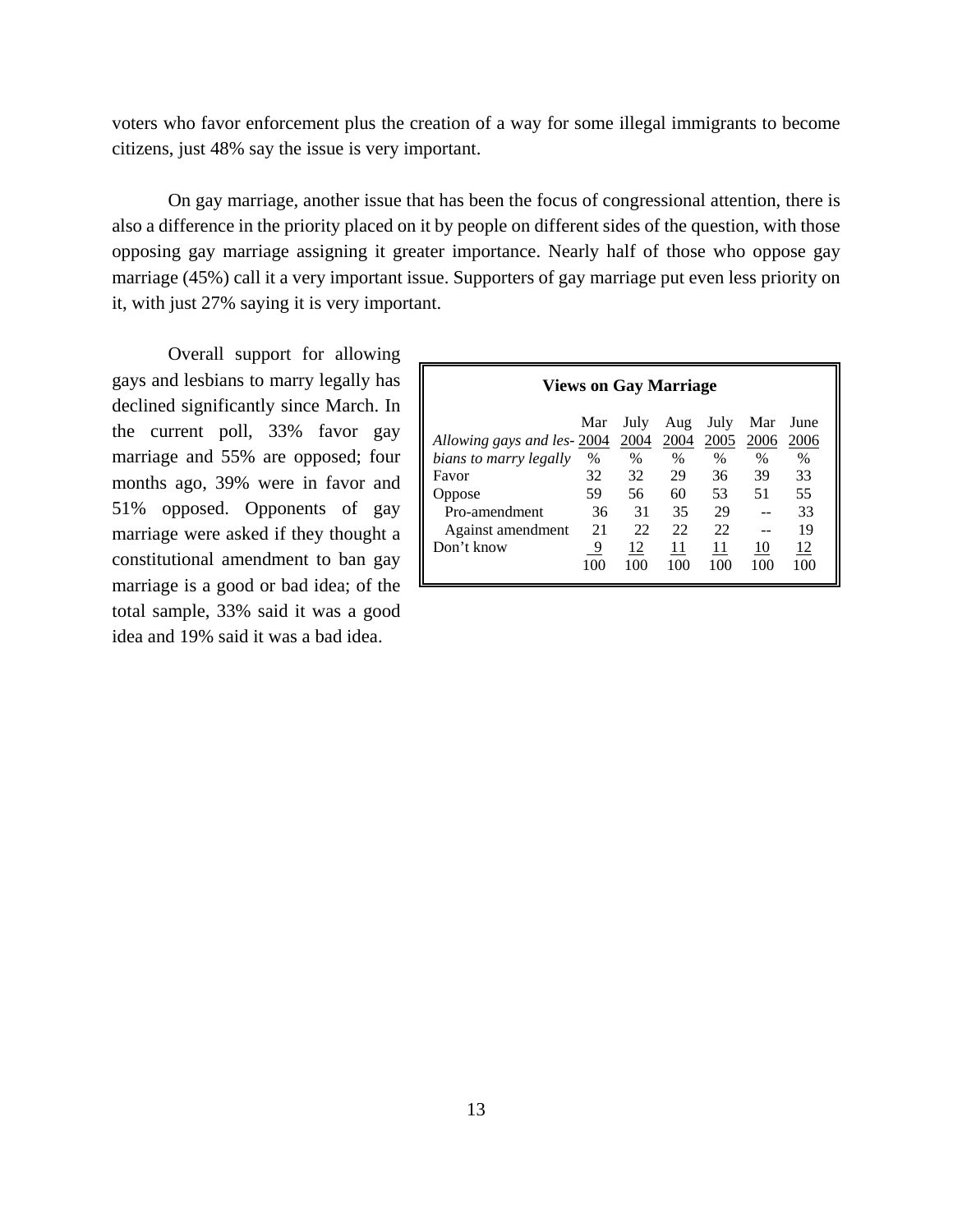voters who favor enforcement plus the creation of a way for some illegal immigrants to become citizens, just 48% say the issue is very important.

On gay marriage, another issue that has been the focus of congressional attention, there is also a difference in the priority placed on it by people on different sides of the question, with those opposing gay marriage assigning it greater importance. Nearly half of those who oppose gay marriage (45%) call it a very important issue. Supporters of gay marriage put even less priority on it, with just 27% saying it is very important.

Overall support for allowing gays and lesbians to marry legally has declined significantly since March. In the current poll, 33% favor gay marriage and 55% are opposed; four months ago, 39% were in favor and 51% opposed. Opponents of gay marriage were asked if they thought a constitutional amendment to ban gay marriage is a good or bad idea; of the total sample, 33% said it was a good idea and 19% said it was a bad idea.

| <b>Views on Gay Marriage</b> |      |      |      |               |      |      |
|------------------------------|------|------|------|---------------|------|------|
|                              | Mar  | July | Aug  | July          | Mar  | June |
| Allowing gays and les-2004   |      | 2004 | 2004 | 2005          | 2006 | 2006 |
| bians to marry legally       | $\%$ | $\%$ | $\%$ | $\frac{0}{0}$ | $\%$ | $\%$ |
| Favor                        | 32   | 32   | 29   | 36            | 39   | 33   |
| Oppose                       | 59   | 56   | 60   | 53            | 51   | 55   |
| Pro-amendment                | 36   | 31   | 35   | 29            |      | 33   |
| Against amendment            | 21   | 22   | 22   | 22            |      | 19   |
| Don't know                   | 9    | 12   | 11   | 11            | 10   | 12   |
|                              | 100  | 100  | 100  | 100           | 100  | 100  |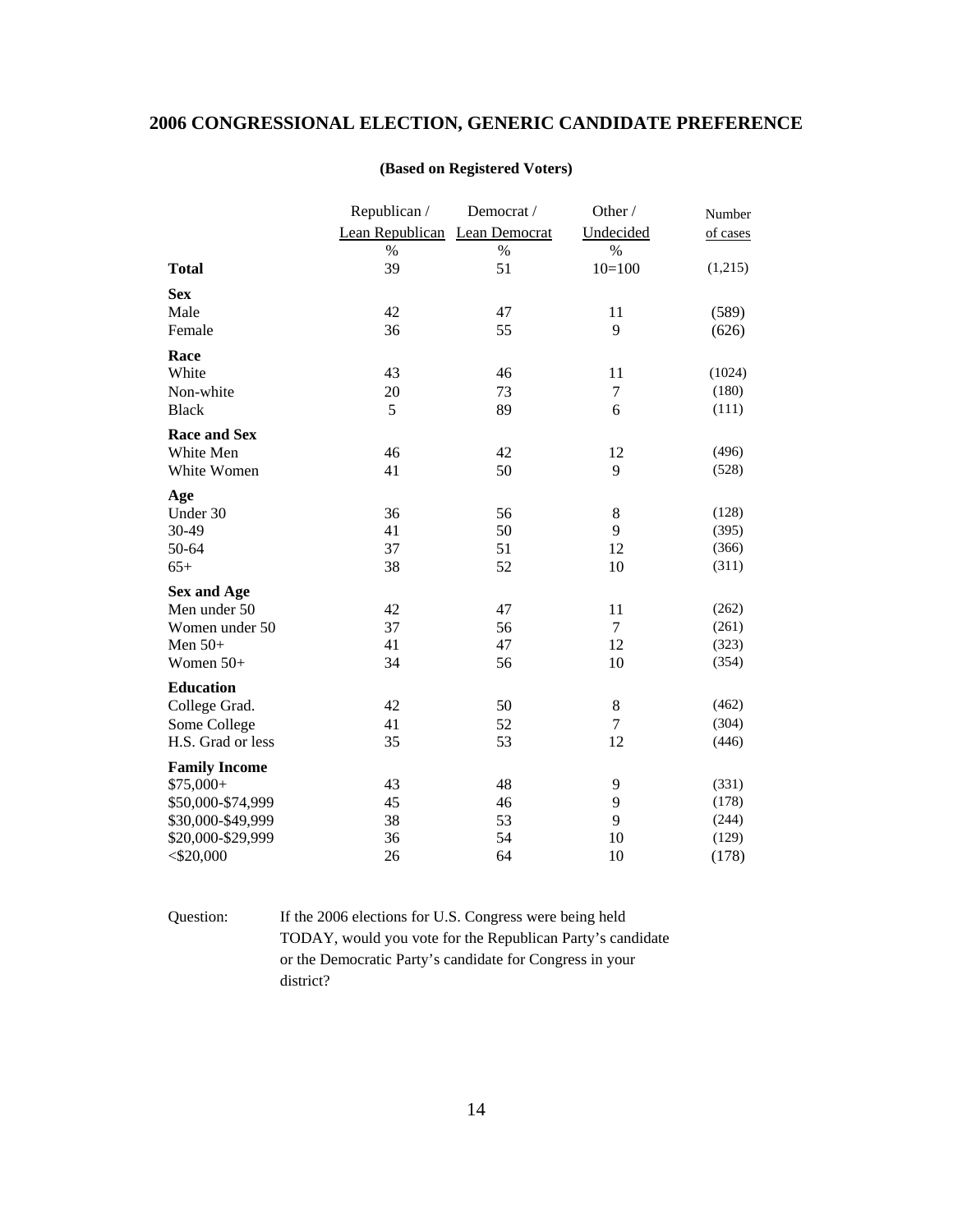# **2006 CONGRESSIONAL ELECTION, GENERIC CANDIDATE PREFERENCE**

|                      | Republican /                  | Democrat / | Other /   | Number   |
|----------------------|-------------------------------|------------|-----------|----------|
|                      | Lean Republican Lean Democrat |            | Undecided | of cases |
|                      | $\%$                          | $\%$       | $\%$      |          |
| <b>Total</b>         | 39                            | 51         | $10=100$  | (1,215)  |
| <b>Sex</b>           |                               |            |           |          |
| Male                 | 42                            | 47         | 11        | (589)    |
| Female               | 36                            | 55         | 9         | (626)    |
| Race                 |                               |            |           |          |
| White                | 43                            | 46         | 11        | (1024)   |
| Non-white            | 20                            | 73         | $\tau$    | (180)    |
| <b>Black</b>         | 5                             | 89         | 6         | (111)    |
| <b>Race and Sex</b>  |                               |            |           |          |
| White Men            | 46                            | 42         | 12        | (496)    |
| White Women          | 41                            | 50         | 9         | (528)    |
| Age                  |                               |            |           |          |
| Under 30             | 36                            | 56         | 8         | (128)    |
| 30-49                | 41                            | 50         | 9         | (395)    |
| 50-64                | 37                            | 51         | 12        | (366)    |
| $65+$                | 38                            | 52         | 10        | (311)    |
| <b>Sex and Age</b>   |                               |            |           |          |
| Men under 50         | 42                            | 47         | 11        | (262)    |
| Women under 50       | 37                            | 56         | 7         | (261)    |
| Men $50+$            | 41                            | 47         | 12        | (323)    |
| Women 50+            | 34                            | 56         | 10        | (354)    |
| <b>Education</b>     |                               |            |           |          |
| College Grad.        | 42                            | 50         | 8         | (462)    |
| Some College         | 41                            | 52         | $\tau$    | (304)    |
| H.S. Grad or less    | 35                            | 53         | 12        | (446)    |
| <b>Family Income</b> |                               |            |           |          |
| $$75,000+$           | 43                            | 48         | 9         | (331)    |
| \$50,000-\$74,999    | 45                            | 46         | 9         | (178)    |
| \$30,000-\$49,999    | 38                            | 53         | 9         | (244)    |
| \$20,000-\$29,999    | 36                            | 54         | 10        | (129)    |
| $<$ \$20,000         | 26                            | 64         | 10        | (178)    |

## **(Based on Registered Voters)**

Question: If the 2006 elections for U.S. Congress were being held TODAY, would you vote for the Republican Party's candidate or the Democratic Party's candidate for Congress in your district?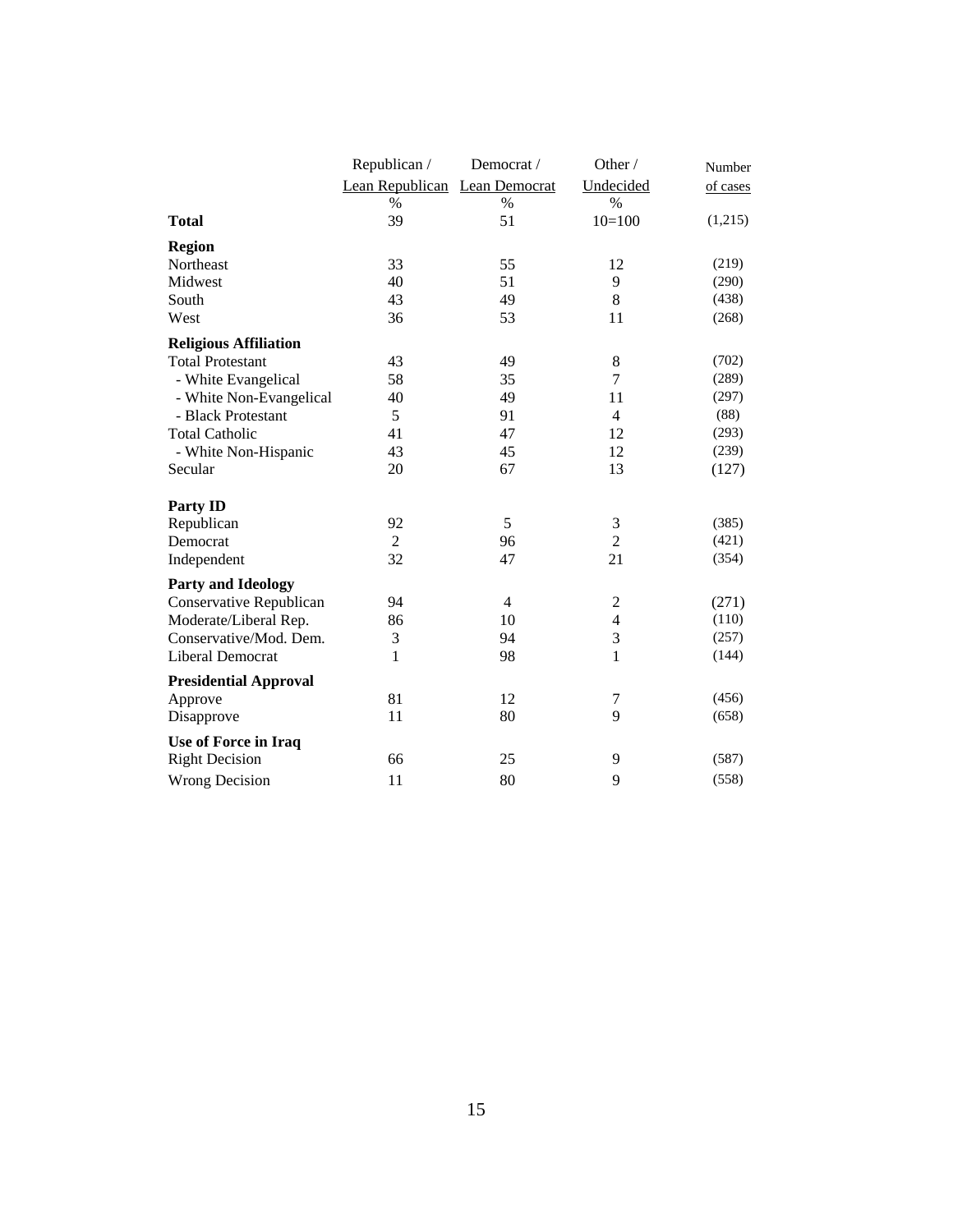|                              | Republican /                  | Democrat /     | Other /        | Number   |
|------------------------------|-------------------------------|----------------|----------------|----------|
|                              | Lean Republican Lean Democrat |                | Undecided      | of cases |
|                              | $\%$                          | $\%$           | $\%$           |          |
| <b>Total</b>                 | 39                            | 51             | $10=100$       | (1,215)  |
| <b>Region</b>                |                               |                |                |          |
| Northeast                    | 33                            | 55             | 12             | (219)    |
| Midwest                      | 40                            | 51             | 9              | (290)    |
| South                        | 43                            | 49             | 8              | (438)    |
| West                         | 36                            | 53             | 11             | (268)    |
| <b>Religious Affiliation</b> |                               |                |                |          |
| <b>Total Protestant</b>      | 43                            | 49             | 8              | (702)    |
| - White Evangelical          | 58                            | 35             | 7              | (289)    |
| - White Non-Evangelical      | 40                            | 49             | 11             | (297)    |
| - Black Protestant           | 5                             | 91             | $\overline{4}$ | (88)     |
| <b>Total Catholic</b>        | 41                            | 47             | 12             | (293)    |
| - White Non-Hispanic         | 43                            | 45             | 12             | (239)    |
| Secular                      | 20                            | 67             | 13             | (127)    |
| <b>Party ID</b>              |                               |                |                |          |
| Republican                   | 92                            | 5              | 3              | (385)    |
| Democrat                     | $\overline{2}$                | 96             | $\overline{2}$ | (421)    |
| Independent                  | 32                            | 47             | 21             | (354)    |
| <b>Party and Ideology</b>    |                               |                |                |          |
| Conservative Republican      | 94                            | $\overline{4}$ | $\mathfrak{2}$ | (271)    |
| Moderate/Liberal Rep.        | 86                            | 10             | $\overline{4}$ | (110)    |
| Conservative/Mod. Dem.       | 3                             | 94             | 3              | (257)    |
| Liberal Democrat             | $\mathbf{1}$                  | 98             | $\mathbf{1}$   | (144)    |
| <b>Presidential Approval</b> |                               |                |                |          |
| Approve                      | 81                            | 12             | 7              | (456)    |
| Disapprove                   | 11                            | 80             | 9              | (658)    |
| Use of Force in Iraq         |                               |                |                |          |
| <b>Right Decision</b>        | 66                            | 25             | 9              | (587)    |
| <b>Wrong Decision</b>        | 11                            | 80             | 9              | (558)    |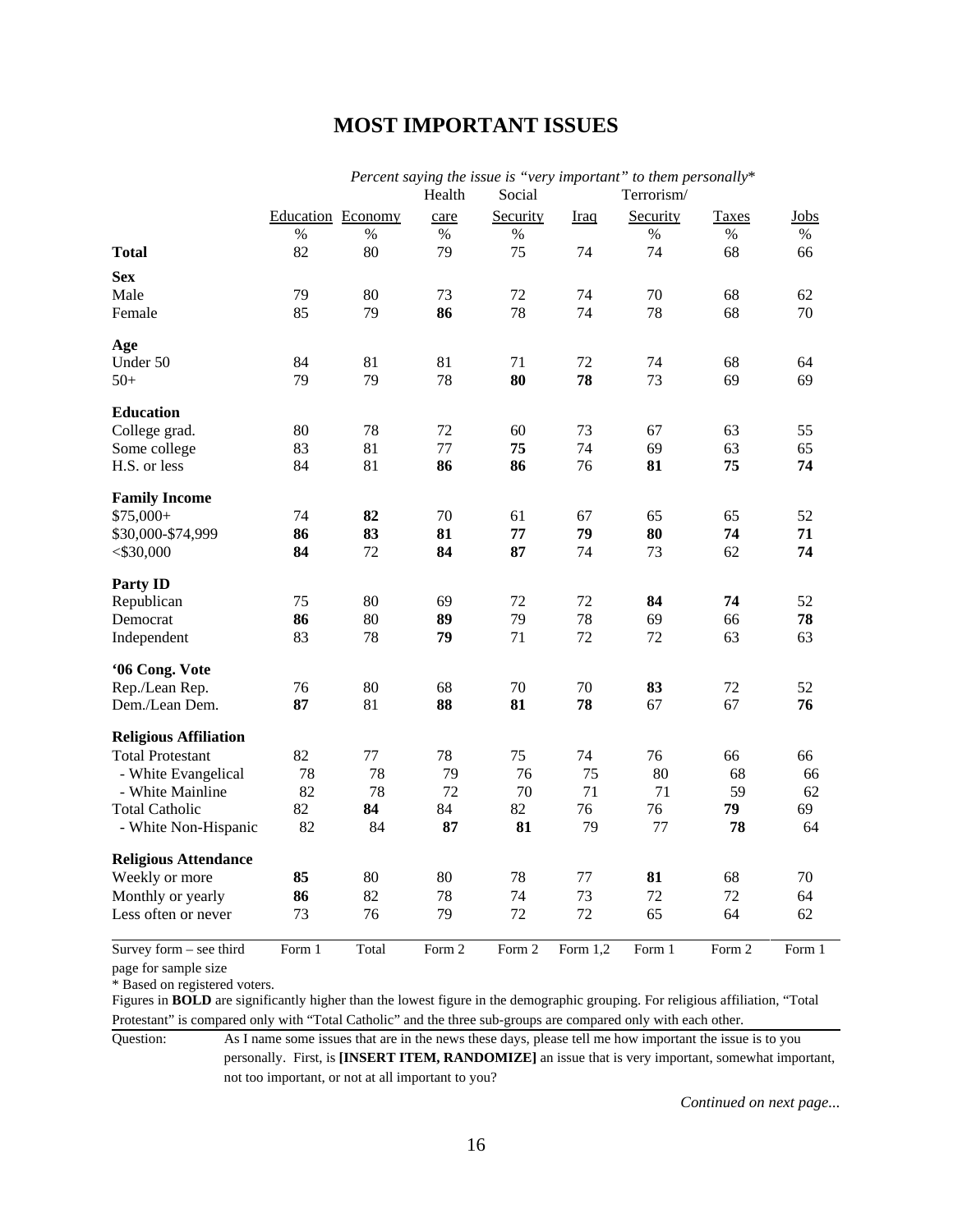# **MOST IMPORTANT ISSUES**

|                              |        |                          | Health | Social   |             | Percent saying the issue is very important to them personally.<br>Terrorism/ |        |        |
|------------------------------|--------|--------------------------|--------|----------|-------------|------------------------------------------------------------------------------|--------|--------|
|                              |        | <b>Education</b> Economy | care   | Security | <b>Iraq</b> | Security                                                                     | Taxes  | Jobs   |
|                              | $\%$   | $\%$                     | $\%$   | $\%$     |             | $\%$                                                                         | $\%$   | $\%$   |
| <b>Total</b>                 | 82     | 80                       | 79     | 75       | 74          | 74                                                                           | 68     | 66     |
| <b>Sex</b>                   |        |                          |        |          |             |                                                                              |        |        |
| Male                         | 79     | 80                       | 73     | 72       | 74          | 70                                                                           | 68     | 62     |
| Female                       | 85     | 79                       | 86     | 78       | 74          | 78                                                                           | 68     | 70     |
| Age                          |        |                          |        |          |             |                                                                              |        |        |
| Under 50                     | 84     | 81                       | 81     | 71       | 72          | 74                                                                           | 68     | 64     |
| $50+$                        | 79     | 79                       | 78     | 80       | 78          | 73                                                                           | 69     | 69     |
| <b>Education</b>             |        |                          |        |          |             |                                                                              |        |        |
| College grad.                | 80     | 78                       | 72     | 60       | 73          | 67                                                                           | 63     | 55     |
| Some college                 | 83     | 81                       | 77     | 75       | 74          | 69                                                                           | 63     | 65     |
| H.S. or less                 | 84     | 81                       | 86     | 86       | 76          | 81                                                                           | 75     | 74     |
| <b>Family Income</b>         |        |                          |        |          |             |                                                                              |        |        |
| $$75,000+$                   | 74     | 82                       | 70     | 61       | 67          | 65                                                                           | 65     | 52     |
| \$30,000-\$74,999            | 86     | 83                       | 81     | 77       | 79          | 80                                                                           | 74     | 71     |
| $<$ \$30,000                 | 84     | 72                       | 84     | 87       | 74          | 73                                                                           | 62     | 74     |
| <b>Party ID</b>              |        |                          |        |          |             |                                                                              |        |        |
| Republican                   | 75     | 80                       | 69     | 72       | 72          | 84                                                                           | 74     | 52     |
| Democrat                     | 86     | 80                       | 89     | 79       | 78          | 69                                                                           | 66     | 78     |
| Independent                  | 83     | 78                       | 79     | 71       | 72          | 72                                                                           | 63     | 63     |
| '06 Cong. Vote               |        |                          |        |          |             |                                                                              |        |        |
| Rep./Lean Rep.               | 76     | 80                       | 68     | 70       | 70          | 83                                                                           | 72     | 52     |
| Dem./Lean Dem.               | 87     | 81                       | 88     | 81       | 78          | 67                                                                           | 67     | 76     |
| <b>Religious Affiliation</b> |        |                          |        |          |             |                                                                              |        |        |
| <b>Total Protestant</b>      | 82     | 77                       | 78     | 75       | 74          | 76                                                                           | 66     | 66     |
| - White Evangelical          | 78     | 78                       | 79     | 76       | 75          | 80                                                                           | 68     | 66     |
| - White Mainline             | 82     | 78                       | 72     | 70       | 71          | 71                                                                           | 59     | 62     |
| <b>Total Catholic</b>        | 82     | 84                       | 84     | 82       | 76          | 76                                                                           | 79     | 69     |
| - White Non-Hispanic         | 82     | 84                       | 87     | 81       | 79          | 77                                                                           | 78     | 64     |
| <b>Religious Attendance</b>  |        |                          |        |          |             |                                                                              |        |        |
| Weekly or more               | 85     | 80                       | 80     | 78       | 77          | 81                                                                           | 68     | 70     |
| Monthly or yearly            | 86     | 82                       | 78     | 74       | 73          | 72                                                                           | 72     | 64     |
| Less often or never          | 73     | 76                       | 79     | 72       | 72          | 65                                                                           | 64     | 62     |
| Survey form - see third      | Form 1 | Total                    | Form 2 | Form 2   | Form $1.2$  | Form 1                                                                       | Form 2 | Form 1 |

*Percent saying the issue is "very important" to them personally*\*

page for sample size

\* Based on registered voters.

Figures in **BOLD** are significantly higher than the lowest figure in the demographic grouping. For religious affiliation, "Total Protestant" is compared only with "Total Catholic" and the three sub-groups are compared only with each other.

Question: As I name some issues that are in the news these days, please tell me how important the issue is to you personally. First, is **[INSERT ITEM, RANDOMIZE]** an issue that is very important, somewhat important, not too important, or not at all important to you?

*Continued on next page...*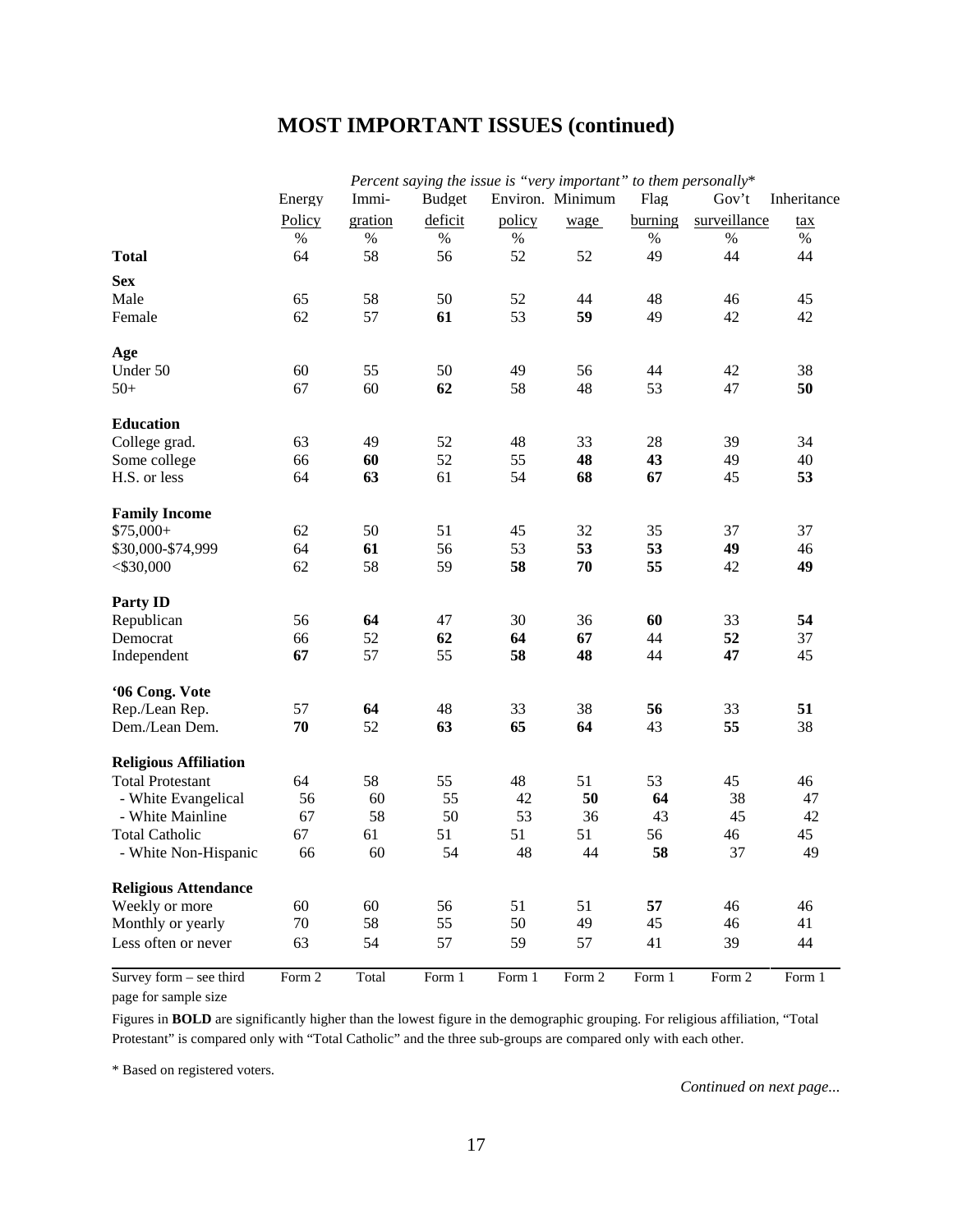# **MOST IMPORTANT ISSUES (continued)**

|                              |        |         | Percent saying the issue is "very important" to them personally* |        |                  |         |              |             |
|------------------------------|--------|---------|------------------------------------------------------------------|--------|------------------|---------|--------------|-------------|
|                              | Energy | Immi-   | <b>Budget</b>                                                    |        | Environ. Minimum | Flag    | Gov't        | Inheritance |
|                              | Policy | gration | deficit                                                          | policy | wage             | burning | surveillance | <u>tax</u>  |
|                              | $\%$   | $\%$    | $\%$                                                             | $\%$   |                  | $\%$    | $\%$         | $\%$        |
| <b>Total</b>                 | 64     | 58      | 56                                                               | 52     | 52               | 49      | 44           | 44          |
| <b>Sex</b>                   |        |         |                                                                  |        |                  |         |              |             |
| Male                         | 65     | 58      | 50                                                               | 52     | 44               | 48      | 46           | 45          |
| Female                       | 62     | 57      | 61                                                               | 53     | 59               | 49      | 42           | 42          |
|                              |        |         |                                                                  |        |                  |         |              |             |
| Age                          |        |         |                                                                  |        |                  |         |              |             |
| Under 50                     | 60     | 55      | 50                                                               | 49     | 56               | 44      | 42           | 38          |
| $50+$                        | 67     | 60      | 62                                                               | 58     | 48               | 53      | 47           | 50          |
|                              |        |         |                                                                  |        |                  |         |              |             |
| <b>Education</b>             |        |         |                                                                  |        |                  |         |              |             |
| College grad.                | 63     | 49      | 52                                                               | 48     | 33               | 28      | 39           | 34          |
| Some college                 | 66     | 60      | 52                                                               | 55     | 48               | 43      | 49           | 40          |
| H.S. or less                 | 64     | 63      | 61                                                               | 54     | 68               | 67      | 45           | 53          |
| <b>Family Income</b>         |        |         |                                                                  |        |                  |         |              |             |
| $$75,000+$                   | 62     | 50      | 51                                                               | 45     | 32               | 35      | 37           | 37          |
| \$30,000-\$74,999            | 64     | 61      | 56                                                               | 53     | 53               | 53      | 49           | 46          |
| $<$ \$30,000                 | 62     | 58      | 59                                                               | 58     | 70               | 55      | 42           | 49          |
|                              |        |         |                                                                  |        |                  |         |              |             |
| <b>Party ID</b>              |        |         |                                                                  |        |                  |         |              |             |
| Republican                   | 56     | 64      | 47                                                               | 30     | 36               | 60      | 33           | 54          |
| Democrat                     | 66     | 52      | 62                                                               | 64     | 67               | 44      | 52           | 37          |
| Independent                  | 67     | 57      | 55                                                               | 58     | 48               | 44      | 47           | 45          |
| '06 Cong. Vote               |        |         |                                                                  |        |                  |         |              |             |
| Rep./Lean Rep.               | 57     | 64      | 48                                                               | 33     | 38               | 56      | 33           | 51          |
| Dem./Lean Dem.               | 70     | 52      | 63                                                               | 65     | 64               | 43      | 55           | 38          |
|                              |        |         |                                                                  |        |                  |         |              |             |
| <b>Religious Affiliation</b> |        |         |                                                                  |        |                  |         |              |             |
| <b>Total Protestant</b>      | 64     | 58      | 55                                                               | 48     | 51               | 53      | 45           | 46          |
| - White Evangelical          | 56     | 60      | 55                                                               | 42     | 50               | 64      | 38           | 47          |
| - White Mainline             | 67     | 58      | 50                                                               | 53     | 36               | 43      | 45           | 42          |
| <b>Total Catholic</b>        | 67     | 61      | 51                                                               | 51     | 51               | 56      | 46           | 45          |
| - White Non-Hispanic         | 66     | 60      | 54                                                               | 48     | 44               | 58      | 37           | 49          |
| <b>Religious Attendance</b>  |        |         |                                                                  |        |                  |         |              |             |
| Weekly or more               | 60     | 60      | 56                                                               | 51     | 51               | 57      | 46           | 46          |
| Monthly or yearly            | 70     | 58      | 55                                                               | 50     | 49               | 45      | 46           | 41          |
| Less often or never          | 63     | 54      | 57                                                               | 59     | 57               | 41      | 39           | 44          |
| Survey form - see third      | Form 2 | Total   | Form 1                                                           | Form 1 | Form 2           | Form 1  | Form 2       | Form 1      |
| page for sample size         |        |         |                                                                  |        |                  |         |              |             |

Figures in **BOLD** are significantly higher than the lowest figure in the demographic grouping. For religious affiliation, "Total Protestant" is compared only with "Total Catholic" and the three sub-groups are compared only with each other.

\* Based on registered voters.

*Continued on next page...*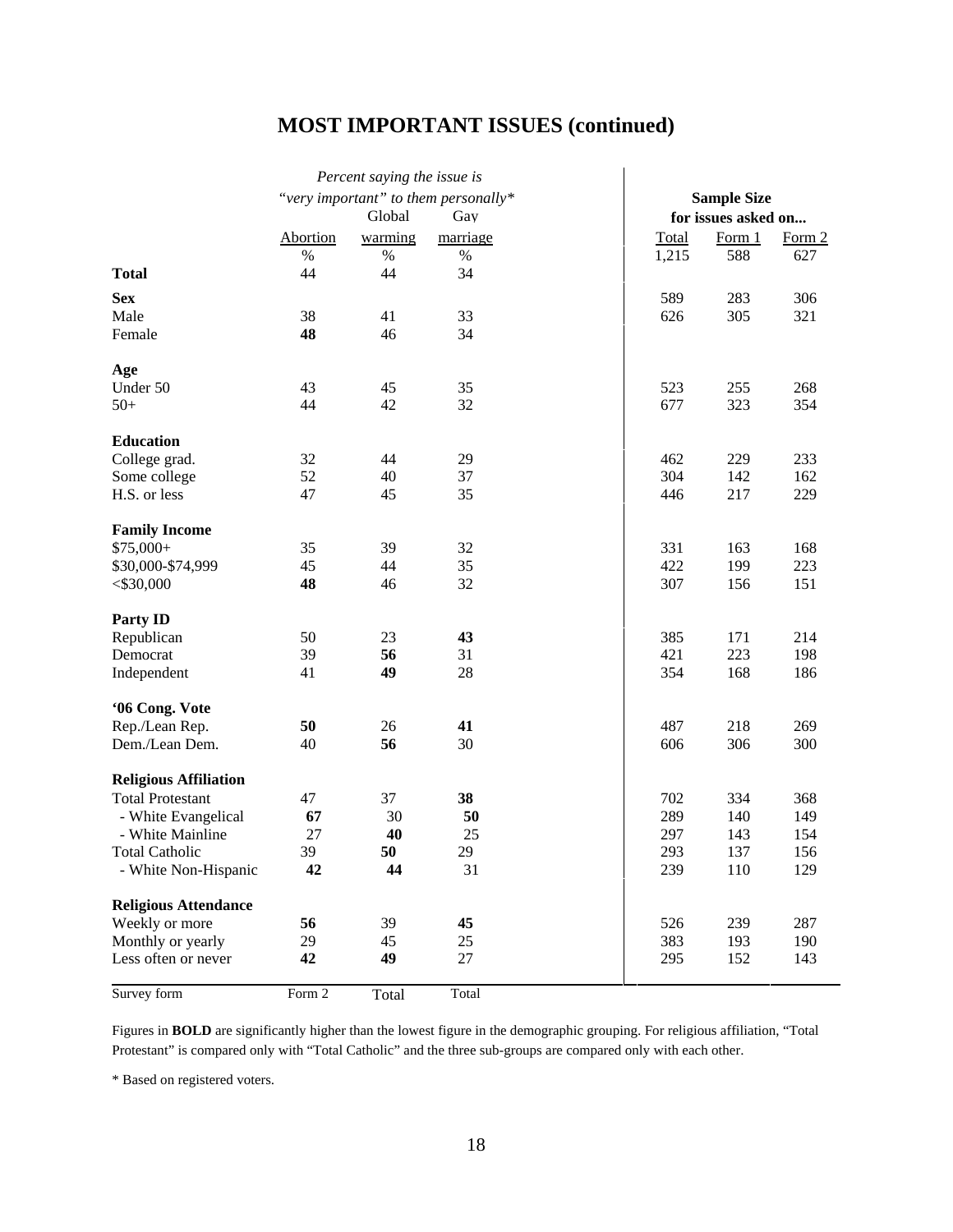# **MOST IMPORTANT ISSUES (continued)**

|                              |          | Percent saying the issue is |                                      |       |                     |        |
|------------------------------|----------|-----------------------------|--------------------------------------|-------|---------------------|--------|
|                              |          |                             | "very important" to them personally* |       | <b>Sample Size</b>  |        |
|                              |          | Global                      | Gay                                  |       | for issues asked on |        |
|                              | Abortion | warming                     | marriage                             | Total | Form 1              | Form 2 |
|                              | $\%$     | $\%$                        | $\%$                                 | 1,215 | 588                 | 627    |
| <b>Total</b>                 | 44       | 44                          | 34                                   |       |                     |        |
| <b>Sex</b>                   |          |                             |                                      | 589   | 283                 | 306    |
| Male                         | 38       | 41                          | 33                                   | 626   | 305                 | 321    |
| Female                       | 48       | 46                          | 34                                   |       |                     |        |
| Age                          |          |                             |                                      |       |                     |        |
| Under 50                     | 43       | 45                          | 35                                   | 523   | 255                 | 268    |
| $50+$                        | 44       | 42                          | 32                                   | 677   | 323                 | 354    |
| <b>Education</b>             |          |                             |                                      |       |                     |        |
| College grad.                | 32       | 44                          | 29                                   | 462   | 229                 | 233    |
| Some college                 | 52       | 40                          | 37                                   | 304   | 142                 | 162    |
| H.S. or less                 | 47       | 45                          | 35                                   | 446   | 217                 | 229    |
| <b>Family Income</b>         |          |                             |                                      |       |                     |        |
| $$75,000+$                   | 35       | 39                          | 32                                   | 331   | 163                 | 168    |
| \$30,000-\$74,999            | 45       | 44                          | 35                                   | 422   | 199                 | 223    |
| $<$ \$30,000                 | 48       | 46                          | 32                                   | 307   | 156                 | 151    |
| <b>Party ID</b>              |          |                             |                                      |       |                     |        |
| Republican                   | 50       | 23                          | 43                                   | 385   | 171                 | 214    |
| Democrat                     | 39       | 56                          | 31                                   | 421   | 223                 | 198    |
| Independent                  | 41       | 49                          | 28                                   | 354   | 168                 | 186    |
| '06 Cong. Vote               |          |                             |                                      |       |                     |        |
| Rep./Lean Rep.               | 50       | 26                          | 41                                   | 487   | 218                 | 269    |
| Dem./Lean Dem.               | 40       | 56                          | 30                                   | 606   | 306                 | 300    |
| <b>Religious Affiliation</b> |          |                             |                                      |       |                     |        |
| <b>Total Protestant</b>      | 47       | 37                          | 38                                   | 702   | 334                 | 368    |
| - White Evangelical          | 67       | 30                          | 50                                   | 289   | 140                 | 149    |
| - White Mainline             | 27       | 40                          | 25                                   | 297   | 143                 | 154    |
| <b>Total Catholic</b>        | 39       | 50                          | 29                                   | 293   | 137                 | 156    |
| - White Non-Hispanic         | 42       | 44                          | 31                                   | 239   | 110                 | 129    |
| <b>Religious Attendance</b>  |          |                             |                                      |       |                     |        |
| Weekly or more               | 56       | 39                          | 45                                   | 526   | 239                 | 287    |
| Monthly or yearly            | 29       | 45                          | 25                                   | 383   | 193                 | 190    |
| Less often or never          | 42       | 49                          | 27                                   | 295   | 152                 | 143    |
| Survey form                  | Form 2   | Total                       | Total                                |       |                     |        |

Figures in **BOLD** are significantly higher than the lowest figure in the demographic grouping. For religious affiliation, "Total Protestant" is compared only with "Total Catholic" and the three sub-groups are compared only with each other.

\* Based on registered voters.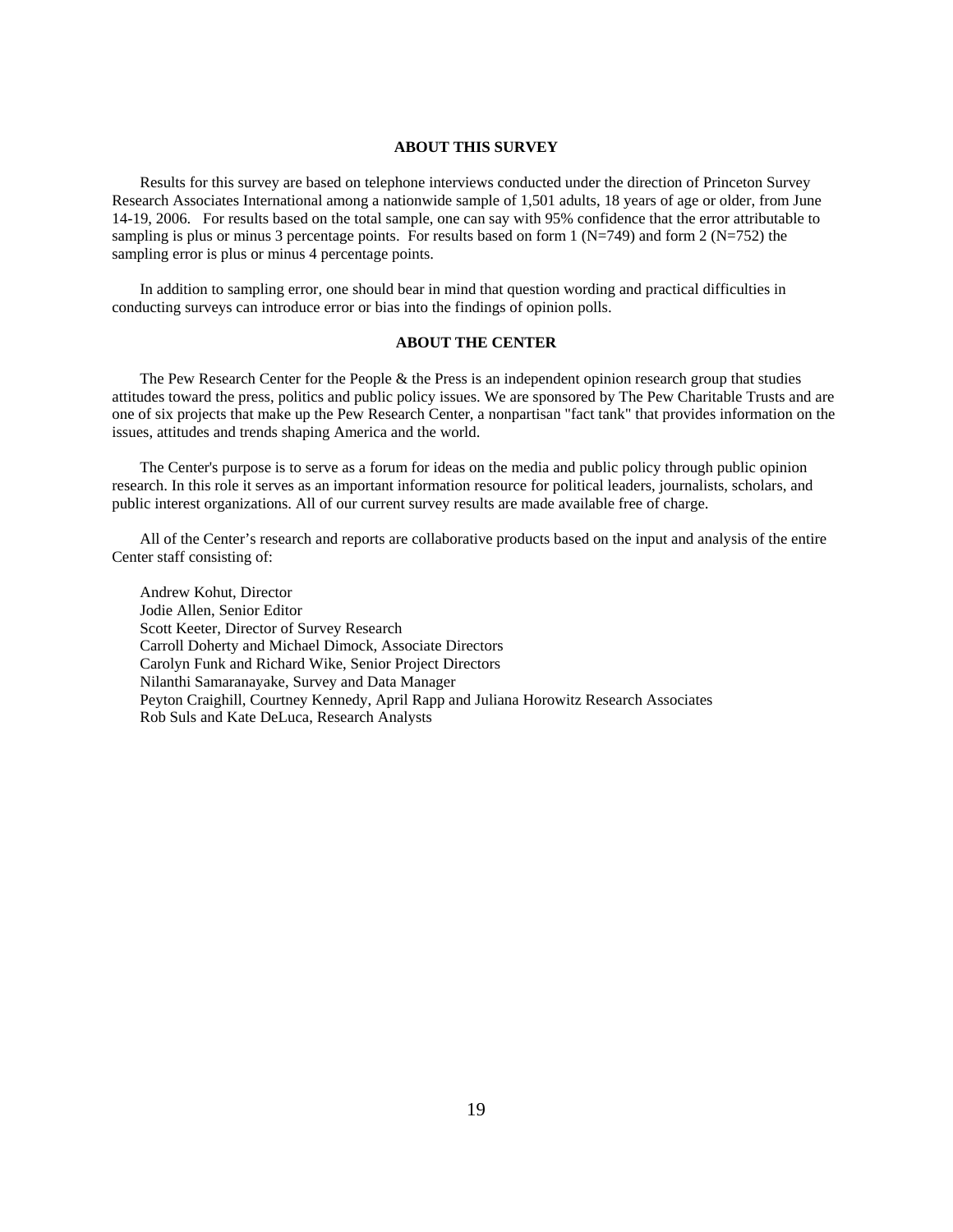#### **ABOUT THIS SURVEY**

Results for this survey are based on telephone interviews conducted under the direction of Princeton Survey Research Associates International among a nationwide sample of 1,501 adults, 18 years of age or older, from June 14-19, 2006. For results based on the total sample, one can say with 95% confidence that the error attributable to sampling is plus or minus 3 percentage points. For results based on form  $1 (N=749)$  and form  $2 (N=752)$  the sampling error is plus or minus 4 percentage points.

In addition to sampling error, one should bear in mind that question wording and practical difficulties in conducting surveys can introduce error or bias into the findings of opinion polls.

#### **ABOUT THE CENTER**

The Pew Research Center for the People  $\&$  the Press is an independent opinion research group that studies attitudes toward the press, politics and public policy issues. We are sponsored by The Pew Charitable Trusts and are one of six projects that make up the Pew Research Center, a nonpartisan "fact tank" that provides information on the issues, attitudes and trends shaping America and the world.

The Center's purpose is to serve as a forum for ideas on the media and public policy through public opinion research. In this role it serves as an important information resource for political leaders, journalists, scholars, and public interest organizations. All of our current survey results are made available free of charge.

All of the Center's research and reports are collaborative products based on the input and analysis of the entire Center staff consisting of:

Andrew Kohut, Director Jodie Allen, Senior Editor Scott Keeter, Director of Survey Research Carroll Doherty and Michael Dimock, Associate Directors Carolyn Funk and Richard Wike, Senior Project Directors Nilanthi Samaranayake, Survey and Data Manager Peyton Craighill, Courtney Kennedy, April Rapp and Juliana Horowitz Research Associates Rob Suls and Kate DeLuca, Research Analysts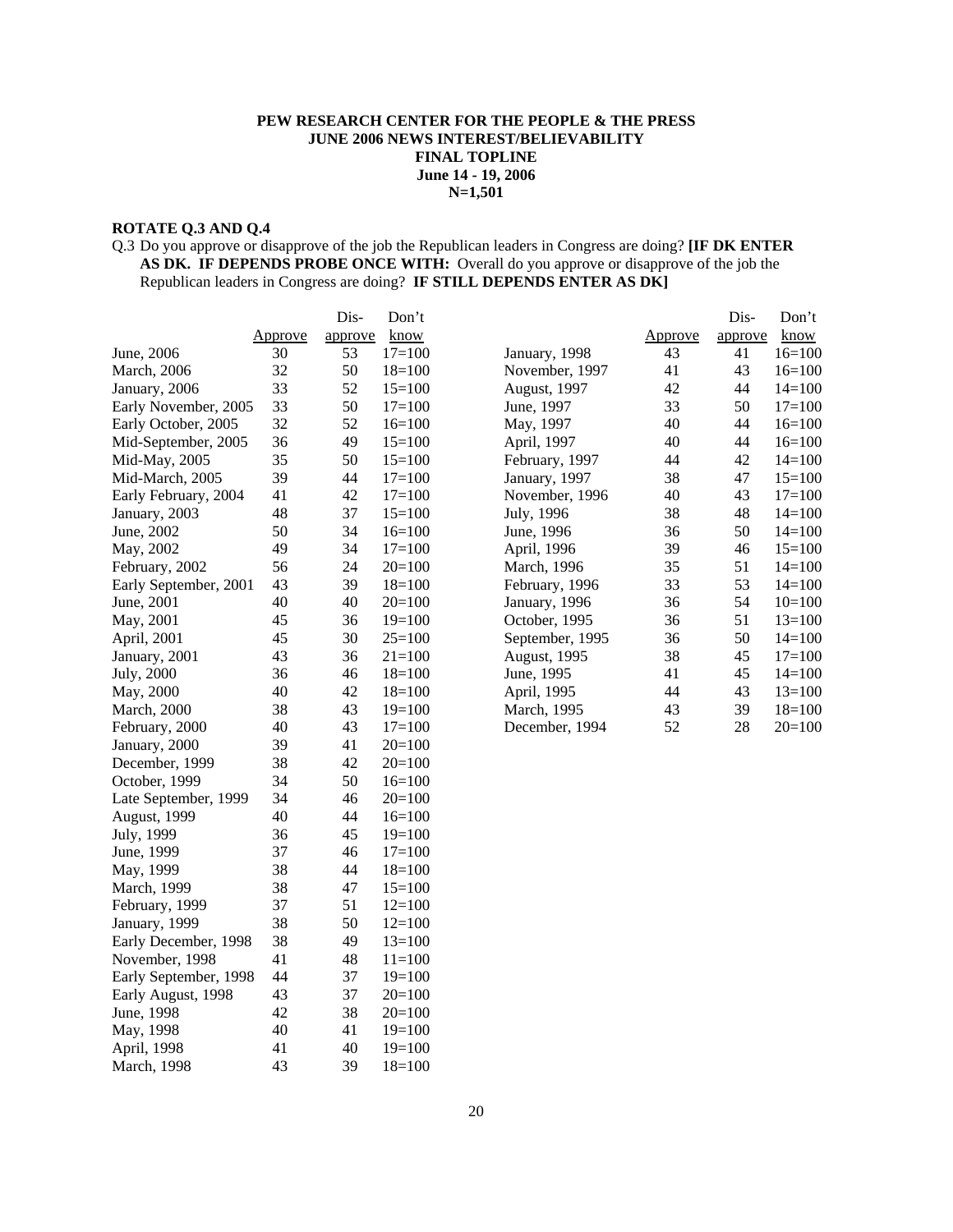#### **PEW RESEARCH CENTER FOR THE PEOPLE & THE PRESS JUNE 2006 NEWS INTEREST/BELIEVABILITY FINAL TOPLINE June 14 - 19, 2006 N=1,501**

# **ROTATE Q.3 AND Q.4**

#### Q.3 Do you approve or disapprove of the job the Republican leaders in Congress are doing? **[IF DK ENTER AS DK. IF DEPENDS PROBE ONCE WITH:** Overall do you approve or disapprove of the job the Republican leaders in Congress are doing? **IF STILL DEPENDS ENTER AS DK]**

|                       |                | Dis-    | Don't      |                 |                | Dis-    | Don't      |
|-----------------------|----------------|---------|------------|-----------------|----------------|---------|------------|
|                       | <u>Approve</u> | approve | know       |                 | <u>Approve</u> | approve | know       |
| June, 2006            | 30             | 53      | $17=100$   | January, 1998   | 43             | 41      | $16=100$   |
| March, 2006           | 32             | 50      | $18=100$   | November, 1997  | 41             | 43      | $16=100$   |
| January, 2006         | 33             | 52      | $15=100$   | August, 1997    | 42             | 44      | $14 = 100$ |
| Early November, 2005  | 33             | 50      | $17=100$   | June, 1997      | 33             | 50      | $17=100$   |
| Early October, 2005   | 32             | 52      | $16=100$   | May, 1997       | 40             | 44      | $16=100$   |
| Mid-September, 2005   | 36             | 49      | $15=100$   | April, 1997     | 40             | 44      | $16=100$   |
| Mid-May, 2005         | 35             | 50      | $15=100$   | February, 1997  | 44             | 42      | $14=100$   |
| Mid-March, 2005       | 39             | 44      | $17=100$   | January, 1997   | 38             | 47      | $15=100$   |
| Early February, 2004  | 41             | 42      | $17=100$   | November, 1996  | 40             | 43      | $17 = 100$ |
| January, 2003         | 48             | 37      | $15=100$   | July, 1996      | 38             | 48      | $14=100$   |
| June, 2002            | 50             | 34      | $16=100$   | June, 1996      | 36             | 50      | $14=100$   |
| May, 2002             | 49             | 34      | $17=100$   | April, 1996     | 39             | 46      | $15=100$   |
| February, 2002        | 56             | 24      | $20=100$   | March, 1996     | 35             | 51      | $14=100$   |
| Early September, 2001 | 43             | 39      | $18=100$   | February, 1996  | 33             | 53      | $14=100$   |
| June, 2001            | 40             | 40      | $20=100$   | January, 1996   | 36             | 54      | $10=100$   |
| May, 2001             | 45             | 36      | $19=100$   | October, 1995   | 36             | 51      | $13=100$   |
| April, 2001           | 45             | 30      | $25=100$   | September, 1995 | 36             | 50      | $14=100$   |
| January, 2001         | 43             | 36      | $21 = 100$ | August, 1995    | 38             | 45      | $17=100$   |
| July, 2000            | 36             | 46      | $18=100$   | June, 1995      | 41             | 45      | $14=100$   |
| May, 2000             | 40             | 42      | $18=100$   | April, 1995     | 44             | 43      | $13=100$   |
| <b>March</b> , 2000   | 38             | 43      | $19=100$   | March, 1995     | 43             | 39      | $18=100$   |
| February, 2000        | 40             | 43      | $17=100$   | December, 1994  | 52             | 28      | $20=100$   |
| January, 2000         | 39             | 41      | $20=100$   |                 |                |         |            |
| December, 1999        | 38             | 42      | $20=100$   |                 |                |         |            |
| October, 1999         | 34             | 50      | $16=100$   |                 |                |         |            |
| Late September, 1999  | 34             | 46      | $20=100$   |                 |                |         |            |
| August, 1999          | 40             | 44      | $16=100$   |                 |                |         |            |
| July, 1999            | 36             | 45      | $19=100$   |                 |                |         |            |
| June, 1999            | 37             | 46      | $17=100$   |                 |                |         |            |
| May, 1999             | 38             | 44      | $18=100$   |                 |                |         |            |
| March, 1999           | 38             | 47      | $15=100$   |                 |                |         |            |
| February, 1999        | 37             | 51      | $12=100$   |                 |                |         |            |
| January, 1999         | 38             | 50      | $12=100$   |                 |                |         |            |
| Early December, 1998  | 38             | 49      | $13=100$   |                 |                |         |            |
| November, 1998        | 41             | 48      | $11 = 100$ |                 |                |         |            |
| Early September, 1998 | 44             | 37      | $19=100$   |                 |                |         |            |
| Early August, 1998    | 43             | 37      | $20=100$   |                 |                |         |            |
| June, 1998            | 42             | 38      | $20=100$   |                 |                |         |            |
| May, 1998             | 40             | 41      | $19=100$   |                 |                |         |            |
| April, 1998           | 41             | 40      | $19=100$   |                 |                |         |            |
| March, 1998           | 43             | 39      | $18=100$   |                 |                |         |            |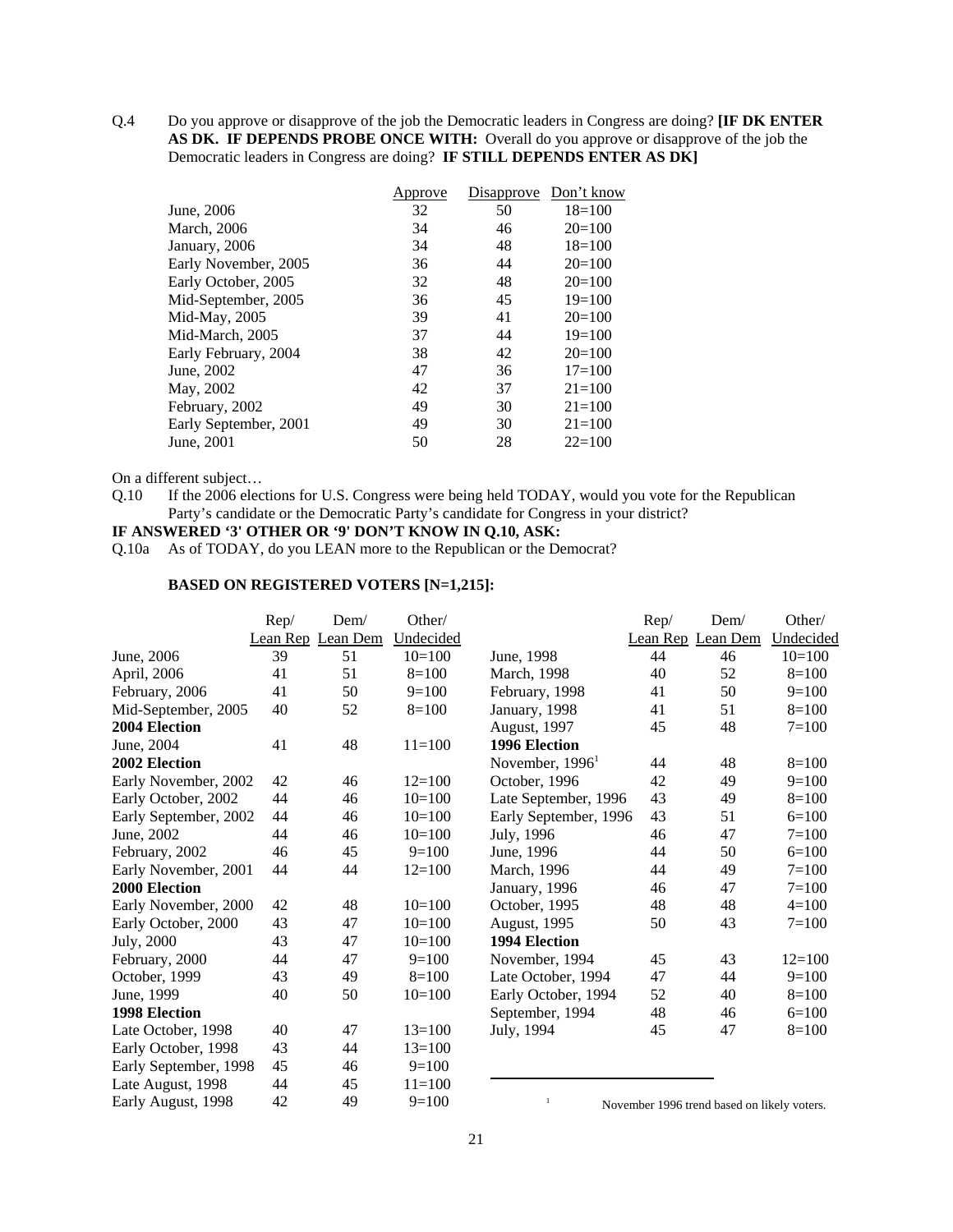Q.4 Do you approve or disapprove of the job the Democratic leaders in Congress are doing? **[IF DK ENTER AS DK. IF DEPENDS PROBE ONCE WITH:** Overall do you approve or disapprove of the job the Democratic leaders in Congress are doing? **IF STILL DEPENDS ENTER AS DK]**

|                       | Approve | Disapprove | Don't know |
|-----------------------|---------|------------|------------|
| June, 2006            | 32      | 50         | $18=100$   |
| March, 2006           | 34      | 46         | $20=100$   |
| January, 2006         | 34      | 48         | $18=100$   |
| Early November, 2005  | 36      | 44         | $20=100$   |
| Early October, 2005   | 32      | 48         | $20=100$   |
| Mid-September, 2005   | 36      | 45         | $19=100$   |
| Mid-May, 2005         | 39      | 41         | $20=100$   |
| Mid-March, 2005       | 37      | 44         | $19=100$   |
| Early February, 2004  | 38      | 42         | $20=100$   |
| June, 2002            | 47      | 36         | $17=100$   |
| May, 2002             | 42      | 37         | $21 = 100$ |
| February, 2002        | 49      | 30         | $21 = 100$ |
| Early September, 2001 | 49      | 30         | $21 = 100$ |
| June, 2001            | 50      | 28         | $22 = 100$ |

On a different subject…

Q.10 If the 2006 elections for U.S. Congress were being held TODAY, would you vote for the Republican Party's candidate or the Democratic Party's candidate for Congress in your district?

## **IF ANSWERED '3' OTHER OR '9' DON'T KNOW IN Q.10, ASK:**

Q.10a As of TODAY, do you LEAN more to the Republican or the Democrat?

#### **BASED ON REGISTERED VOTERS [N=1,215]:**

|                       | Rep/     | Dem/     | Other/     |                       | Rep/ | Dem/                                        | Other/     |
|-----------------------|----------|----------|------------|-----------------------|------|---------------------------------------------|------------|
|                       | Lean Rep | Lean Dem | Undecided  |                       |      | Lean Rep Lean Dem                           | Undecided  |
| June, 2006            | 39       | 51       | $10=100$   | June, 1998            | 44   | 46                                          | $10=100$   |
| April, 2006           | 41       | 51       | $8=100$    | March, 1998           | 40   | 52                                          | $8=100$    |
| February, 2006        | 41       | 50       | $9=100$    | February, 1998        | 41   | 50                                          | $9=100$    |
| Mid-September, 2005   | 40       | 52       | $8=100$    | January, 1998         | 41   | 51                                          | $8=100$    |
| 2004 Election         |          |          |            | August, 1997          | 45   | 48                                          | $7=100$    |
| June, 2004            | 41       | 48       | $11=100$   | 1996 Election         |      |                                             |            |
| 2002 Election         |          |          |            | November, $19961$     | 44   | 48                                          | $8=100$    |
| Early November, 2002  | 42       | 46       | $12 = 100$ | October, 1996         | 42   | 49                                          | $9=100$    |
| Early October, 2002   | 44       | 46       | $10=100$   | Late September, 1996  | 43   | 49                                          | $8=100$    |
| Early September, 2002 | 44       | 46       | $10=100$   | Early September, 1996 | 43   | 51                                          | $6=100$    |
| June, 2002            | 44       | 46       | $10=100$   | July, 1996            | 46   | 47                                          | $7 = 100$  |
| February, 2002        | 46       | 45       | $9=100$    | June, 1996            | 44   | 50                                          | $6=100$    |
| Early November, 2001  | 44       | 44       | $12 = 100$ | March, 1996           | 44   | 49                                          | $7=100$    |
| 2000 Election         |          |          |            | January, 1996         | 46   | 47                                          | $7=100$    |
| Early November, 2000  | 42       | 48       | $10=100$   | October, 1995         | 48   | 48                                          | $4=100$    |
| Early October, 2000   | 43       | 47       | $10=100$   | <b>August, 1995</b>   | 50   | 43                                          | $7=100$    |
| July, 2000            | 43       | 47       | $10=100$   | 1994 Election         |      |                                             |            |
| February, 2000        | 44       | 47       | $9=100$    | November, 1994        | 45   | 43                                          | $12 = 100$ |
| October, 1999         | 43       | 49       | $8=100$    | Late October, 1994    | 47   | 44                                          | $9=100$    |
| June, 1999            | 40       | 50       | $10=100$   | Early October, 1994   | 52   | 40                                          | $8=100$    |
| <b>1998 Election</b>  |          |          |            | September, 1994       | 48   | 46                                          | $6=100$    |
| Late October, 1998    | 40       | 47       | $13=100$   | July, 1994            | 45   | 47                                          | $8=100$    |
| Early October, 1998   | 43       | 44       | $13 = 100$ |                       |      |                                             |            |
| Early September, 1998 | 45       | 46       | $9=100$    |                       |      |                                             |            |
| Late August, 1998     | 44       | 45       | $11 = 100$ |                       |      |                                             |            |
| Early August, 1998    | 42       | 49       | $9=100$    | $\mathbf{1}$          |      | November 1996 trend based on likely voters. |            |

<sup>1</sup> November 1996 trend based on likely voters.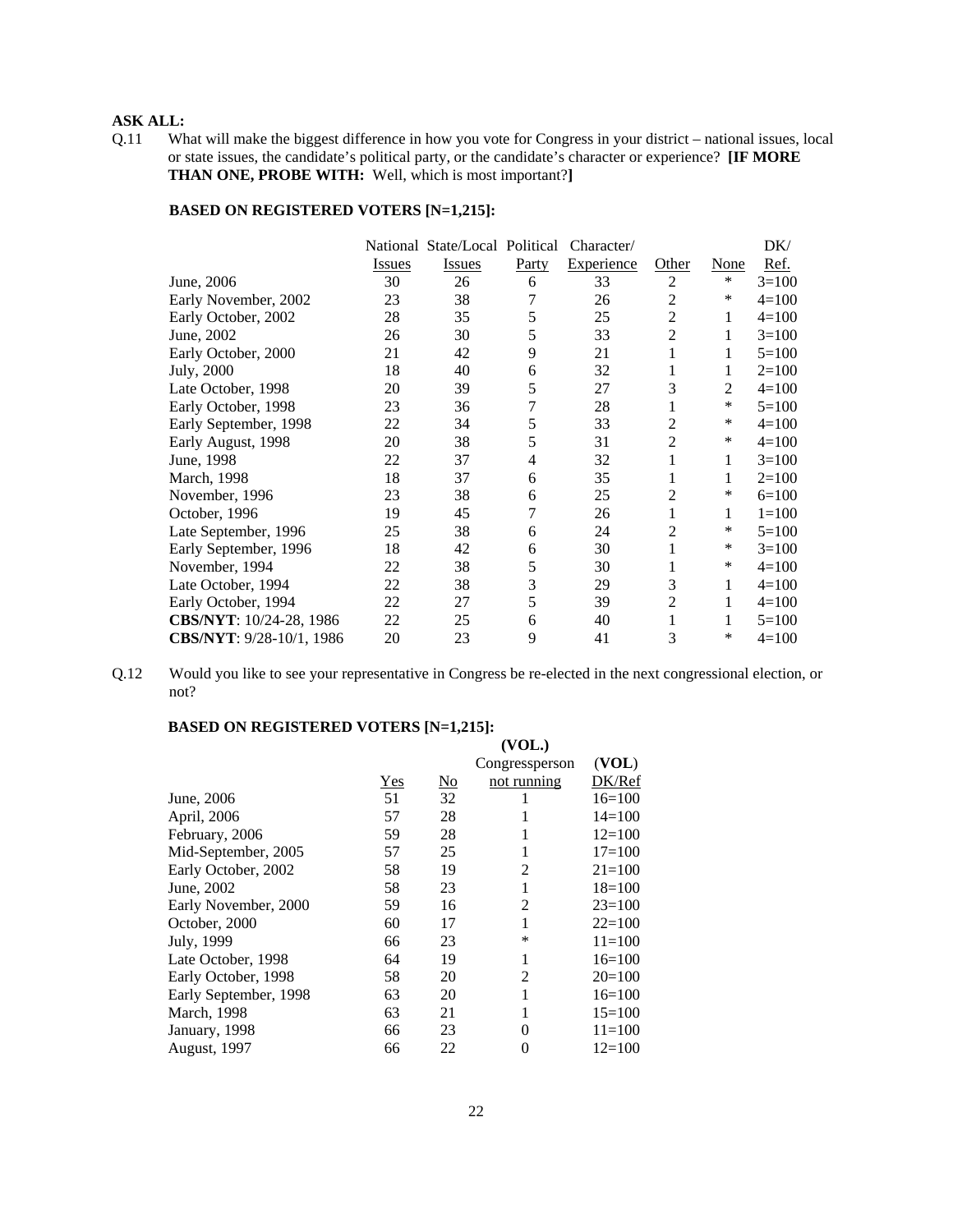# **ASK ALL:**

Q.11 What will make the biggest difference in how you vote for Congress in your district – national issues, local or state issues, the candidate's political party, or the candidate's character or experience? **[IF MORE THAN ONE, PROBE WITH:** Well, which is most important?**]**

#### **BASED ON REGISTERED VOTERS [N=1,215]:**

|                          |               | National State/Local Political |       | Character/ |                |                | DK/       |
|--------------------------|---------------|--------------------------------|-------|------------|----------------|----------------|-----------|
|                          | <b>Issues</b> | <b>Issues</b>                  | Party | Experience | Other          | None           | Ref.      |
| June, 2006               | 30            | 26                             | 6     | 33         | $\overline{c}$ | ∗              | $3=100$   |
| Early November, 2002     | 23            | 38                             | 7     | 26         | 2              | ∗              | $4=100$   |
| Early October, 2002      | 28            | 35                             | 5     | 25         | $\overline{2}$ | 1              | $4=100$   |
| June, 2002               | 26            | 30                             | 5     | 33         | $\overline{2}$ | 1              | $3=100$   |
| Early October, 2000      | 21            | 42                             | 9     | 21         | 1              | 1              | $5=100$   |
| July, 2000               | 18            | 40                             | 6     | 32         |                | 1              | $2=100$   |
| Late October, 1998       | 20            | 39                             | 5     | 27         | 3              | $\overline{2}$ | $4=100$   |
| Early October, 1998      | 23            | 36                             | 7     | 28         |                | ∗              | $5=100$   |
| Early September, 1998    | 22            | 34                             | 5     | 33         | 2              | ∗              | $4=100$   |
| Early August, 1998       | 20            | 38                             | 5     | 31         | $\overline{c}$ | $\ast$         | $4=100$   |
| June, 1998               | 22            | 37                             | 4     | 32         | 1              | 1              | $3=100$   |
| March, 1998              | 18            | 37                             | 6     | 35         | 1              | 1              | $2=100$   |
| November, 1996           | 23            | 38                             | 6     | 25         | 2              | ∗              | $6=100$   |
| October, 1996            | 19            | 45                             | 7     | 26         |                | 1              | $1 = 100$ |
| Late September, 1996     | 25            | 38                             | 6     | 24         | 2              | ∗              | $5=100$   |
| Early September, 1996    | 18            | 42                             | 6     | 30         |                | ∗              | $3=100$   |
| November, 1994           | 22            | 38                             | 5     | 30         |                | ∗              | $4=100$   |
| Late October, 1994       | 22            | 38                             | 3     | 29         | 3              | 1              | $4=100$   |
| Early October, 1994      | 22            | 27                             | 5     | 39         | 2              | 1              | $4=100$   |
| CBS/NYT: 10/24-28, 1986  | 22            | 25                             | 6     | 40         |                | 1              | $5=100$   |
| CBS/NYT: 9/28-10/1, 1986 | 20            | 23                             | 9     | 41         | 3              | $\ast$         | $4=100$   |

Q.12 Would you like to see your representative in Congress be re-elected in the next congressional election, or not?

#### **BASED ON REGISTERED VOTERS [N=1,215]:**  $\overline{\text{VOT}}$

|                       |     |                           | (VUL.)         |            |
|-----------------------|-----|---------------------------|----------------|------------|
|                       |     |                           | Congressperson | (VOL)      |
|                       | Yes | $\underline{\mathrm{No}}$ | not running    | DK/Ref     |
| June, 2006            | 51  | 32                        |                | $16=100$   |
| April, 2006           | 57  | 28                        |                | $14 = 100$ |
| February, 2006        | 59  | 28                        | 1              | $12=100$   |
| Mid-September, 2005   | 57  | 25                        | 1              | $17 = 100$ |
| Early October, 2002   | 58  | 19                        | 2              | $21 = 100$ |
| June, 2002            | 58  | 23                        | 1              | $18=100$   |
| Early November, 2000  | 59  | 16                        | $\overline{2}$ | $23=100$   |
| October, 2000         | 60  | 17                        | 1              | $22 = 100$ |
| July, 1999            | 66  | 23                        | *              | $11 = 100$ |
| Late October, 1998    | 64  | 19                        | 1              | $16=100$   |
| Early October, 1998   | 58  | 20                        | 2              | $20=100$   |
| Early September, 1998 | 63  | 20                        | 1              | $16=100$   |
| March, 1998           | 63  | 21                        |                | $15 = 100$ |
| January, 1998         | 66  | 23                        | 0              | $11 = 100$ |
| August, 1997          | 66  | 22                        | 0              | $12 = 100$ |
|                       |     |                           |                |            |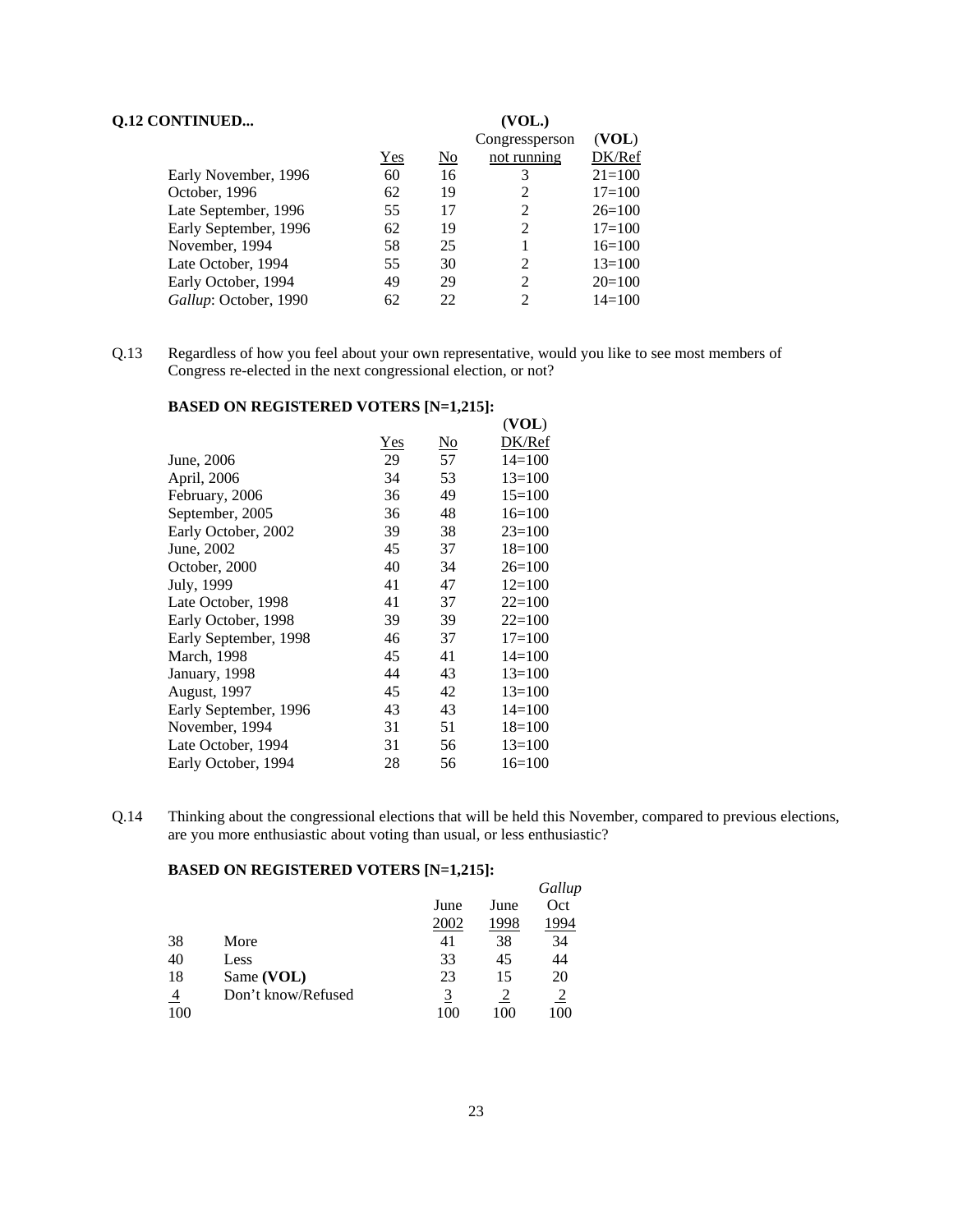| <b>Q.12 CONTINUED</b> |     |                | (VOL.)         |            |
|-----------------------|-----|----------------|----------------|------------|
|                       |     |                | Congressperson | (VOL)      |
|                       | Yes | N <sub>0</sub> | not running    | DK/Ref     |
| Early November, 1996  | 60  | 16             | 3              | $21 = 100$ |
| October, 1996         | 62  | 19             |                | $17 = 100$ |
| Late September, 1996  | 55  | 17             | 2              | $26=100$   |
| Early September, 1996 | 62  | 19             | 2              | $17 = 100$ |
| November, 1994        | 58  | 25             |                | $16=100$   |
| Late October, 1994    | 55  | 30             | 2              | $13=100$   |
| Early October, 1994   | 49  | 29             | $\mathfrak{D}$ | $20=100$   |
| Gallup: October, 1990 | 62  | 22             | 2              | $14 = 100$ |

Q.13 Regardless of how you feel about your own representative, would you like to see most members of Congress re-elected in the next congressional election, or not?

## **BASED ON REGISTERED VOTERS [N=1,215]:**

| $0.1$ and $0.01$ and $0.01$ and $0.01$ $(1, -1)$ |     |                        |            |
|--------------------------------------------------|-----|------------------------|------------|
|                                                  |     |                        | (VOL)      |
|                                                  | Yes | $\overline{\text{No}}$ | DK/Ref     |
| June, 2006                                       | 29  | 57                     | $14 = 100$ |
| April, 2006                                      | 34  | 53                     | $13 = 100$ |
| February, 2006                                   | 36  | 49                     | $15=100$   |
| September, 2005                                  | 36  | 48                     | $16=100$   |
| Early October, 2002                              | 39  | 38                     | $23=100$   |
| June, 2002                                       | 45  | 37                     | $18=100$   |
| October, 2000                                    | 40  | 34                     | $26=100$   |
| July, 1999                                       | 41  | 47                     | $12=100$   |
| Late October, 1998                               | 41  | 37                     | $22 = 100$ |
| Early October, 1998                              | 39  | 39                     | $22 = 100$ |
| Early September, 1998                            | 46  | 37                     | $17 = 100$ |
| March, 1998                                      | 45  | 41                     | $14 = 100$ |
| January, 1998                                    | 44  | 43                     | $13=100$   |
| <b>August, 1997</b>                              | 45  | 42                     | $13 = 100$ |
| Early September, 1996                            | 43  | 43                     | $14 = 100$ |
| November, 1994                                   | 31  | 51                     | $18=100$   |
| Late October, 1994                               | 31  | 56                     | $13=100$   |
| Early October, 1994                              | 28  | 56                     | $16=100$   |

Q.14 Thinking about the congressional elections that will be held this November, compared to previous elections, are you more enthusiastic about voting than usual, or less enthusiastic?

#### **BASED ON REGISTERED VOTERS [N=1,215]:**

|                |                    |      |      | Gallup |
|----------------|--------------------|------|------|--------|
|                |                    | June | June | Oct    |
|                |                    | 2002 | 1998 | 994    |
| 38             | More               | 41   | 38   | 34     |
| 40             | Less               | 33   | 45   | 44     |
| 18             | Same (VOL)         | 23   | 15   | 20     |
| $\overline{4}$ | Don't know/Refused | 3    |      |        |
| 100            |                    |      |      |        |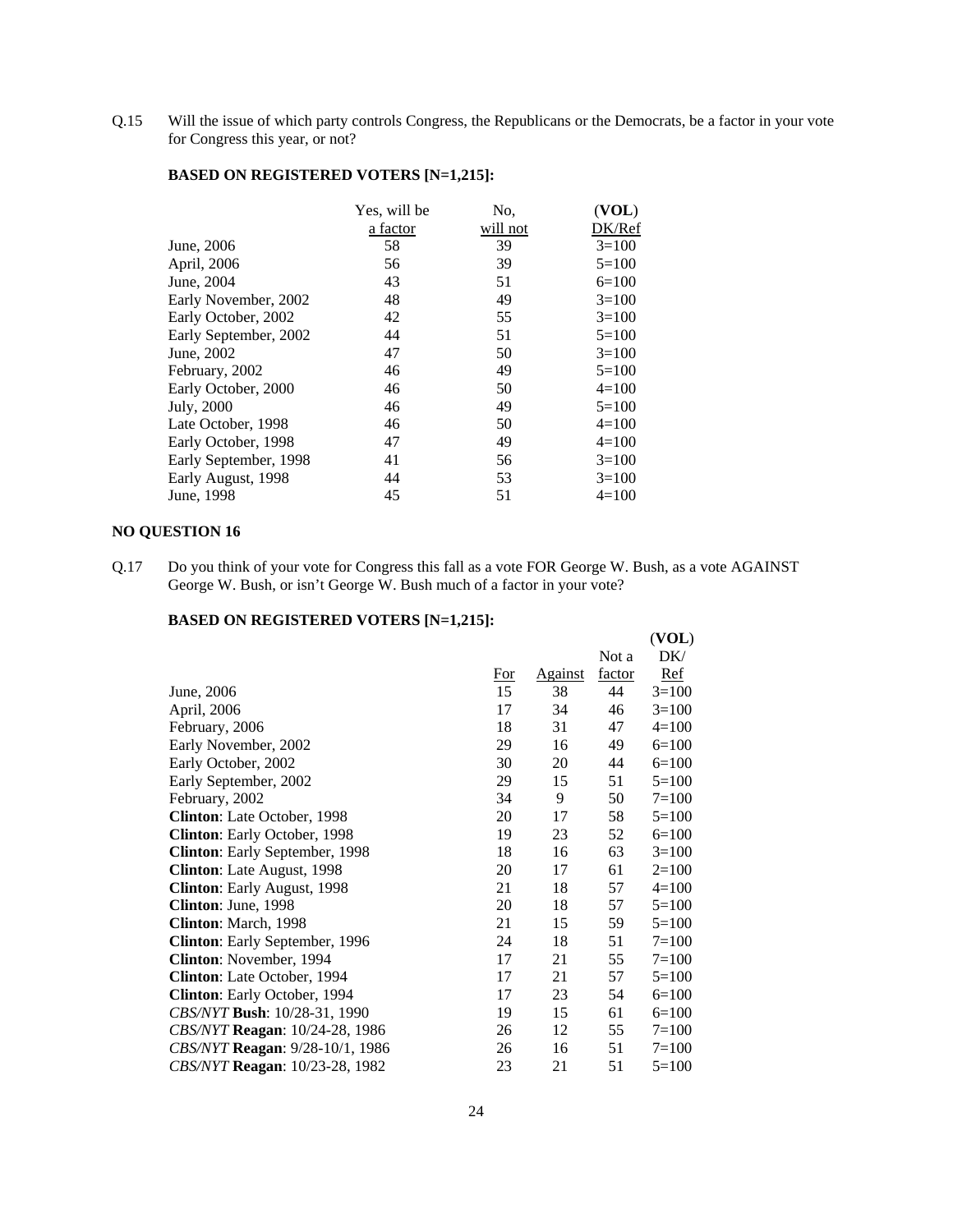Q.15 Will the issue of which party controls Congress, the Republicans or the Democrats, be a factor in your vote for Congress this year, or not?

|                       | Yes, will be | No.      | (VOL)   |
|-----------------------|--------------|----------|---------|
|                       | a factor     | will not | DK/Ref  |
| June, 2006            | 58           | 39       | $3=100$ |
| April, 2006           | 56           | 39       | $5=100$ |
| June, 2004            | 43           | 51       | $6=100$ |
| Early November, 2002  | 48           | 49       | $3=100$ |
| Early October, 2002   | 42           | 55       | $3=100$ |
| Early September, 2002 | 44           | 51       | $5=100$ |
| June, 2002            | 47           | 50       | $3=100$ |
| February, 2002        | 46           | 49       | $5=100$ |
| Early October, 2000   | 46           | 50       | $4=100$ |
| July, 2000            | 46           | 49       | $5=100$ |
| Late October, 1998    | 46           | 50       | $4=100$ |
| Early October, 1998   | 47           | 49       | $4=100$ |
| Early September, 1998 | 41           | 56       | $3=100$ |
| Early August, 1998    | 44           | 53       | $3=100$ |
| June, 1998            | 45           | 51       | $4=100$ |

## **BASED ON REGISTERED VOTERS [N=1,215]:**

# **NO QUESTION 16**

Q.17 Do you think of your vote for Congress this fall as a vote FOR George W. Bush, as a vote AGAINST George W. Bush, or isn't George W. Bush much of a factor in your vote?

#### **BASED ON REGISTERED VOTERS [N=1,215]:**

|                                       |       |         |        | (VOL)      |
|---------------------------------------|-------|---------|--------|------------|
|                                       |       |         | Not a  | DK/        |
|                                       | $For$ | Against | factor | <b>Ref</b> |
| June, 2006                            | 15    | 38      | 44     | $3=100$    |
| April, 2006                           | 17    | 34      | 46     | $3=100$    |
| February, 2006                        | 18    | 31      | 47     | $4=100$    |
| Early November, 2002                  | 29    | 16      | 49     | $6=100$    |
| Early October, 2002                   | 30    | 20      | 44     | $6=100$    |
| Early September, 2002                 | 29    | 15      | 51     | $5=100$    |
| February, 2002                        | 34    | 9       | 50     | $7 = 100$  |
| Clinton: Late October, 1998           | 20    | 17      | 58     | $5=100$    |
| Clinton: Early October, 1998          | 19    | 23      | 52     | $6=100$    |
| Clinton: Early September, 1998        | 18    | 16      | 63     | $3=100$    |
| Clinton: Late August, 1998            | 20    | 17      | 61     | $2=100$    |
| Clinton: Early August, 1998           | 21    | 18      | 57     | $4=100$    |
| Clinton: June, 1998                   | 20    | 18      | 57     | $5=100$    |
| Clinton: March, 1998                  | 21    | 15      | 59     | $5=100$    |
| Clinton: Early September, 1996        | 24    | 18      | 51     | $7 = 100$  |
| Clinton: November, 1994               | 17    | 21      | 55     | $7 = 100$  |
| <b>Clinton:</b> Late October, 1994    | 17    | 21      | 57     | $5=100$    |
| Clinton: Early October, 1994          | 17    | 23      | 54     | $6=100$    |
| CBS/NYT Bush: 10/28-31, 1990          | 19    | 15      | 61     | $6=100$    |
| CBS/NYT Reagan: 10/24-28, 1986        | 26    | 12      | 55     | $7 = 100$  |
| CBS/NYT Reagan: 9/28-10/1, 1986       | 26    | 16      | 51     | $7 = 100$  |
| <i>CBS/NYT</i> Reagan: 10/23-28, 1982 | 23    | 21      | 51     | $5=100$    |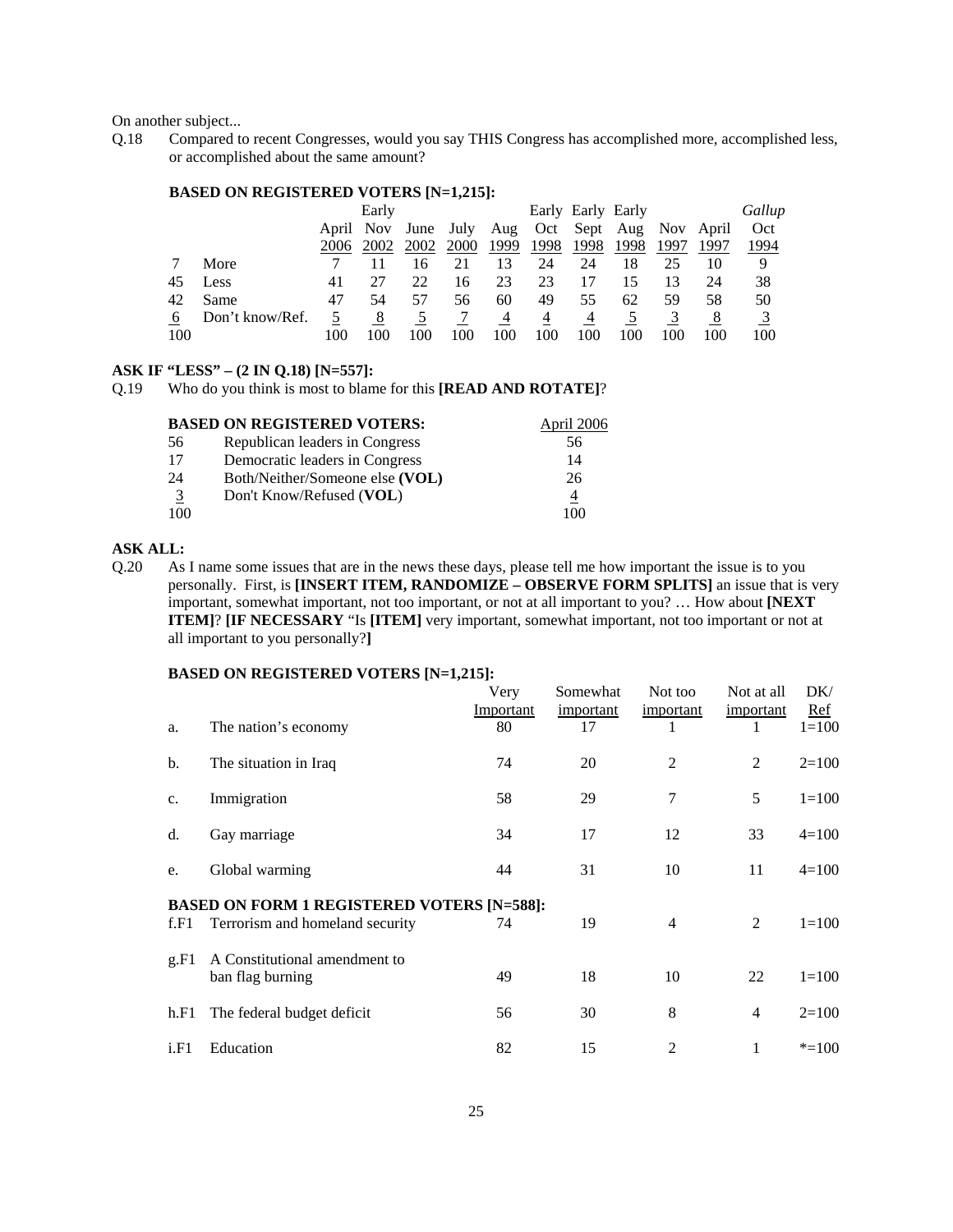On another subject...

Q.18 Compared to recent Congresses, would you say THIS Congress has accomplished more, accomplished less, or accomplished about the same amount?

#### **BASED ON REGISTERED VOTERS [N=1,215]:**

|     |                 |      | Early |      |             |      |      | Early Early Early |                                                |      |      | Gallup |
|-----|-----------------|------|-------|------|-------------|------|------|-------------------|------------------------------------------------|------|------|--------|
|     |                 |      |       |      |             |      |      |                   | April Nov June July Aug Oct Sept Aug Nov April |      |      | Oct    |
|     |                 | 2006 | 2002  | 2002 | <b>2000</b> | 1999 | 1998 | 1998              | 1998                                           | 1997 | 1997 | 1994   |
|     | More            |      |       |      | 21          | 13   | 24   | 24                | 18                                             |      | 10   | 9      |
| 45  | Less            | 41   | 27    | 22   | 16          | 23   | 23   |                   |                                                | 13   | 24   | 38     |
|     | 42 Same         | 47   | 54    | 57   | 56          | 60   | 49   | 55                | 62                                             | 59   | 58   | 50     |
| 6   | Don't know/Ref. |      | 8     |      |             | 4    | 4    | 4                 |                                                |      | 8    |        |
| 100 |                 | 100  |       |      | 100         | 100  | 100  | 100               | 100                                            |      | 100  | 100    |

#### **ASK IF "LESS" – (2 IN Q.18) [N=557]:**

Q.19 Who do you think is most to blame for this **[READ AND ROTATE]**?

|               | <b>BASED ON REGISTERED VOTERS:</b> | April 2006 |
|---------------|------------------------------------|------------|
| 56            | Republican leaders in Congress     | 56         |
| 17            | Democratic leaders in Congress     | 14         |
| 24            | Both/Neither/Someone else (VOL)    | 26         |
| $\frac{3}{2}$ | Don't Know/Refused (VOL)           | 4          |
| 100           |                                    | 100        |

#### **ASK ALL:**

Q.20 As I name some issues that are in the news these days, please tell me how important the issue is to you personally. First, is **[INSERT ITEM, RANDOMIZE – OBSERVE FORM SPLITS]** an issue that is very important, somewhat important, not too important, or not at all important to you? … How about **[NEXT ITEM]**? **[IF NECESSARY** "Is **[ITEM]** very important, somewhat important, not too important or not at all important to you personally?**]**

# **BASED ON REGISTERED VOTERS [N=1,215]:**

| a.             | The nation's economy                                                                 | Very<br>Important<br>80 | Somewhat<br>important<br>17 | Not too<br>important<br>1 | Not at all<br>important<br>1 | DK/<br>Ref<br>$1=100$ |
|----------------|--------------------------------------------------------------------------------------|-------------------------|-----------------------------|---------------------------|------------------------------|-----------------------|
| b.             | The situation in Iraq                                                                | 74                      | 20                          | $\overline{2}$            | 2                            | $2=100$               |
| C <sub>1</sub> | Immigration                                                                          | 58                      | 29                          | 7                         | 5                            | $1=100$               |
| d.             | Gay marriage                                                                         | 34                      | 17                          | 12                        | 33                           | $4=100$               |
| e.             | Global warming                                                                       | 44                      | 31                          | 10                        | 11                           | $4=100$               |
| f.F1           | <b>BASED ON FORM 1 REGISTERED VOTERS [N=588]:</b><br>Terrorism and homeland security | 74                      | 19                          | 4                         | 2                            | $1=100$               |
| g.F1           | A Constitutional amendment to<br>ban flag burning                                    | 49                      | 18                          | 10                        | 22                           | $1 = 100$             |
| h.F1           | The federal budget deficit                                                           | 56                      | 30                          | 8                         | $\overline{4}$               | $2=100$               |
| i.F1           | Education                                                                            | 82                      | 15                          | 2                         | 1                            | $* = 100$             |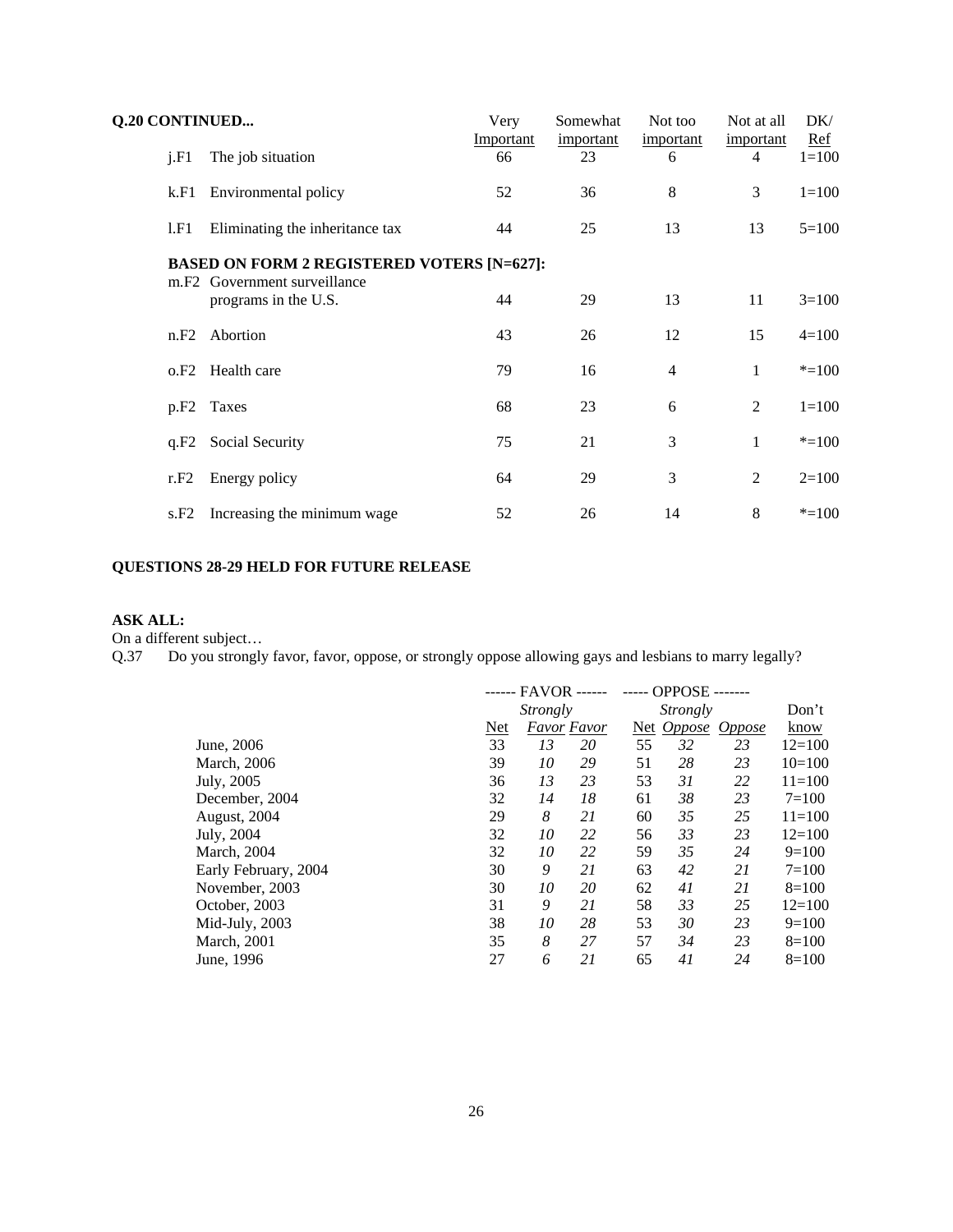|                                                   | <b>Q.20 CONTINUED</b> |                                                                  | Very<br>Important | Somewhat<br>important | Not too<br>important | Not at all<br>important | DK/<br>Ref |  |  |  |
|---------------------------------------------------|-----------------------|------------------------------------------------------------------|-------------------|-----------------------|----------------------|-------------------------|------------|--|--|--|
|                                                   | i.F1                  | The job situation                                                | 66                | 23                    | 6                    | 4                       | $1 = 100$  |  |  |  |
|                                                   | k.F1                  | Environmental policy                                             | 52                | 36                    | 8                    | 3                       | $1=100$    |  |  |  |
|                                                   | 1.F1                  | Eliminating the inheritance tax                                  | 44                | 25                    | 13                   | 13                      | $5=100$    |  |  |  |
| <b>BASED ON FORM 2 REGISTERED VOTERS [N=627]:</b> |                       |                                                                  |                   |                       |                      |                         |            |  |  |  |
|                                                   |                       | m.F <sub>2</sub> Government surveillance<br>programs in the U.S. | 44                | 29                    | 13                   | 11                      | $3=100$    |  |  |  |
|                                                   |                       | n.F <sub>2</sub> Abortion                                        | 43                | 26                    | 12                   | 15                      | $4=100$    |  |  |  |
|                                                   | 0.F2                  | Health care                                                      | 79                | 16                    | $\overline{4}$       | $\mathbf{1}$            | $* = 100$  |  |  |  |
|                                                   |                       | p.F <sub>2</sub> Taxes                                           | 68                | 23                    | 6                    | 2                       | $1 = 100$  |  |  |  |
|                                                   |                       | q.F2 Social Security                                             | 75                | 21                    | 3                    | $\mathbf{1}$            | $* = 100$  |  |  |  |
|                                                   | r.F2                  | Energy policy                                                    | 64                | 29                    | 3                    | $\overline{2}$          | $2=100$    |  |  |  |
|                                                   | s.F2                  | Increasing the minimum wage                                      | 52                | 26                    | 14                   | 8                       | $* = 100$  |  |  |  |
|                                                   |                       |                                                                  |                   |                       |                      |                         |            |  |  |  |

# **QUESTIONS 28-29 HELD FOR FUTURE RELEASE**

# **ASK ALL:**

On a different subject…

Q.37 Do you strongly favor, favor, oppose, or strongly oppose allowing gays and lesbians to marry legally?

| - FAVOR ------  |    | OPPOSE -- |                    |    |               |            |
|-----------------|----|-----------|--------------------|----|---------------|------------|
| <i>Strongly</i> |    |           | Strongly           |    |               | Don't      |
| Net             |    |           |                    |    | <b>Oppose</b> | know       |
| 33              | 13 | 20        | 55                 | 32 | 23            | $12=100$   |
| 39              | 10 | 29        | 51                 | 28 | 23            | $10=100$   |
| 36              | 13 | 23        | 53                 | 31 | 22            | $11 = 100$ |
| 32              | 14 | 18        | 61                 | 38 | 23            | $7 = 100$  |
| 29              | 8  | 21        | 60                 | 35 | 25            | $11 = 100$ |
| 32              | 10 | 22        | 56                 | 33 | 23            | $12=100$   |
| 32              | 10 | 22        | 59                 | 35 | 24            | $9=100$    |
| 30              | 9  | 21        | 63                 | 42 | 21            | $7 = 100$  |
| 30              | 10 | 20        | 62                 | 41 | 21            | $8=100$    |
| 31              | 9  | 21        | 58                 | 33 | 25            | $12 = 100$ |
| 38              | 10 | 28        | 53                 | 30 | 23            | $9=100$    |
| 35              | 8  | 27        | 57                 | 34 | 23            | $8=100$    |
| 27              | 6  | 21        | 65                 | 41 | 24            | $8=100$    |
|                 |    |           | <b>Favor Favor</b> |    |               | Net Oppose |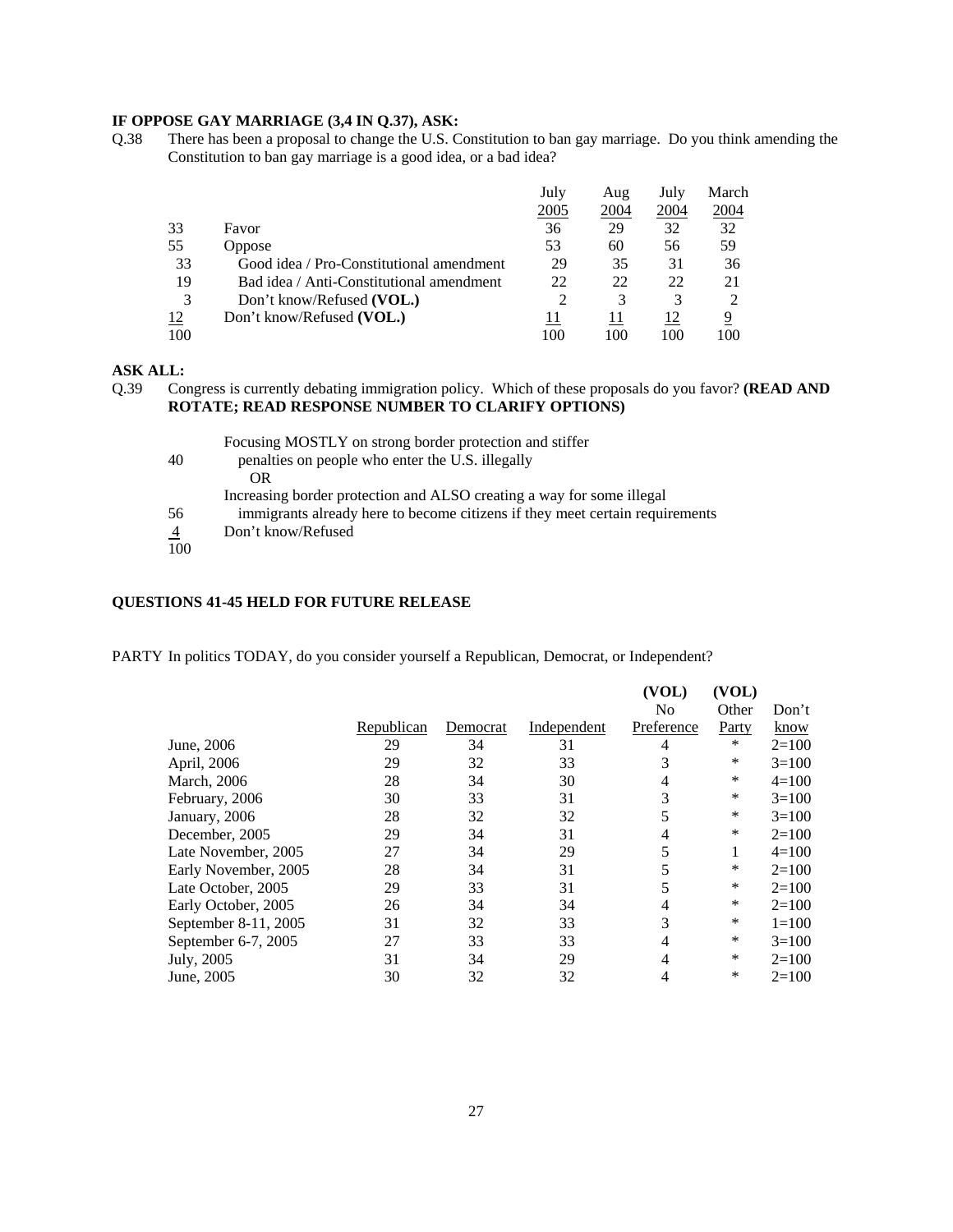## **IF OPPOSE GAY MARRIAGE (3,4 IN Q.37), ASK:**

Q.38 There has been a proposal to change the U.S. Constitution to ban gay marriage. Do you think amending the Constitution to ban gay marriage is a good idea, or a bad idea?

|     |                                          | July | Aug  | July | March         |
|-----|------------------------------------------|------|------|------|---------------|
|     |                                          | 2005 | 2004 | 2004 | <u> 2004 </u> |
| 33  | Favor                                    | 36   | 29   | 32   | 32            |
| 55  | Oppose                                   | 53   | 60   | 56   | 59            |
| 33  | Good idea / Pro-Constitutional amendment | 29   | 35   | 31   | 36            |
| 19  | Bad idea / Anti-Constitutional amendment | 22   | 22   | 22   | 21            |
| 3   | Don't know/Refused (VOL.)                |      | 3    | 3    |               |
| 12  | Don't know/Refused (VOL.)                |      |      | 12   | 9             |
| 100 |                                          | 100  | 100  | 100  | 100           |

# **ASK ALL:**

Q.39 Congress is currently debating immigration policy. Which of these proposals do you favor? **(READ AND ROTATE; READ RESPONSE NUMBER TO CLARIFY OPTIONS)**

|                | Focusing MOSTLY on strong border protection and stiffer                      |
|----------------|------------------------------------------------------------------------------|
| 40             | penalties on people who enter the U.S. illegally                             |
|                | OR.                                                                          |
|                | Increasing border protection and ALSO creating a way for some illegal        |
| 56             | immigrants already here to become citizens if they meet certain requirements |
| $\overline{4}$ | Don't know/Refused                                                           |
| 100            |                                                                              |

#### **QUESTIONS 41-45 HELD FOR FUTURE RELEASE**

PARTY In politics TODAY, do you consider yourself a Republican, Democrat, or Independent?

|                      |            |          |             | (VOL)          | (VOL) |           |
|----------------------|------------|----------|-------------|----------------|-------|-----------|
|                      |            |          |             | N <sub>0</sub> | Other | Don't     |
|                      | Republican | Democrat | Independent | Preference     | Party | know      |
| June, 2006           | 29         | 34       | 31          | 4              | *     | $2=100$   |
| April, 2006          | 29         | 32       | 33          | 3              | *     | $3=100$   |
| March, 2006          | 28         | 34       | 30          | 4              | *     | $4=100$   |
| February, 2006       | 30         | 33       | 31          | 3              | *     | $3=100$   |
| January, 2006        | 28         | 32       | 32          | 5              | *     | $3=100$   |
| December, 2005       | 29         | 34       | 31          | 4              | *     | $2=100$   |
| Late November, 2005  | 27         | 34       | 29          | 5              |       | $4=100$   |
| Early November, 2005 | 28         | 34       | 31          | 5              | *     | $2=100$   |
| Late October, 2005   | 29         | 33       | 31          | 5              | *     | $2=100$   |
| Early October, 2005  | 26         | 34       | 34          | 4              | *     | $2=100$   |
| September 8-11, 2005 | 31         | 32       | 33          | 3              | *     | $1 = 100$ |
| September 6-7, 2005  | 27         | 33       | 33          | 4              | *     | $3=100$   |
| July, 2005           | 31         | 34       | 29          | 4              | *     | $2=100$   |
| June, 2005           | 30         | 32       | 32          | 4              | *     | $2=100$   |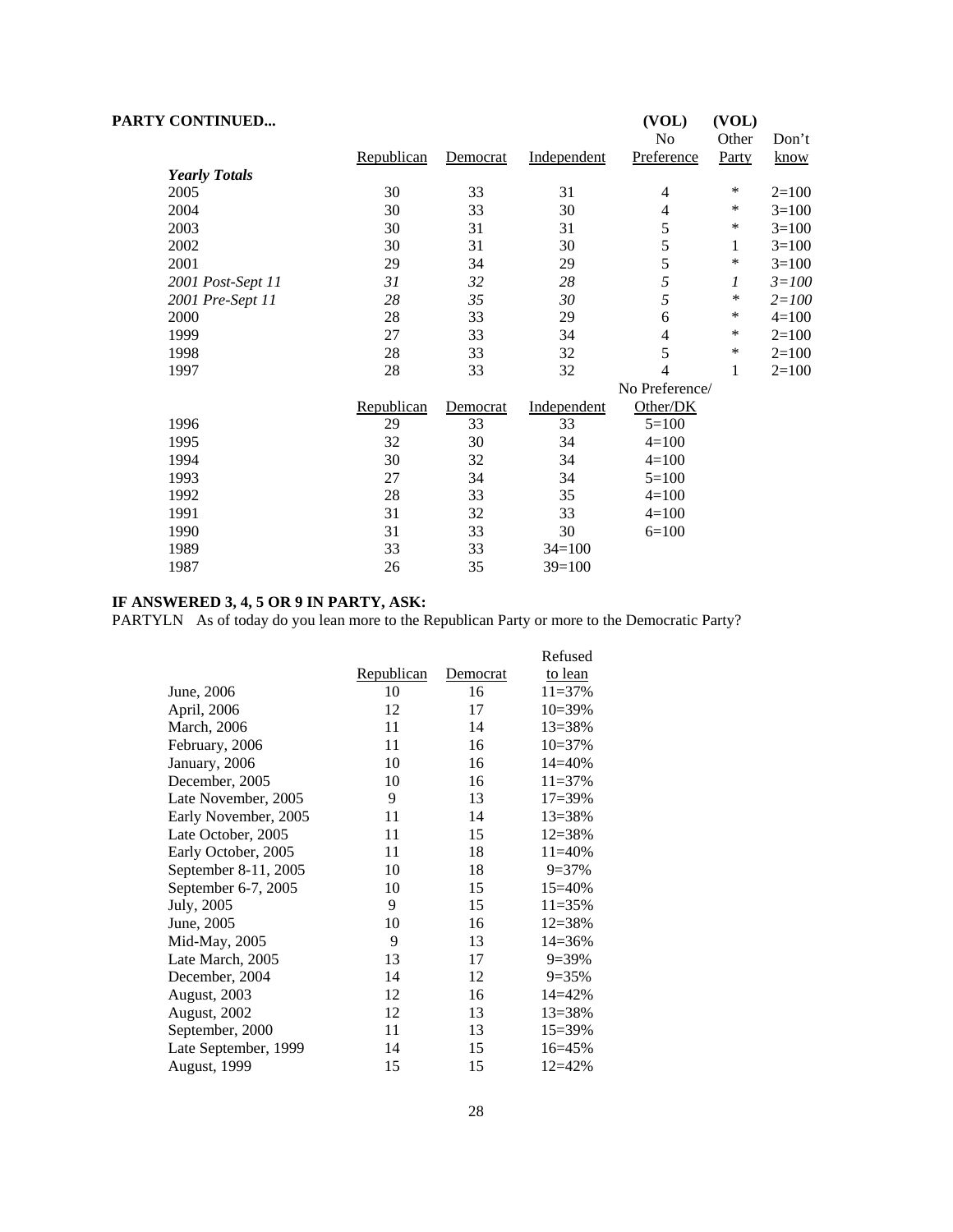| <b>PARTY CONTINUED</b> |            |                 |             | (VOL)<br>No    | (VOL)<br>Other | Don't       |
|------------------------|------------|-----------------|-------------|----------------|----------------|-------------|
|                        | Republican | Democrat        | Independent | Preference     | Party          | <u>know</u> |
| <b>Yearly Totals</b>   |            |                 |             |                |                |             |
| 2005                   | 30         | 33              | 31          | 4              | ∗              | $2=100$     |
| 2004                   | 30         | 33              | 30          | $\overline{4}$ | *              | $3=100$     |
| 2003                   | 30         | 31              | 31          | 5              | ∗              | $3=100$     |
| 2002                   | 30         | 31              | 30          | 5              | $\mathbf{1}$   | $3=100$     |
| 2001                   | 29         | 34              | 29          | 5              | *              | $3=100$     |
| 2001 Post-Sept 11      | 31         | 32              | 28          | 5              | 1              | $3 = 100$   |
| 2001 Pre-Sept 11       | 28         | 35              | 30          | 5              | ∗              | $2 = 100$   |
| 2000                   | 28         | 33              | 29          | 6              | *              | $4 = 100$   |
| 1999                   | 27         | 33              | 34          | 4              | ∗              | $2=100$     |
| 1998                   | 28         | 33              | 32          | 5              | ∗              | $2=100$     |
| 1997                   | 28         | 33              | 32          | 4              | $\mathbf{1}$   | $2=100$     |
|                        |            |                 |             | No Preference/ |                |             |
|                        | Republican | <b>Democrat</b> | Independent | Other/DK       |                |             |
| 1996                   | 29         | 33              | 33          | $5=100$        |                |             |
| 1995                   | 32         | 30              | 34          | $4=100$        |                |             |
| 1994                   | 30         | 32              | 34          | $4=100$        |                |             |
| 1993                   | 27         | 34              | 34          | $5=100$        |                |             |
| 1992                   | 28         | 33              | 35          | $4=100$        |                |             |
| 1991                   | 31         | 32              | 33          | $4=100$        |                |             |
| 1990                   | 31         | 33              | 30          | $6=100$        |                |             |
| 1989                   | 33         | 33              | $34=100$    |                |                |             |
| 1987                   | 26         | 35              | $39=100$    |                |                |             |

#### **IF ANSWERED 3, 4, 5 OR 9 IN PARTY, ASK:**

PARTYLN As of today do you lean more to the Republican Party or more to the Democratic Party?

|                      |                   |          | Refused    |
|----------------------|-------------------|----------|------------|
|                      | <u>Republican</u> | Democrat | to lean    |
| June, 2006           | 10                | 16       | $11 = 37%$ |
| April, 2006          | 12                | 17       | $10=39%$   |
| March, 2006          | 11                | 14       | $13 = 38%$ |
| February, 2006       | 11                | 16       | $10=37%$   |
| January, 2006        | 10                | 16       | 14=40%     |
| December, 2005       | 10                | 16       | $11 = 37%$ |
| Late November, 2005  | 9                 | 13       | $17 = 39%$ |
| Early November, 2005 | 11                | 14       | $13 = 38%$ |
| Late October, 2005   | 11                | 15       | $12 = 38%$ |
| Early October, 2005  | 11                | 18       | $11=40%$   |
| September 8-11, 2005 | 10                | 18       | $9 = 37%$  |
| September 6-7, 2005  | 10                | 15       | $15 = 40%$ |
| July, 2005           | 9                 | 15       | $11 = 35%$ |
| June, 2005           | 10                | 16       | $12 = 38%$ |
| Mid-May, 2005        | 9                 | 13       | $14 = 36%$ |
| Late March, 2005     | 13                | 17       | $9=39\%$   |
| December, 2004       | 14                | 12       | $9=35%$    |
| August, 2003         | 12                | 16       | $14 = 42%$ |
| <b>August, 2002</b>  | 12                | 13       | $13 = 38%$ |
| September, 2000      | 11                | 13       | 15=39%     |
| Late September, 1999 | 14                | 15       | $16 = 45%$ |
| <b>August, 1999</b>  | 15                | 15       | $12 = 42%$ |